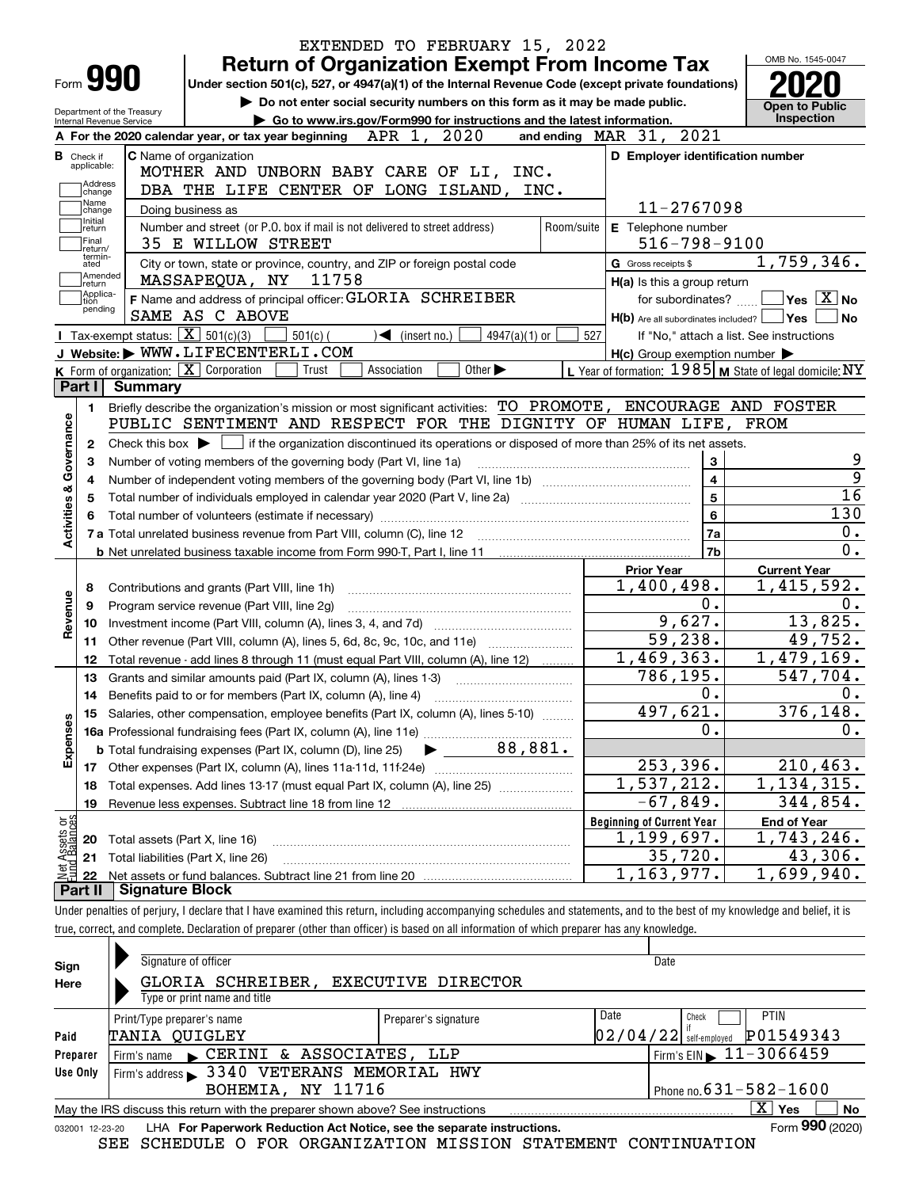| Form 990<br>Department of the Treasury<br><b>Internal Revenue Service</b><br><b>B</b> Check if<br>applicable:<br>Address<br>change<br>Name<br>change<br>Initial<br>return<br>Final                                                                          | <b>Return of Organization Exempt From Income Tax</b><br>Under section 501(c), 527, or 4947(a)(1) of the Internal Revenue Code (except private foundations)<br>Do not enter social security numbers on this form as it may be made public.<br>Go to www.irs.gov/Form990 for instructions and the latest information.<br>A For the 2020 calendar year, or tax year beginning $APR$ 1, $2020$<br><b>C</b> Name of organization<br>MOTHER AND UNBORN BABY CARE OF LI, INC.<br>DBA THE LIFE CENTER OF LONG ISLAND, INC. | and ending MAR 31, 2021                                   | OMB No. 1545-0047<br><b>Open to Public</b><br>Inspection |  |  |  |  |  |  |
|-------------------------------------------------------------------------------------------------------------------------------------------------------------------------------------------------------------------------------------------------------------|--------------------------------------------------------------------------------------------------------------------------------------------------------------------------------------------------------------------------------------------------------------------------------------------------------------------------------------------------------------------------------------------------------------------------------------------------------------------------------------------------------------------|-----------------------------------------------------------|----------------------------------------------------------|--|--|--|--|--|--|
|                                                                                                                                                                                                                                                             |                                                                                                                                                                                                                                                                                                                                                                                                                                                                                                                    |                                                           |                                                          |  |  |  |  |  |  |
|                                                                                                                                                                                                                                                             |                                                                                                                                                                                                                                                                                                                                                                                                                                                                                                                    |                                                           |                                                          |  |  |  |  |  |  |
|                                                                                                                                                                                                                                                             |                                                                                                                                                                                                                                                                                                                                                                                                                                                                                                                    |                                                           |                                                          |  |  |  |  |  |  |
|                                                                                                                                                                                                                                                             |                                                                                                                                                                                                                                                                                                                                                                                                                                                                                                                    |                                                           |                                                          |  |  |  |  |  |  |
|                                                                                                                                                                                                                                                             |                                                                                                                                                                                                                                                                                                                                                                                                                                                                                                                    |                                                           | D Employer identification number                         |  |  |  |  |  |  |
|                                                                                                                                                                                                                                                             |                                                                                                                                                                                                                                                                                                                                                                                                                                                                                                                    |                                                           |                                                          |  |  |  |  |  |  |
|                                                                                                                                                                                                                                                             |                                                                                                                                                                                                                                                                                                                                                                                                                                                                                                                    |                                                           |                                                          |  |  |  |  |  |  |
|                                                                                                                                                                                                                                                             | Doing business as                                                                                                                                                                                                                                                                                                                                                                                                                                                                                                  | 11-2767098                                                |                                                          |  |  |  |  |  |  |
| Number and street (or P.O. box if mail is not delivered to street address)<br>Room/suite<br>E Telephone number<br>$516 - 798 - 9100$<br>35 E WILLOW STREET<br>return/<br>termin-                                                                            |                                                                                                                                                                                                                                                                                                                                                                                                                                                                                                                    |                                                           |                                                          |  |  |  |  |  |  |
| 1,759,346.                                                                                                                                                                                                                                                  |                                                                                                                                                                                                                                                                                                                                                                                                                                                                                                                    |                                                           |                                                          |  |  |  |  |  |  |
| City or town, state or province, country, and ZIP or foreign postal code<br>G Gross receipts \$<br>ated<br>Amended                                                                                                                                          |                                                                                                                                                                                                                                                                                                                                                                                                                                                                                                                    |                                                           |                                                          |  |  |  |  |  |  |
| return                                                                                                                                                                                                                                                      | MASSAPEQUA, NY 11758                                                                                                                                                                                                                                                                                                                                                                                                                                                                                               | H(a) Is this a group return                               |                                                          |  |  |  |  |  |  |
| Applica-<br>F Name and address of principal officer: GLORIA SCHREIBER<br>for subordinates? $\Box \Box$ Yes $\boxed{X}$ No<br>tion<br>pending<br>SAME AS C ABOVE                                                                                             |                                                                                                                                                                                                                                                                                                                                                                                                                                                                                                                    |                                                           |                                                          |  |  |  |  |  |  |
|                                                                                                                                                                                                                                                             | H(b) Are all subordinates included?   Yes                                                                                                                                                                                                                                                                                                                                                                                                                                                                          | ∣No                                                       |                                                          |  |  |  |  |  |  |
|                                                                                                                                                                                                                                                             | <b>Tax-exempt status:</b> $\boxed{\mathbf{X}}$ 501(c)(3)<br>$501(c)$ (<br>$\sqrt{\frac{1}{1}}$ (insert no.)<br>$4947(a)(1)$ or                                                                                                                                                                                                                                                                                                                                                                                     | 527<br>If "No," attach a list. See instructions           |                                                          |  |  |  |  |  |  |
|                                                                                                                                                                                                                                                             | J Website: WWW.LIFECENTERLI.COM                                                                                                                                                                                                                                                                                                                                                                                                                                                                                    | $H(c)$ Group exemption number $\blacktriangleright$       |                                                          |  |  |  |  |  |  |
|                                                                                                                                                                                                                                                             | K Form of organization: X Corporation<br>Association<br>Other $\blacktriangleright$<br>Trust                                                                                                                                                                                                                                                                                                                                                                                                                       | L Year of formation: $1985$ M State of legal domicile: NY |                                                          |  |  |  |  |  |  |
| Part I<br>Summary                                                                                                                                                                                                                                           |                                                                                                                                                                                                                                                                                                                                                                                                                                                                                                                    |                                                           |                                                          |  |  |  |  |  |  |
| 1.                                                                                                                                                                                                                                                          | Briefly describe the organization's mission or most significant activities: TO PROMOTE, ENCOURAGE AND FOSTER                                                                                                                                                                                                                                                                                                                                                                                                       |                                                           |                                                          |  |  |  |  |  |  |
|                                                                                                                                                                                                                                                             | PUBLIC SENTIMENT AND RESPECT FOR THE DIGNITY OF HUMAN LIFE,                                                                                                                                                                                                                                                                                                                                                                                                                                                        |                                                           | FROM                                                     |  |  |  |  |  |  |
| Governance<br>Check this box $\blacktriangleright$ $\blacksquare$ if the organization discontinued its operations or disposed of more than 25% of its net assets.<br>$\mathbf{2}$<br>3<br>Number of voting members of the governing body (Part VI, line 1a) |                                                                                                                                                                                                                                                                                                                                                                                                                                                                                                                    |                                                           |                                                          |  |  |  |  |  |  |
| з                                                                                                                                                                                                                                                           |                                                                                                                                                                                                                                                                                                                                                                                                                                                                                                                    |                                                           |                                                          |  |  |  |  |  |  |
| 4                                                                                                                                                                                                                                                           |                                                                                                                                                                                                                                                                                                                                                                                                                                                                                                                    | $\overline{\mathbf{4}}$<br>$\overline{\mathbf{5}}$        | $\overline{9}$<br>$\overline{16}$                        |  |  |  |  |  |  |
| 5                                                                                                                                                                                                                                                           |                                                                                                                                                                                                                                                                                                                                                                                                                                                                                                                    | $\bf{6}$                                                  | $\overline{130}$                                         |  |  |  |  |  |  |
| <b>Activities &amp;</b><br>6                                                                                                                                                                                                                                |                                                                                                                                                                                                                                                                                                                                                                                                                                                                                                                    | 7a                                                        | 0.                                                       |  |  |  |  |  |  |
|                                                                                                                                                                                                                                                             | 7 a Total unrelated business revenue from Part VIII, column (C), line 12 [11] [12] [11] [12] [11] [11] [12] [1                                                                                                                                                                                                                                                                                                                                                                                                     | 7b                                                        | 0.                                                       |  |  |  |  |  |  |
|                                                                                                                                                                                                                                                             |                                                                                                                                                                                                                                                                                                                                                                                                                                                                                                                    | <b>Prior Year</b>                                         | <b>Current Year</b>                                      |  |  |  |  |  |  |
| 8                                                                                                                                                                                                                                                           | Contributions and grants (Part VIII, line 1h)                                                                                                                                                                                                                                                                                                                                                                                                                                                                      | 1,400,498.                                                | 1,415,592.                                               |  |  |  |  |  |  |
| 9                                                                                                                                                                                                                                                           | Program service revenue (Part VIII, line 2g)                                                                                                                                                                                                                                                                                                                                                                                                                                                                       | 0.                                                        | 0.                                                       |  |  |  |  |  |  |
| evenue<br>10                                                                                                                                                                                                                                                |                                                                                                                                                                                                                                                                                                                                                                                                                                                                                                                    | 9,627.                                                    | 13,825.                                                  |  |  |  |  |  |  |
| œ<br>11                                                                                                                                                                                                                                                     | Other revenue (Part VIII, column (A), lines 5, 6d, 8c, 9c, 10c, and 11e)                                                                                                                                                                                                                                                                                                                                                                                                                                           | 59,238.                                                   | 49,752.                                                  |  |  |  |  |  |  |
| 12                                                                                                                                                                                                                                                          | Total revenue - add lines 8 through 11 (must equal Part VIII, column (A), line 12)                                                                                                                                                                                                                                                                                                                                                                                                                                 | 1,469,363.                                                | 1,479,169.                                               |  |  |  |  |  |  |
| 13                                                                                                                                                                                                                                                          | Grants and similar amounts paid (Part IX, column (A), lines 1-3)                                                                                                                                                                                                                                                                                                                                                                                                                                                   | 786,195.                                                  | 547,704.                                                 |  |  |  |  |  |  |
| 14                                                                                                                                                                                                                                                          | Benefits paid to or for members (Part IX, column (A), line 4)                                                                                                                                                                                                                                                                                                                                                                                                                                                      | $\overline{0}$ .                                          | 0.                                                       |  |  |  |  |  |  |
| 15                                                                                                                                                                                                                                                          | Salaries, other compensation, employee benefits (Part IX, column (A), lines 5-10)                                                                                                                                                                                                                                                                                                                                                                                                                                  | 497,621.                                                  | 376, 148.                                                |  |  |  |  |  |  |
| Expenses                                                                                                                                                                                                                                                    |                                                                                                                                                                                                                                                                                                                                                                                                                                                                                                                    | 0.                                                        | 0.                                                       |  |  |  |  |  |  |
|                                                                                                                                                                                                                                                             |                                                                                                                                                                                                                                                                                                                                                                                                                                                                                                                    |                                                           |                                                          |  |  |  |  |  |  |
| 17                                                                                                                                                                                                                                                          |                                                                                                                                                                                                                                                                                                                                                                                                                                                                                                                    | 253,396.                                                  | 210, 463.                                                |  |  |  |  |  |  |
| 18                                                                                                                                                                                                                                                          | Total expenses. Add lines 13-17 (must equal Part IX, column (A), line 25)                                                                                                                                                                                                                                                                                                                                                                                                                                          | $\overline{1,537},212.$                                   | $\overline{1}$ , 134, 315.                               |  |  |  |  |  |  |
| 19                                                                                                                                                                                                                                                          |                                                                                                                                                                                                                                                                                                                                                                                                                                                                                                                    | $\overline{-}67,849.$                                     | 344,854.                                                 |  |  |  |  |  |  |
|                                                                                                                                                                                                                                                             |                                                                                                                                                                                                                                                                                                                                                                                                                                                                                                                    | <b>Beginning of Current Year</b>                          | <b>End of Year</b>                                       |  |  |  |  |  |  |
| t Assets or<br>d.Balances<br>20                                                                                                                                                                                                                             | Total assets (Part X, line 16)                                                                                                                                                                                                                                                                                                                                                                                                                                                                                     | 1,199,697.                                                | 1,743,246.                                               |  |  |  |  |  |  |
| 21                                                                                                                                                                                                                                                          | Total liabilities (Part X, line 26)                                                                                                                                                                                                                                                                                                                                                                                                                                                                                | 35,720.                                                   | 43,306.                                                  |  |  |  |  |  |  |
| 혏<br>22                                                                                                                                                                                                                                                     |                                                                                                                                                                                                                                                                                                                                                                                                                                                                                                                    | 1,163,977.                                                | 1,699,940.                                               |  |  |  |  |  |  |
| Part II                                                                                                                                                                                                                                                     | <b>Signature Block</b>                                                                                                                                                                                                                                                                                                                                                                                                                                                                                             |                                                           |                                                          |  |  |  |  |  |  |
|                                                                                                                                                                                                                                                             | Under penalties of perjury, I declare that I have examined this return, including accompanying schedules and statements, and to the best of my knowledge and belief, it is                                                                                                                                                                                                                                                                                                                                         |                                                           |                                                          |  |  |  |  |  |  |
|                                                                                                                                                                                                                                                             |                                                                                                                                                                                                                                                                                                                                                                                                                                                                                                                    |                                                           |                                                          |  |  |  |  |  |  |

| Sign     | Signature of officer                                                                                         |                              | Date                                         |  |  |  |  |  |  |  |
|----------|--------------------------------------------------------------------------------------------------------------|------------------------------|----------------------------------------------|--|--|--|--|--|--|--|
| Here     | GLORIA SCHREIBER,                                                                                            | <b>EXECUTIVE DIRECTOR</b>    |                                              |  |  |  |  |  |  |  |
|          | Type or print name and title                                                                                 |                              |                                              |  |  |  |  |  |  |  |
|          | Print/Type preparer's name                                                                                   | Date<br>Preparer's signature | <b>PTIN</b><br>Check                         |  |  |  |  |  |  |  |
| Paid     | TANIA OUIGLEY                                                                                                |                              | P01549343<br>$02/04/22$ self-employed        |  |  |  |  |  |  |  |
| Preparer | Firm's name CERINI & ASSOCIATES, LLP                                                                         |                              | $1$ Firm's EIN $\triangleright$ 11 - 3066459 |  |  |  |  |  |  |  |
| Use Only | Firm's address > 3340 VETERANS MEMORIAL HWY                                                                  |                              |                                              |  |  |  |  |  |  |  |
|          | BOHEMIA, NY 11716                                                                                            |                              | Phone no. $631 - 582 - 1600$                 |  |  |  |  |  |  |  |
|          | May the IRS discuss this return with the preparer shown above? See instructions                              |                              | $\mathbf{x}$<br>Yes<br>No                    |  |  |  |  |  |  |  |
|          | Form 990 (2020)<br>LHA For Paperwork Reduction Act Notice, see the separate instructions.<br>032001 12-23-20 |                              |                                              |  |  |  |  |  |  |  |

SEE SCHEDULE O FOR ORGANIZATION MISSION STATEMENT CONTINUATION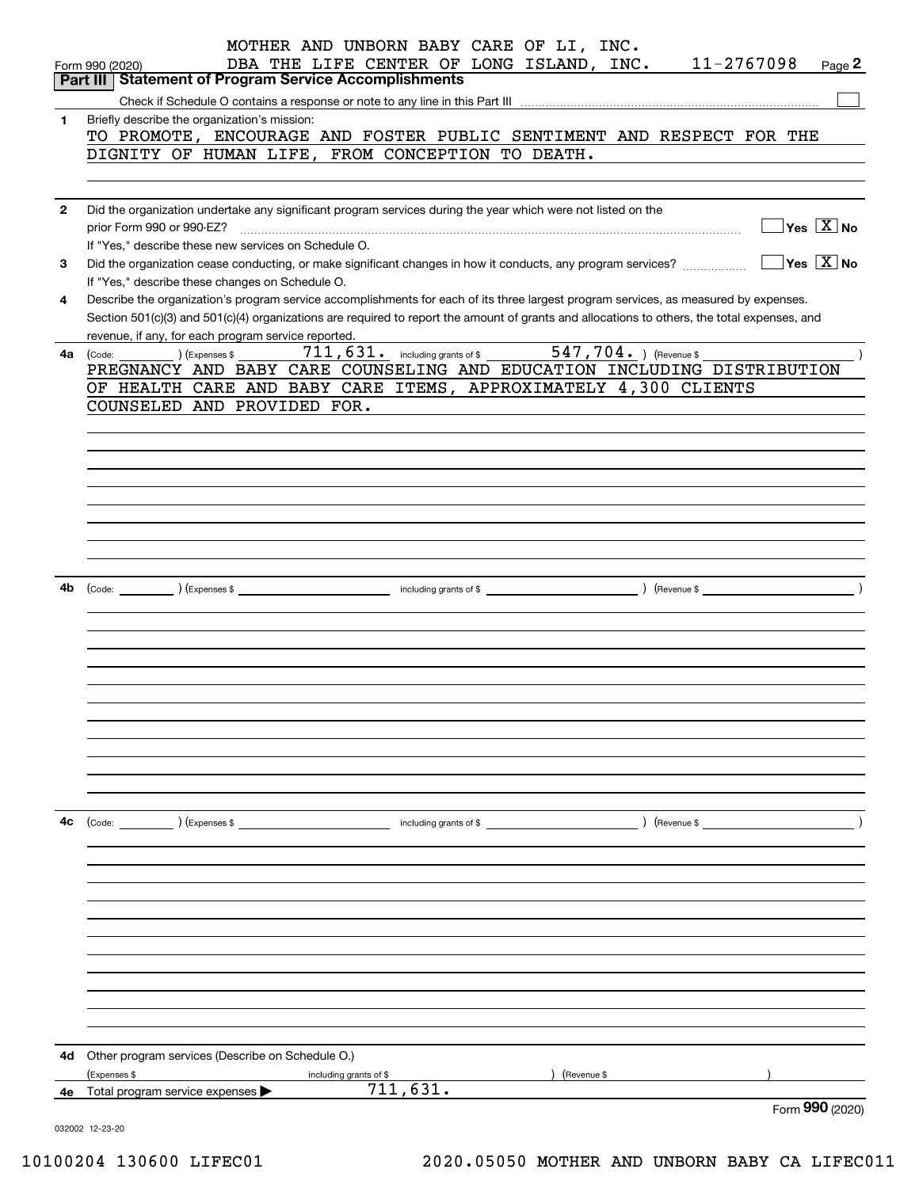|              | MOTHER AND UNBORN BABY CARE OF LI, INC.<br>11-2767098<br>DBA THE LIFE CENTER OF LONG ISLAND, INC.<br>Page 2<br>Form 990 (2020)<br><b>Statement of Program Service Accomplishments</b><br>Part III |
|--------------|---------------------------------------------------------------------------------------------------------------------------------------------------------------------------------------------------|
|              |                                                                                                                                                                                                   |
| 1            | Briefly describe the organization's mission:                                                                                                                                                      |
|              | TO PROMOTE, ENCOURAGE AND FOSTER PUBLIC SENTIMENT AND RESPECT FOR THE                                                                                                                             |
|              |                                                                                                                                                                                                   |
|              | DIGNITY OF HUMAN LIFE, FROM CONCEPTION TO DEATH.                                                                                                                                                  |
|              |                                                                                                                                                                                                   |
|              |                                                                                                                                                                                                   |
| $\mathbf{2}$ | Did the organization undertake any significant program services during the year which were not listed on the                                                                                      |
|              | $\sqrt{}$ Yes $\sqrt{}$ X $\sqrt{}$ No<br>prior Form 990 or 990-EZ?                                                                                                                               |
|              | If "Yes," describe these new services on Schedule O.                                                                                                                                              |
| 3            | $\sqrt{}$ Yes $\sqrt{}$ X $\sqrt{}$ No<br>Did the organization cease conducting, or make significant changes in how it conducts, any program services?                                            |
|              | If "Yes," describe these changes on Schedule O.                                                                                                                                                   |
| 4            | Describe the organization's program service accomplishments for each of its three largest program services, as measured by expenses.                                                              |
|              | Section 501(c)(3) and 501(c)(4) organizations are required to report the amount of grants and allocations to others, the total expenses, and                                                      |
|              | revenue, if any, for each program service reported.                                                                                                                                               |
| 4a           | 547,704. ) (Revenue \$<br>$711, 631$ $\cdot$ including grants of \$<br>(Expenses \$<br>(Code:                                                                                                     |
|              | PREGNANCY AND BABY CARE COUNSELING AND EDUCATION INCLUDING DISTRIBUTION                                                                                                                           |
|              | OF HEALTH CARE AND BABY CARE ITEMS, APPROXIMATELY 4,300 CLIENTS                                                                                                                                   |
|              | COUNSELED AND PROVIDED FOR.                                                                                                                                                                       |
|              |                                                                                                                                                                                                   |
|              |                                                                                                                                                                                                   |
|              |                                                                                                                                                                                                   |
|              |                                                                                                                                                                                                   |
|              |                                                                                                                                                                                                   |
|              |                                                                                                                                                                                                   |
|              |                                                                                                                                                                                                   |
|              |                                                                                                                                                                                                   |
|              |                                                                                                                                                                                                   |
|              |                                                                                                                                                                                                   |
| 4b           |                                                                                                                                                                                                   |
|              |                                                                                                                                                                                                   |
|              |                                                                                                                                                                                                   |
|              |                                                                                                                                                                                                   |
|              |                                                                                                                                                                                                   |
|              |                                                                                                                                                                                                   |
|              |                                                                                                                                                                                                   |
|              |                                                                                                                                                                                                   |
|              |                                                                                                                                                                                                   |
|              |                                                                                                                                                                                                   |
|              |                                                                                                                                                                                                   |
|              |                                                                                                                                                                                                   |
|              |                                                                                                                                                                                                   |
|              |                                                                                                                                                                                                   |
| 4c           | (Code: ) (Expenses \$<br>including grants of \$<br>) (Revenue \$                                                                                                                                  |
|              |                                                                                                                                                                                                   |
|              |                                                                                                                                                                                                   |
|              |                                                                                                                                                                                                   |
|              |                                                                                                                                                                                                   |
|              |                                                                                                                                                                                                   |
|              |                                                                                                                                                                                                   |
|              |                                                                                                                                                                                                   |
|              |                                                                                                                                                                                                   |
|              |                                                                                                                                                                                                   |
|              |                                                                                                                                                                                                   |
|              |                                                                                                                                                                                                   |
|              |                                                                                                                                                                                                   |
|              |                                                                                                                                                                                                   |
| 4d           | Other program services (Describe on Schedule O.)                                                                                                                                                  |
|              | (Expenses \$<br>including grants of \$<br>Revenue \$                                                                                                                                              |
| 4е           | 711,631.<br>Total program service expenses                                                                                                                                                        |
|              | Form 990 (2020)                                                                                                                                                                                   |
|              | 032002 12-23-20                                                                                                                                                                                   |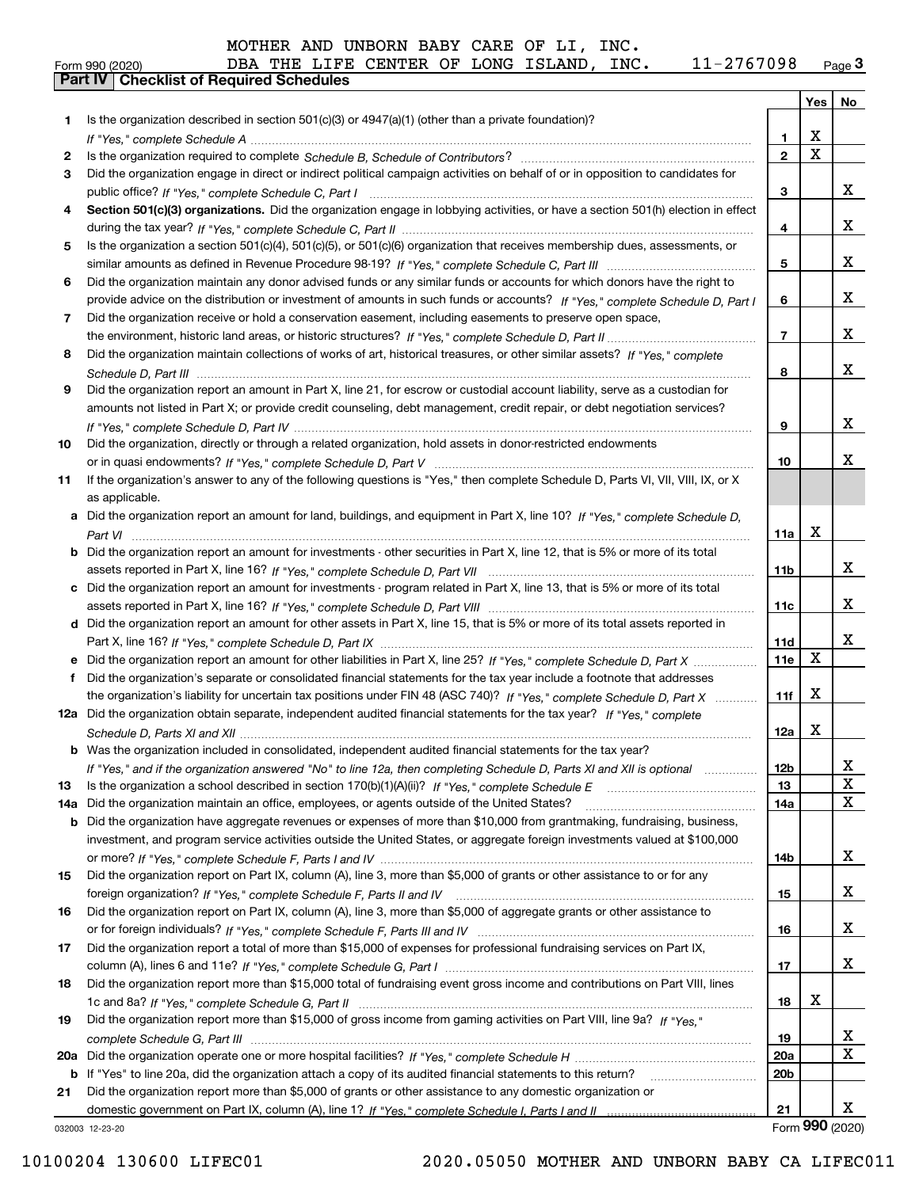| MOTHER AND UNBORN BABY CARE OF LI, INC. |  |
|-----------------------------------------|--|
|-----------------------------------------|--|

# Form 990 (2020) DBA THE LIFE CENTER OF LONG ISLAND , INC 11−27 6 7 0 98 <sub>Page</sub> 3<br>**Part IV | Checklist of Required Schedules**

|     |                                                                                                                                       |                 |             | Yes   No                |
|-----|---------------------------------------------------------------------------------------------------------------------------------------|-----------------|-------------|-------------------------|
| 1   | Is the organization described in section $501(c)(3)$ or $4947(a)(1)$ (other than a private foundation)?                               |                 |             |                         |
|     | If "Yes," complete Schedule A measured and the complete schedule A measured and the Schedule A measured and the                       | 1.              | х           |                         |
| 2   |                                                                                                                                       | $\mathbf{2}$    | $\mathbf X$ |                         |
| З   | Did the organization engage in direct or indirect political campaign activities on behalf of or in opposition to candidates for       |                 |             |                         |
|     |                                                                                                                                       | 3               |             | X                       |
|     | Section 501(c)(3) organizations. Did the organization engage in lobbying activities, or have a section 501(h) election in effect      |                 |             |                         |
|     |                                                                                                                                       | 4               |             | x                       |
| 5   | Is the organization a section 501(c)(4), 501(c)(5), or 501(c)(6) organization that receives membership dues, assessments, or          |                 |             |                         |
|     |                                                                                                                                       | 5               |             | X                       |
| 6   | Did the organization maintain any donor advised funds or any similar funds or accounts for which donors have the right to             |                 |             |                         |
|     | provide advice on the distribution or investment of amounts in such funds or accounts? If "Yes," complete Schedule D, Part I          | 6               |             | X                       |
| 7   | Did the organization receive or hold a conservation easement, including easements to preserve open space,                             |                 |             |                         |
|     |                                                                                                                                       | $\overline{7}$  |             | x                       |
| 8   | Did the organization maintain collections of works of art, historical treasures, or other similar assets? If "Yes," complete          |                 |             |                         |
|     |                                                                                                                                       | 8               |             | X                       |
| 9   | Did the organization report an amount in Part X, line 21, for escrow or custodial account liability, serve as a custodian for         |                 |             |                         |
|     | amounts not listed in Part X; or provide credit counseling, debt management, credit repair, or debt negotiation services?             |                 |             |                         |
|     |                                                                                                                                       | 9               |             | X                       |
| 10  | Did the organization, directly or through a related organization, hold assets in donor-restricted endowments                          |                 |             |                         |
|     |                                                                                                                                       | 10              |             | х                       |
| 11  | If the organization's answer to any of the following questions is "Yes," then complete Schedule D, Parts VI, VII, VIII, IX, or X      |                 |             |                         |
|     | as applicable.                                                                                                                        |                 |             |                         |
|     | a Did the organization report an amount for land, buildings, and equipment in Part X, line 10? If "Yes," complete Schedule D.         |                 |             |                         |
|     |                                                                                                                                       | 11a             | x           |                         |
|     | <b>b</b> Did the organization report an amount for investments - other securities in Part X, line 12, that is 5% or more of its total |                 |             |                         |
|     |                                                                                                                                       | 11 <sub>b</sub> |             | x                       |
|     | c Did the organization report an amount for investments - program related in Part X, line 13, that is 5% or more of its total         |                 |             |                         |
|     |                                                                                                                                       | 11c             |             | x                       |
|     | d Did the organization report an amount for other assets in Part X, line 15, that is 5% or more of its total assets reported in       |                 |             |                         |
|     |                                                                                                                                       | 11d             |             | x                       |
|     |                                                                                                                                       | 11e             | X           |                         |
| f   | Did the organization's separate or consolidated financial statements for the tax year include a footnote that addresses               |                 |             |                         |
|     | the organization's liability for uncertain tax positions under FIN 48 (ASC 740)? If "Yes," complete Schedule D, Part X                | 11f             | x           |                         |
|     | 12a Did the organization obtain separate, independent audited financial statements for the tax year? If "Yes," complete               |                 |             |                         |
|     |                                                                                                                                       | 12a             | x           |                         |
|     | <b>b</b> Was the organization included in consolidated, independent audited financial statements for the tax year?                    |                 |             |                         |
|     | If "Yes," and if the organization answered "No" to line 12a, then completing Schedule D, Parts XI and XII is optional                 | 12 <sub>b</sub> |             | 47                      |
| 13  |                                                                                                                                       | 13              |             | $\mathbf X$             |
| 14a | Did the organization maintain an office, employees, or agents outside of the United States?                                           | 14a             |             | $\mathbf{X}$            |
| b   | Did the organization have aggregate revenues or expenses of more than \$10,000 from grantmaking, fundraising, business,               |                 |             |                         |
|     | investment, and program service activities outside the United States, or aggregate foreign investments valued at \$100,000            |                 |             |                         |
|     |                                                                                                                                       | 14b             |             | X                       |
| 15  | Did the organization report on Part IX, column (A), line 3, more than \$5,000 of grants or other assistance to or for any             |                 |             |                         |
|     |                                                                                                                                       | 15              |             | X                       |
| 16  | Did the organization report on Part IX, column (A), line 3, more than \$5,000 of aggregate grants or other assistance to              |                 |             |                         |
|     |                                                                                                                                       | 16              |             | X                       |
| 17  | Did the organization report a total of more than \$15,000 of expenses for professional fundraising services on Part IX,               |                 |             |                         |
|     |                                                                                                                                       | 17              |             | X                       |
| 18  | Did the organization report more than \$15,000 total of fundraising event gross income and contributions on Part VIII, lines          |                 |             |                         |
|     |                                                                                                                                       | 18              | x           |                         |
| 19  | Did the organization report more than \$15,000 of gross income from gaming activities on Part VIII, line 9a? If "Yes."                |                 |             |                         |
|     |                                                                                                                                       | 19              |             | <u>x</u>                |
| 20a |                                                                                                                                       | <b>20a</b>      |             | $\overline{\mathtt{x}}$ |
| b   | If "Yes" to line 20a, did the organization attach a copy of its audited financial statements to this return?                          | 20 <sub>b</sub> |             |                         |
| 21  | Did the organization report more than \$5,000 of grants or other assistance to any domestic organization or                           |                 |             |                         |
|     |                                                                                                                                       | 21              |             | X                       |
|     | 032003 12-23-20                                                                                                                       |                 |             | Form 990 (2020)         |

### 10100204 130600 LIFEC01 2020.05050 MOTHER AND UNBORN BABY CA LIFEC011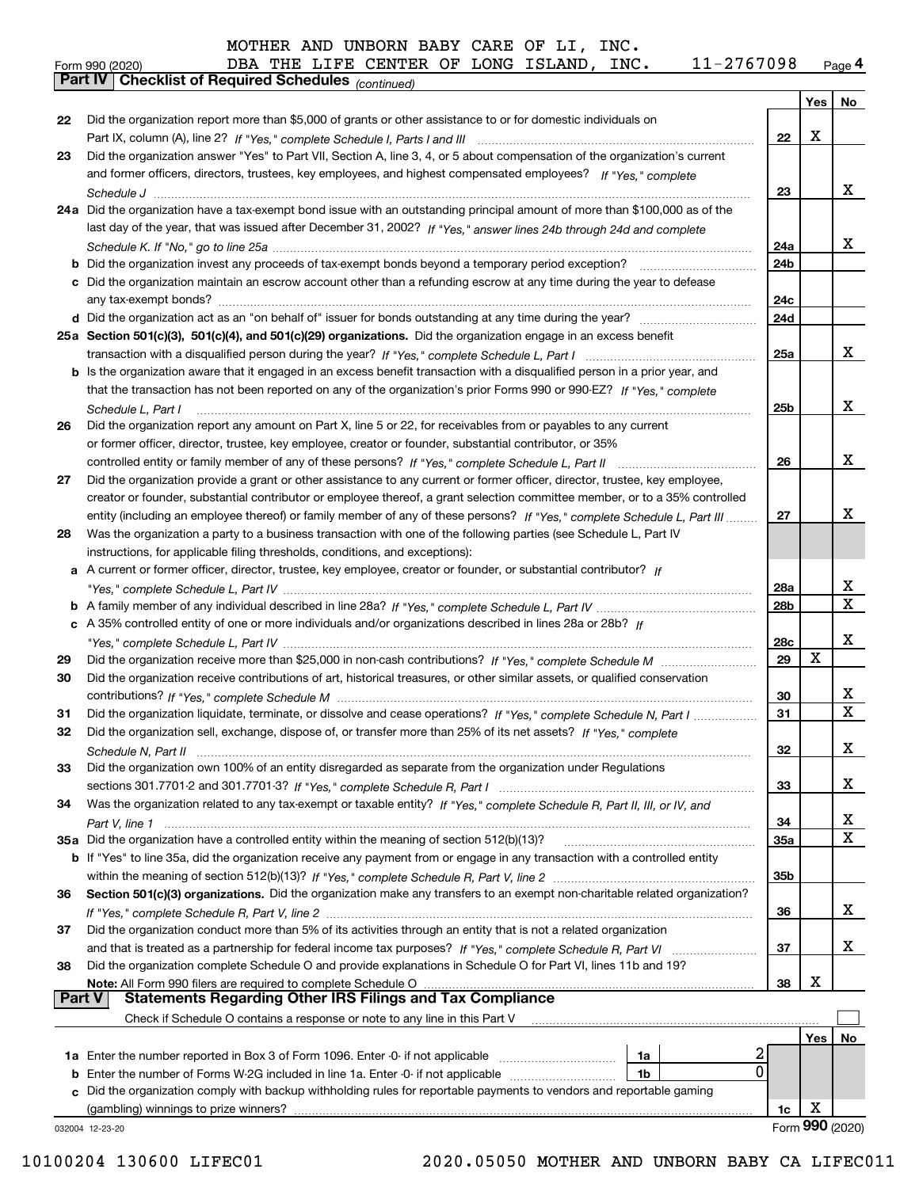#### orm 990 (2020) DBA THE LIFE CENTER OF LONG ISLAND , INC 11-27 670 9 8 <sub>Page</sub> 4<br><mark>Part IV | Checklist of Required Schedules</mark> <sub>(continued)</sub>  $_{\rm Form}$  990 (2020) DBA THE LIFE CENTER OF LONG ISLAND, INC.  $11$  -  $2767098$   $_{\rm Page}$

|               |                                                                                                                                                                                                                            |     | Yes | No              |
|---------------|----------------------------------------------------------------------------------------------------------------------------------------------------------------------------------------------------------------------------|-----|-----|-----------------|
| 22            | Did the organization report more than \$5,000 of grants or other assistance to or for domestic individuals on                                                                                                              |     |     |                 |
|               |                                                                                                                                                                                                                            | 22  | X   |                 |
| 23            | Did the organization answer "Yes" to Part VII, Section A, line 3, 4, or 5 about compensation of the organization's current                                                                                                 |     |     |                 |
|               | and former officers, directors, trustees, key employees, and highest compensated employees? If "Yes," complete                                                                                                             |     |     |                 |
|               |                                                                                                                                                                                                                            | 23  |     | X.              |
|               | 24a Did the organization have a tax-exempt bond issue with an outstanding principal amount of more than \$100,000 as of the                                                                                                |     |     |                 |
|               | last day of the year, that was issued after December 31, 2002? If "Yes," answer lines 24b through 24d and complete                                                                                                         |     |     |                 |
|               |                                                                                                                                                                                                                            | 24a |     | X.              |
|               | <b>b</b> Did the organization invest any proceeds of tax-exempt bonds beyond a temporary period exception?                                                                                                                 | 24b |     |                 |
|               | c Did the organization maintain an escrow account other than a refunding escrow at any time during the year to defease                                                                                                     |     |     |                 |
|               | any tax-exempt bonds?                                                                                                                                                                                                      | 24c |     |                 |
|               |                                                                                                                                                                                                                            | 24d |     |                 |
|               | 25a Section 501(c)(3), 501(c)(4), and 501(c)(29) organizations. Did the organization engage in an excess benefit                                                                                                           |     |     | x               |
|               |                                                                                                                                                                                                                            | 25a |     |                 |
|               | b Is the organization aware that it engaged in an excess benefit transaction with a disqualified person in a prior year, and                                                                                               |     |     |                 |
|               | that the transaction has not been reported on any of the organization's prior Forms 990 or 990-EZ? If "Yes." complete                                                                                                      |     |     | x               |
|               | Schedule L, Part I                                                                                                                                                                                                         | 25b |     |                 |
| 26            | Did the organization report any amount on Part X, line 5 or 22, for receivables from or payables to any current<br>or former officer, director, trustee, key employee, creator or founder, substantial contributor, or 35% |     |     |                 |
|               | controlled entity or family member of any of these persons? If "Yes," complete Schedule L, Part II                                                                                                                         | 26  |     | x               |
| 27            | Did the organization provide a grant or other assistance to any current or former officer, director, trustee, key employee,                                                                                                |     |     |                 |
|               | creator or founder, substantial contributor or employee thereof, a grant selection committee member, or to a 35% controlled                                                                                                |     |     |                 |
|               | entity (including an employee thereof) or family member of any of these persons? If "Yes." complete Schedule L. Part III                                                                                                   | 27  |     | х               |
| 28            | Was the organization a party to a business transaction with one of the following parties (see Schedule L, Part IV                                                                                                          |     |     |                 |
|               | instructions, for applicable filing thresholds, conditions, and exceptions):                                                                                                                                               |     |     |                 |
|               | a A current or former officer, director, trustee, key employee, creator or founder, or substantial contributor? If                                                                                                         |     |     |                 |
|               |                                                                                                                                                                                                                            | 28a |     | x               |
|               |                                                                                                                                                                                                                            | 28b |     | X               |
|               | c A 35% controlled entity of one or more individuals and/or organizations described in lines 28a or 28b? If                                                                                                                |     |     |                 |
|               |                                                                                                                                                                                                                            | 28c |     | x               |
| 29            |                                                                                                                                                                                                                            | 29  | X   |                 |
| 30            | Did the organization receive contributions of art, historical treasures, or other similar assets, or qualified conservation                                                                                                |     |     |                 |
|               |                                                                                                                                                                                                                            | 30  |     | x               |
| 31            | Did the organization liquidate, terminate, or dissolve and cease operations? If "Yes," complete Schedule N, Part I                                                                                                         | 31  |     | $\mathbf X$     |
| 32            | Did the organization sell, exchange, dispose of, or transfer more than 25% of its net assets? If "Yes." complete                                                                                                           |     |     |                 |
|               | Schedule N, Part II                                                                                                                                                                                                        | 32  |     | x               |
| 33            | Did the organization own 100% of an entity disregarded as separate from the organization under Regulations                                                                                                                 |     |     |                 |
|               |                                                                                                                                                                                                                            | 33  |     | х               |
| 34            | Was the organization related to any tax-exempt or taxable entity? If "Yes," complete Schedule R, Part II, III, or IV, and                                                                                                  |     |     |                 |
|               |                                                                                                                                                                                                                            | 34  |     | X               |
|               | 35a Did the organization have a controlled entity within the meaning of section 512(b)(13)?                                                                                                                                | 35a |     | $\mathbf X$     |
|               | <b>b</b> If "Yes" to line 35a, did the organization receive any payment from or engage in any transaction with a controlled entity                                                                                         |     |     |                 |
|               |                                                                                                                                                                                                                            | 35b |     |                 |
| 36            | Section 501(c)(3) organizations. Did the organization make any transfers to an exempt non-charitable related organization?                                                                                                 |     |     |                 |
|               |                                                                                                                                                                                                                            | 36  |     | x               |
| 37            | Did the organization conduct more than 5% of its activities through an entity that is not a related organization                                                                                                           |     |     |                 |
|               | and that is treated as a partnership for federal income tax purposes? If "Yes," complete Schedule R, Part VI                                                                                                               | 37  |     | x               |
| 38            | Did the organization complete Schedule O and provide explanations in Schedule O for Part VI, lines 11b and 19?                                                                                                             |     | х   |                 |
| <b>Part V</b> | Note: All Form 990 filers are required to complete Schedule O<br><b>Statements Regarding Other IRS Filings and Tax Compliance</b>                                                                                          | 38  |     |                 |
|               | Check if Schedule O contains a response or note to any line in this Part V                                                                                                                                                 |     |     |                 |
|               |                                                                                                                                                                                                                            |     | Yes | No.             |
|               | 2<br><b>1a</b> Enter the number reported in Box 3 of Form 1096. Enter -0- if not applicable <i>manumumumum</i><br>1a                                                                                                       |     |     |                 |
|               | 0<br><b>b</b> Enter the number of Forms W-2G included in line 1a. Enter -0- if not applicable <i>manumumumum</i><br>1b                                                                                                     |     |     |                 |
|               | c Did the organization comply with backup withholding rules for reportable payments to vendors and reportable gaming                                                                                                       |     |     |                 |
|               | (gambling) winnings to prize winners?                                                                                                                                                                                      | 1c  | х   |                 |
|               | 032004 12-23-20                                                                                                                                                                                                            |     |     | Form 990 (2020) |
|               |                                                                                                                                                                                                                            |     |     |                 |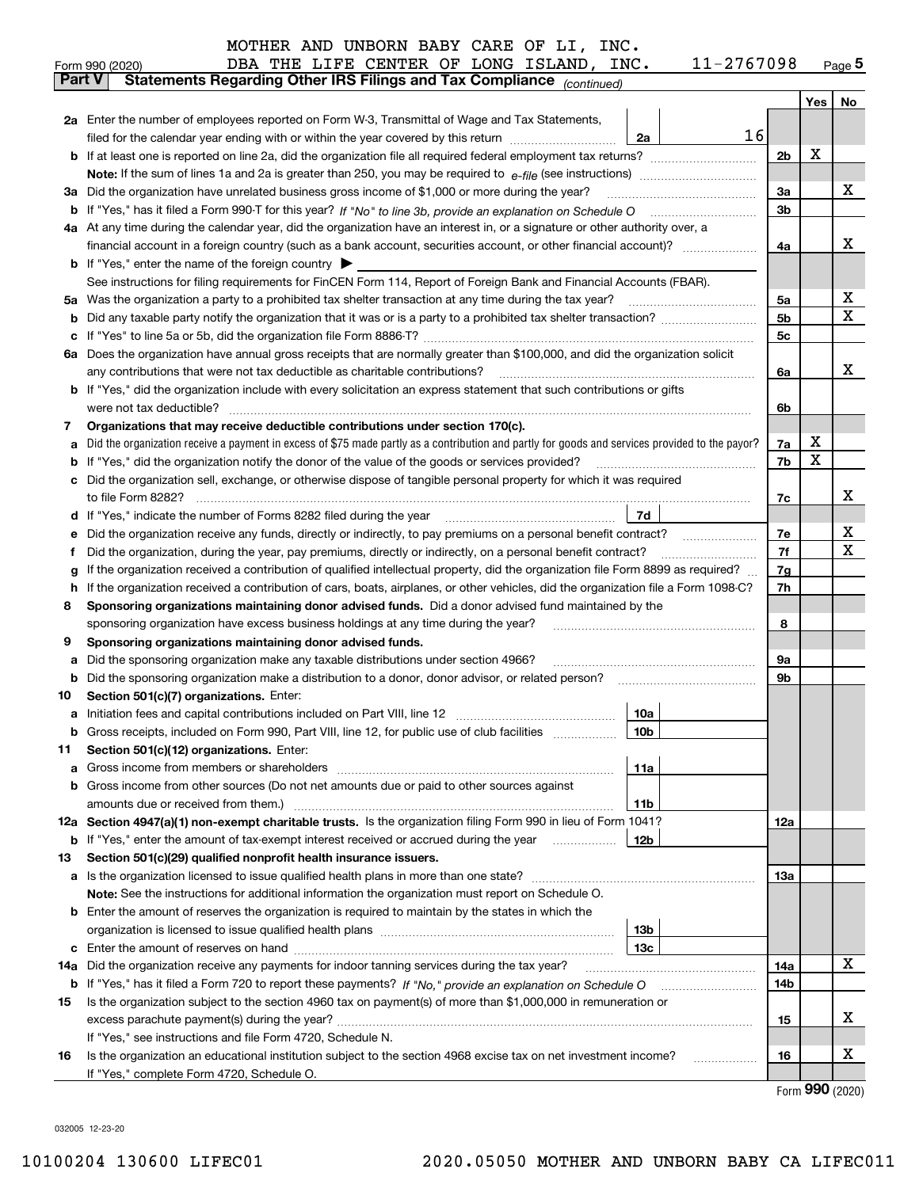|  | -2767098 | Page <b>5</b> |
|--|----------|---------------|
|--|----------|---------------|

|               | 11-2767098<br>DBA THE LIFE CENTER OF LONG ISLAND, INC.<br>Form 990 (2020)                                                                                                  |          |     | $_{\text{Page}}$ 5  |  |  |  |  |  |
|---------------|----------------------------------------------------------------------------------------------------------------------------------------------------------------------------|----------|-----|---------------------|--|--|--|--|--|
| <b>Part V</b> | Statements Regarding Other IRS Filings and Tax Compliance (continued)                                                                                                      |          |     |                     |  |  |  |  |  |
|               |                                                                                                                                                                            |          | Yes | No                  |  |  |  |  |  |
|               | 2a Enter the number of employees reported on Form W-3, Transmittal of Wage and Tax Statements,                                                                             |          |     |                     |  |  |  |  |  |
|               | 16<br>filed for the calendar year ending with or within the year covered by this return<br>2a                                                                              |          |     |                     |  |  |  |  |  |
|               |                                                                                                                                                                            | 2b       | х   |                     |  |  |  |  |  |
|               |                                                                                                                                                                            |          |     |                     |  |  |  |  |  |
|               | 3a Did the organization have unrelated business gross income of \$1,000 or more during the year?                                                                           | 3a       |     | x                   |  |  |  |  |  |
|               |                                                                                                                                                                            | 3b       |     |                     |  |  |  |  |  |
|               | 4a At any time during the calendar year, did the organization have an interest in, or a signature or other authority over, a                                               |          |     |                     |  |  |  |  |  |
|               |                                                                                                                                                                            | 4a       |     | x                   |  |  |  |  |  |
|               | <b>b</b> If "Yes," enter the name of the foreign country $\blacktriangleright$                                                                                             |          |     |                     |  |  |  |  |  |
|               | See instructions for filing requirements for FinCEN Form 114, Report of Foreign Bank and Financial Accounts (FBAR).                                                        |          |     |                     |  |  |  |  |  |
|               |                                                                                                                                                                            | 5a       |     | х                   |  |  |  |  |  |
| b             |                                                                                                                                                                            | 5b       |     | X                   |  |  |  |  |  |
| c             |                                                                                                                                                                            |          |     |                     |  |  |  |  |  |
|               | 6a Does the organization have annual gross receipts that are normally greater than \$100,000, and did the organization solicit                                             |          |     |                     |  |  |  |  |  |
|               |                                                                                                                                                                            | 6a       |     | х                   |  |  |  |  |  |
|               | <b>b</b> If "Yes," did the organization include with every solicitation an express statement that such contributions or gifts                                              |          |     |                     |  |  |  |  |  |
|               | were not tax deductible?                                                                                                                                                   |          |     |                     |  |  |  |  |  |
| 7             | Organizations that may receive deductible contributions under section 170(c).                                                                                              |          |     |                     |  |  |  |  |  |
| а             | Did the organization receive a payment in excess of \$75 made partly as a contribution and partly for goods and services provided to the payor?                            |          |     |                     |  |  |  |  |  |
| b             | If "Yes," did the organization notify the donor of the value of the goods or services provided?                                                                            | 7b       | х   |                     |  |  |  |  |  |
|               | c Did the organization sell, exchange, or otherwise dispose of tangible personal property for which it was required                                                        |          |     |                     |  |  |  |  |  |
|               |                                                                                                                                                                            | 7c       |     | х                   |  |  |  |  |  |
|               | 7d  <br>d If "Yes," indicate the number of Forms 8282 filed during the year [11] [11] No. 2010 [12] Henry Manuscover, 1                                                    |          |     |                     |  |  |  |  |  |
| е             | Did the organization receive any funds, directly or indirectly, to pay premiums on a personal benefit contract?                                                            | 7е<br>7f |     | х<br>х              |  |  |  |  |  |
| f             | Did the organization, during the year, pay premiums, directly or indirectly, on a personal benefit contract?                                                               |          |     |                     |  |  |  |  |  |
| g             | If the organization received a contribution of qualified intellectual property, did the organization file Form 8899 as required?                                           |          |     |                     |  |  |  |  |  |
| h.            | If the organization received a contribution of cars, boats, airplanes, or other vehicles, did the organization file a Form 1098-C?                                         |          |     |                     |  |  |  |  |  |
| 8             | Sponsoring organizations maintaining donor advised funds. Did a donor advised fund maintained by the                                                                       |          |     |                     |  |  |  |  |  |
|               | sponsoring organization have excess business holdings at any time during the year?                                                                                         | 8        |     |                     |  |  |  |  |  |
| 9             | Sponsoring organizations maintaining donor advised funds.                                                                                                                  |          |     |                     |  |  |  |  |  |
| а             | Did the sponsoring organization make any taxable distributions under section 4966?                                                                                         | 9а       |     |                     |  |  |  |  |  |
| b             | Did the sponsoring organization make a distribution to a donor, donor advisor, or related person?                                                                          | 9b       |     |                     |  |  |  |  |  |
| 10            | Section 501(c)(7) organizations. Enter:                                                                                                                                    |          |     |                     |  |  |  |  |  |
|               | 10a<br>a Initiation fees and capital contributions included on Part VIII, line 12 [111] [11] [11] Initiation fees and capital contributions included on Part VIII, line 12 |          |     |                     |  |  |  |  |  |
|               | 10 <sub>b</sub>  <br>Gross receipts, included on Form 990, Part VIII, line 12, for public use of club facilities                                                           |          |     |                     |  |  |  |  |  |
| 11            | Section 501(c)(12) organizations. Enter:                                                                                                                                   |          |     |                     |  |  |  |  |  |
| a             | 11a                                                                                                                                                                        |          |     |                     |  |  |  |  |  |
|               | b Gross income from other sources (Do not net amounts due or paid to other sources against                                                                                 |          |     |                     |  |  |  |  |  |
|               | <b>11b</b><br>12a Section 4947(a)(1) non-exempt charitable trusts. Is the organization filing Form 990 in lieu of Form 1041?                                               |          |     |                     |  |  |  |  |  |
|               | 12b<br><b>b</b> If "Yes," enter the amount of tax-exempt interest received or accrued during the year                                                                      | 12a      |     |                     |  |  |  |  |  |
| 13            | Section 501(c)(29) qualified nonprofit health insurance issuers.                                                                                                           |          |     |                     |  |  |  |  |  |
|               | a Is the organization licensed to issue qualified health plans in more than one state?                                                                                     | 13a      |     |                     |  |  |  |  |  |
|               | Note: See the instructions for additional information the organization must report on Schedule O.                                                                          |          |     |                     |  |  |  |  |  |
|               | <b>b</b> Enter the amount of reserves the organization is required to maintain by the states in which the                                                                  |          |     |                     |  |  |  |  |  |
|               | 13b                                                                                                                                                                        |          |     |                     |  |  |  |  |  |
|               | 13 <sub>c</sub>                                                                                                                                                            |          |     |                     |  |  |  |  |  |
| 14a           | Did the organization receive any payments for indoor tanning services during the tax year?                                                                                 | 14a      |     | х                   |  |  |  |  |  |
|               | <b>b</b> If "Yes," has it filed a Form 720 to report these payments? If "No," provide an explanation on Schedule O                                                         | 14b      |     |                     |  |  |  |  |  |
| 15            | Is the organization subject to the section 4960 tax on payment(s) of more than \$1,000,000 in remuneration or                                                              |          |     |                     |  |  |  |  |  |
|               |                                                                                                                                                                            | 15       |     | x                   |  |  |  |  |  |
|               | If "Yes," see instructions and file Form 4720, Schedule N.                                                                                                                 |          |     |                     |  |  |  |  |  |
| 16            | Is the organization an educational institution subject to the section 4968 excise tax on net investment income?                                                            | 16       |     | х                   |  |  |  |  |  |
|               | If "Yes," complete Form 4720, Schedule O.                                                                                                                                  |          |     |                     |  |  |  |  |  |
|               |                                                                                                                                                                            |          |     | $000 \text{ years}$ |  |  |  |  |  |

Form (2020) **990**

032005 12-23-20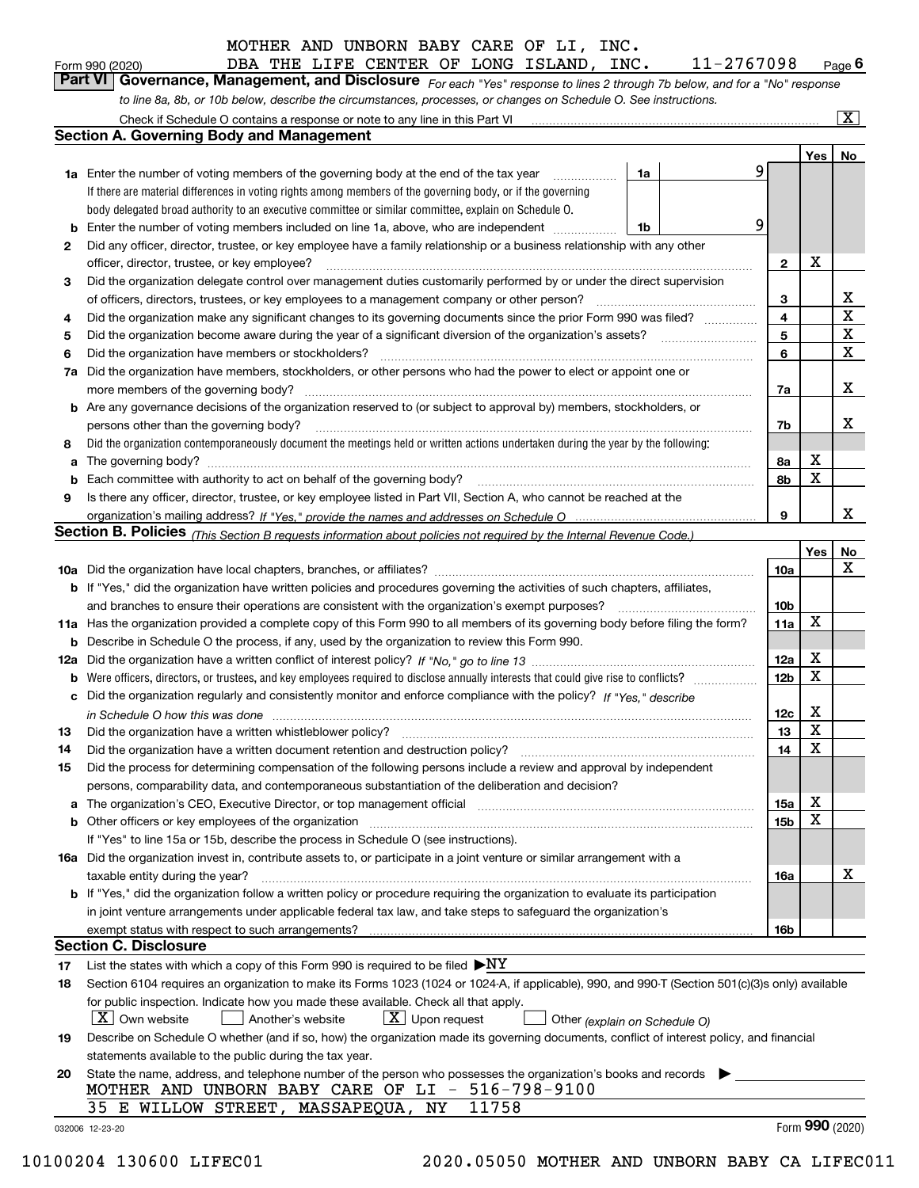|  | MOTHER AND UNBORN BABY CARE OF LI, INC. |  |  |  |
|--|-----------------------------------------|--|--|--|
|  |                                         |  |  |  |

| Form 990 (2020) |                                                                                                                  |  |  |  | DBA THE LIFE CENTER OF LONG ISLAND, | INC. | 11-2767098                                                                                                                  | $P_{\text{aqe}}$ 6 |
|-----------------|------------------------------------------------------------------------------------------------------------------|--|--|--|-------------------------------------|------|-----------------------------------------------------------------------------------------------------------------------------|--------------------|
|                 |                                                                                                                  |  |  |  |                                     |      | Part VI Governance, Management, and Disclosure For each "Yes" response to lines 2 through 7b below, and for a "No" response |                    |
|                 | to line 8a, 8b, or 10b below, describe the circumstances, processes, or changes on Schedule O. See instructions. |  |  |  |                                     |      |                                                                                                                             |                    |

|                                                                                                                                 | Check if Schedule O contains a response or note to any line in this Part VI                                                                                                                                                    |    |   |                 |     | X                |  |  |  |  |
|---------------------------------------------------------------------------------------------------------------------------------|--------------------------------------------------------------------------------------------------------------------------------------------------------------------------------------------------------------------------------|----|---|-----------------|-----|------------------|--|--|--|--|
|                                                                                                                                 | Section A. Governing Body and Management                                                                                                                                                                                       |    |   |                 |     |                  |  |  |  |  |
|                                                                                                                                 |                                                                                                                                                                                                                                |    |   |                 | Yes | No               |  |  |  |  |
|                                                                                                                                 | <b>1a</b> Enter the number of voting members of the governing body at the end of the tax year                                                                                                                                  | 1a | 9 |                 |     |                  |  |  |  |  |
|                                                                                                                                 | If there are material differences in voting rights among members of the governing body, or if the governing                                                                                                                    |    |   |                 |     |                  |  |  |  |  |
|                                                                                                                                 | body delegated broad authority to an executive committee or similar committee, explain on Schedule O.                                                                                                                          |    |   |                 |     |                  |  |  |  |  |
| b                                                                                                                               | Enter the number of voting members included on line 1a, above, who are independent                                                                                                                                             | 1b | 9 |                 |     |                  |  |  |  |  |
| 2                                                                                                                               | Did any officer, director, trustee, or key employee have a family relationship or a business relationship with any other                                                                                                       |    |   |                 |     |                  |  |  |  |  |
|                                                                                                                                 | officer, director, trustee, or key employee?                                                                                                                                                                                   |    |   | $\overline{2}$  | X   |                  |  |  |  |  |
| 3                                                                                                                               | Did the organization delegate control over management duties customarily performed by or under the direct supervision                                                                                                          |    |   |                 |     |                  |  |  |  |  |
|                                                                                                                                 | of officers, directors, trustees, or key employees to a management company or other person?                                                                                                                                    |    |   | з               |     | x<br>$\mathbf X$ |  |  |  |  |
| 4                                                                                                                               | Did the organization make any significant changes to its governing documents since the prior Form 990 was filed?                                                                                                               |    |   |                 |     |                  |  |  |  |  |
| 5                                                                                                                               |                                                                                                                                                                                                                                |    |   |                 |     |                  |  |  |  |  |
| 6                                                                                                                               | Did the organization have members or stockholders?                                                                                                                                                                             |    |   |                 |     |                  |  |  |  |  |
| 7a                                                                                                                              | Did the organization have members, stockholders, or other persons who had the power to elect or appoint one or                                                                                                                 |    |   |                 |     |                  |  |  |  |  |
|                                                                                                                                 | more members of the governing body?                                                                                                                                                                                            |    |   | 7a              |     | х                |  |  |  |  |
|                                                                                                                                 | <b>b</b> Are any governance decisions of the organization reserved to (or subject to approval by) members, stockholders, or                                                                                                    |    |   |                 |     |                  |  |  |  |  |
|                                                                                                                                 | persons other than the governing body?                                                                                                                                                                                         |    |   |                 |     |                  |  |  |  |  |
| 8                                                                                                                               | Did the organization contemporaneously document the meetings held or written actions undertaken during the year by the following:                                                                                              |    |   |                 |     |                  |  |  |  |  |
| a                                                                                                                               |                                                                                                                                                                                                                                |    |   | 8а              | x   |                  |  |  |  |  |
| b                                                                                                                               | Each committee with authority to act on behalf of the governing body? manufactured committee with authority to act on behalf of the governing body?                                                                            |    |   | 8b              | X   |                  |  |  |  |  |
| 9                                                                                                                               | Is there any officer, director, trustee, or key employee listed in Part VII, Section A, who cannot be reached at the                                                                                                           |    |   |                 |     |                  |  |  |  |  |
|                                                                                                                                 |                                                                                                                                                                                                                                |    |   |                 |     |                  |  |  |  |  |
|                                                                                                                                 | <b>Section B. Policies</b> (This Section B requests information about policies not required by the Internal Revenue Code.)                                                                                                     |    |   |                 |     |                  |  |  |  |  |
|                                                                                                                                 |                                                                                                                                                                                                                                |    |   |                 | Yes | No               |  |  |  |  |
|                                                                                                                                 |                                                                                                                                                                                                                                |    |   | 10a             |     | x                |  |  |  |  |
|                                                                                                                                 | <b>b</b> If "Yes," did the organization have written policies and procedures governing the activities of such chapters, affiliates,                                                                                            |    |   |                 |     |                  |  |  |  |  |
| and branches to ensure their operations are consistent with the organization's exempt purposes?                                 |                                                                                                                                                                                                                                |    |   |                 |     |                  |  |  |  |  |
| 11a Has the organization provided a complete copy of this Form 990 to all members of its governing body before filing the form? |                                                                                                                                                                                                                                |    |   |                 |     |                  |  |  |  |  |
| b                                                                                                                               | Describe in Schedule O the process, if any, used by the organization to review this Form 990.                                                                                                                                  |    |   |                 |     |                  |  |  |  |  |
| 12a                                                                                                                             |                                                                                                                                                                                                                                |    |   |                 |     |                  |  |  |  |  |
| b                                                                                                                               | Were officers, directors, or trustees, and key employees required to disclose annually interests that could give rise to conflicts?                                                                                            |    |   | 12 <sub>b</sub> | X   |                  |  |  |  |  |
| с                                                                                                                               | Did the organization regularly and consistently monitor and enforce compliance with the policy? If "Yes." describe                                                                                                             |    |   |                 |     |                  |  |  |  |  |
|                                                                                                                                 | in Schedule O how this was done measured and the control of the control of the state of the control of the control of the control of the control of the control of the control of the control of the control of the control of |    |   | 12c             | X   |                  |  |  |  |  |
| 13                                                                                                                              | Did the organization have a written whistleblower policy?                                                                                                                                                                      |    |   | 13              | X   |                  |  |  |  |  |
| 14                                                                                                                              | Did the organization have a written document retention and destruction policy?                                                                                                                                                 |    |   | 14              | X   |                  |  |  |  |  |
| 15                                                                                                                              | Did the process for determining compensation of the following persons include a review and approval by independent                                                                                                             |    |   |                 |     |                  |  |  |  |  |
|                                                                                                                                 | persons, comparability data, and contemporaneous substantiation of the deliberation and decision?                                                                                                                              |    |   |                 |     |                  |  |  |  |  |
| а                                                                                                                               | The organization's CEO, Executive Director, or top management official manufactured content of the organization's CEO, Executive Director, or top management official                                                          |    |   | 15a             | Χ   |                  |  |  |  |  |
|                                                                                                                                 | <b>b</b> Other officers or key employees of the organization                                                                                                                                                                   |    |   | 15 <sub>b</sub> | X   |                  |  |  |  |  |
|                                                                                                                                 | If "Yes" to line 15a or 15b, describe the process in Schedule O (see instructions).                                                                                                                                            |    |   |                 |     |                  |  |  |  |  |
|                                                                                                                                 | 16a Did the organization invest in, contribute assets to, or participate in a joint venture or similar arrangement with a                                                                                                      |    |   |                 |     |                  |  |  |  |  |
|                                                                                                                                 | taxable entity during the year?                                                                                                                                                                                                |    |   | 16a             |     | х                |  |  |  |  |
|                                                                                                                                 | <b>b</b> If "Yes," did the organization follow a written policy or procedure requiring the organization to evaluate its participation                                                                                          |    |   |                 |     |                  |  |  |  |  |
|                                                                                                                                 | in joint venture arrangements under applicable federal tax law, and take steps to safequard the organization's                                                                                                                 |    |   |                 |     |                  |  |  |  |  |
|                                                                                                                                 | exempt status with respect to such arrangements?<br><b>Section C. Disclosure</b>                                                                                                                                               |    |   | 16b             |     |                  |  |  |  |  |
| 17                                                                                                                              | List the states with which a copy of this Form 990 is required to be filed $\blacktriangleright$ NY                                                                                                                            |    |   |                 |     |                  |  |  |  |  |
| 18                                                                                                                              | Section 6104 requires an organization to make its Forms 1023 (1024 or 1024-A, if applicable), 990, and 990-T (Section 501(c)(3)s only) available                                                                               |    |   |                 |     |                  |  |  |  |  |
|                                                                                                                                 | for public inspection. Indicate how you made these available. Check all that apply.                                                                                                                                            |    |   |                 |     |                  |  |  |  |  |
|                                                                                                                                 | $X$ Own website<br>$\lfloor x \rfloor$ Upon request<br>Another's website<br>Other (explain on Schedule O)                                                                                                                      |    |   |                 |     |                  |  |  |  |  |
| 19                                                                                                                              | Describe on Schedule O whether (and if so, how) the organization made its governing documents, conflict of interest policy, and financial                                                                                      |    |   |                 |     |                  |  |  |  |  |
|                                                                                                                                 | statements available to the public during the tax year.                                                                                                                                                                        |    |   |                 |     |                  |  |  |  |  |
| 20                                                                                                                              | State the name, address, and telephone number of the person who possesses the organization's books and records                                                                                                                 |    |   |                 |     |                  |  |  |  |  |
|                                                                                                                                 | MOTHER AND UNBORN BABY CARE OF LI - 516-798-9100                                                                                                                                                                               |    |   |                 |     |                  |  |  |  |  |
|                                                                                                                                 | 35 E WILLOW STREET, MASSAPEQUA, NY<br>11758                                                                                                                                                                                    |    |   |                 |     |                  |  |  |  |  |
|                                                                                                                                 | 032006 12-23-20                                                                                                                                                                                                                |    |   |                 |     | Form 990 (2020)  |  |  |  |  |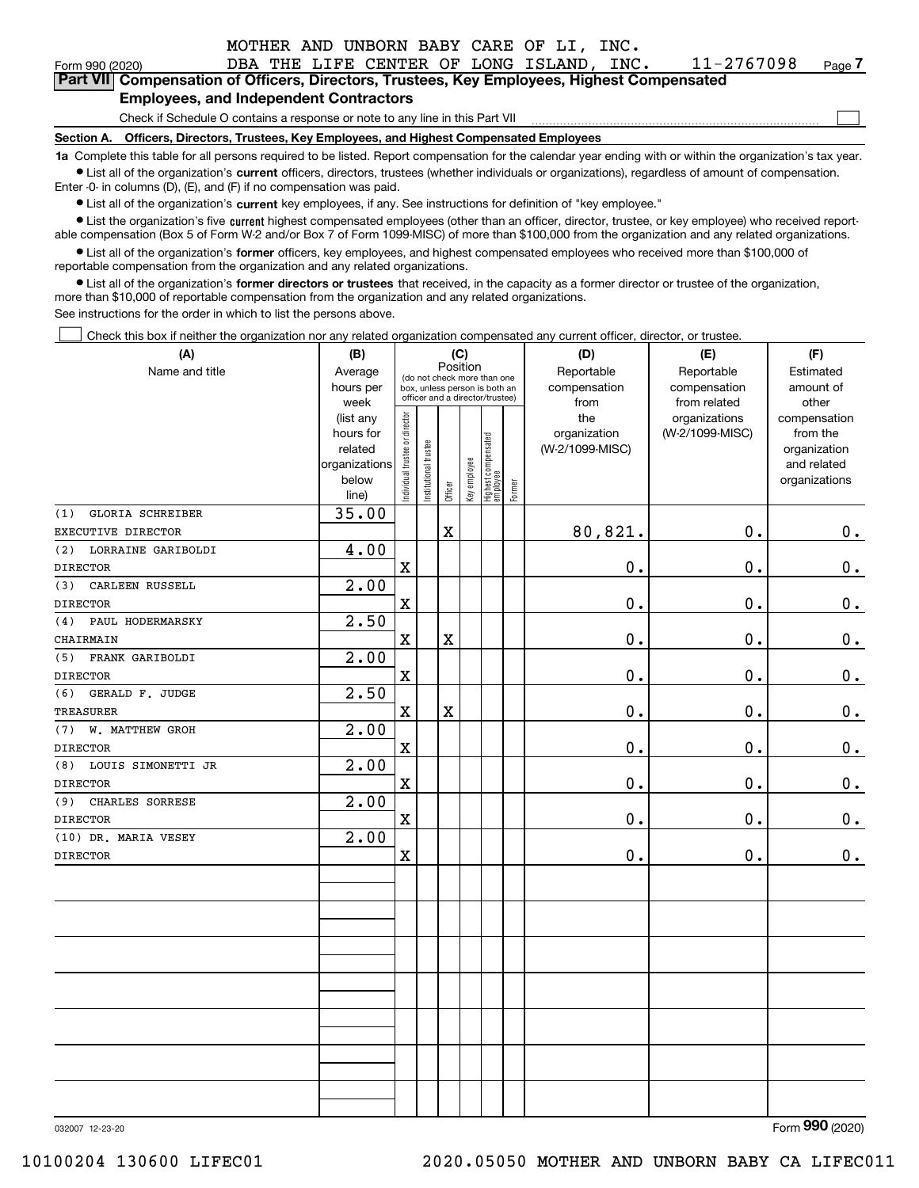|                                                                                            | MOTHER AND UNBORN BABY CARE OF LI, INC.                                                                                                                    |      |            |      |  |  |  |  |  |  |
|--------------------------------------------------------------------------------------------|------------------------------------------------------------------------------------------------------------------------------------------------------------|------|------------|------|--|--|--|--|--|--|
| Form 990 (2020)                                                                            | DBA THE LIFE CENTER OF LONG ISLAND,                                                                                                                        | INC. | 11-2767098 | Page |  |  |  |  |  |  |
| Part VII Compensation of Officers, Directors, Trustees, Key Employees, Highest Compensated |                                                                                                                                                            |      |            |      |  |  |  |  |  |  |
| <b>Employees, and Independent Contractors</b>                                              |                                                                                                                                                            |      |            |      |  |  |  |  |  |  |
| Check if Schedule O contains a response or note to any line in this Part VII               |                                                                                                                                                            |      |            |      |  |  |  |  |  |  |
| Section A. Officers, Directors, Trustees, Key Employees, and Highest Compensated Employees |                                                                                                                                                            |      |            |      |  |  |  |  |  |  |
|                                                                                            | 1a Complete this table for all persons required to be listed. Report compensation for the calendar year ending with or within the organization's tax year. |      |            |      |  |  |  |  |  |  |
|                                                                                            | • List all of the organization's current officers, directors, trustees (whether individuals or organizations), regardless of amount of compensation.       |      |            |      |  |  |  |  |  |  |
|                                                                                            | Enter $-0$ in columns (D), (E), and (F) if no compensation was paid.                                                                                       |      |            |      |  |  |  |  |  |  |

 $\bullet$  List all of the organization's  $\,$ current key employees, if any. See instructions for definition of "key employee."

**•** List the organization's five current highest compensated employees (other than an officer, director, trustee, or key employee) who received reportable compensation (Box 5 of Form W-2 and/or Box 7 of Form 1099-MISC) of more than \$100,000 from the organization and any related organizations.

**•** List all of the organization's former officers, key employees, and highest compensated employees who received more than \$100,000 of reportable compensation from the organization and any related organizations.

**former directors or trustees**  ¥ List all of the organization's that received, in the capacity as a former director or trustee of the organization, more than \$10,000 of reportable compensation from the organization and any related organizations.

See instructions for the order in which to list the persons above.

Check this box if neither the organization nor any related organization compensated any current officer, director, or trustee.  $\mathcal{L}^{\text{max}}$ 

| (A)                       | (B)                                                                  |                                |                       | (C)                   |              |                                                                                                 |        | (D)                                    | (E)                                        | (F)                                                                      |
|---------------------------|----------------------------------------------------------------------|--------------------------------|-----------------------|-----------------------|--------------|-------------------------------------------------------------------------------------------------|--------|----------------------------------------|--------------------------------------------|--------------------------------------------------------------------------|
| Name and title            | Average<br>hours per<br>week                                         |                                |                       | Position              |              | (do not check more than one<br>box, unless person is both an<br>officer and a director/trustee) |        | Reportable<br>compensation<br>from     | Reportable<br>compensation<br>from related | Estimated<br>amount of<br>other                                          |
|                           | (list any<br>hours for<br>related<br>organizations<br>below<br>line) | Individual trustee or director | Institutional trustee | Officer               | Key employee | Highest compensated<br>  employee                                                               | Former | the<br>organization<br>(W-2/1099-MISC) | organizations<br>(W-2/1099-MISC)           | compensation<br>from the<br>organization<br>and related<br>organizations |
| GLORIA SCHREIBER<br>(1)   | 35.00                                                                |                                |                       |                       |              |                                                                                                 |        |                                        |                                            |                                                                          |
| EXECUTIVE DIRECTOR        |                                                                      |                                |                       | $\mathbf X$           |              |                                                                                                 |        | 80,821.                                | 0.                                         | $0_{.}$                                                                  |
| (2)<br>LORRAINE GARIBOLDI | 4.00                                                                 |                                |                       |                       |              |                                                                                                 |        |                                        |                                            |                                                                          |
| <b>DIRECTOR</b>           |                                                                      | $\mathbf X$                    |                       |                       |              |                                                                                                 |        | 0.                                     | 0.                                         | $0_{.}$                                                                  |
| CARLEEN RUSSELL<br>(3)    | 2.00                                                                 |                                |                       |                       |              |                                                                                                 |        |                                        |                                            |                                                                          |
| <b>DIRECTOR</b>           |                                                                      | $\mathbf X$                    |                       |                       |              |                                                                                                 |        | $\mathbf 0$ .                          | 0.                                         | $\mathbf 0$ .                                                            |
| (4)<br>PAUL HODERMARSKY   | 2.50                                                                 |                                |                       |                       |              |                                                                                                 |        |                                        |                                            |                                                                          |
| CHAIRMAIN                 |                                                                      | $\mathbf X$                    |                       | $\overline{\text{X}}$ |              |                                                                                                 |        | 0.                                     | 0.                                         | $\mathbf 0$ .                                                            |
| FRANK GARIBOLDI<br>(5)    | 2.00                                                                 |                                |                       |                       |              |                                                                                                 |        |                                        |                                            |                                                                          |
| <b>DIRECTOR</b>           |                                                                      | $\mathbf x$                    |                       |                       |              |                                                                                                 |        | 0.                                     | 0.                                         | $0_{.}$                                                                  |
| GERALD F. JUDGE<br>(6)    | 2.50                                                                 |                                |                       |                       |              |                                                                                                 |        |                                        |                                            |                                                                          |
| TREASURER                 |                                                                      | $\mathbf x$                    |                       | X                     |              |                                                                                                 |        | 0.                                     | 0.                                         | $\mathbf 0$ .                                                            |
| W. MATTHEW GROH<br>(7)    | 2.00                                                                 |                                |                       |                       |              |                                                                                                 |        |                                        |                                            |                                                                          |
| <b>DIRECTOR</b>           |                                                                      | $\mathbf x$                    |                       |                       |              |                                                                                                 |        | 0.                                     | 0.                                         | $\mathbf 0$ .                                                            |
| LOUIS SIMONETTI JR<br>(8) | 2.00                                                                 |                                |                       |                       |              |                                                                                                 |        |                                        |                                            |                                                                          |
| <b>DIRECTOR</b>           |                                                                      | $\mathbf X$                    |                       |                       |              |                                                                                                 |        | 0.                                     | 0.                                         | $\mathbf 0$ .                                                            |
| CHARLES SORRESE<br>(9)    | 2.00                                                                 |                                |                       |                       |              |                                                                                                 |        |                                        |                                            |                                                                          |
| <b>DIRECTOR</b>           |                                                                      | $\mathbf X$                    |                       |                       |              |                                                                                                 |        | 0.                                     | 0.                                         | $0_{.}$                                                                  |
| (10) DR. MARIA VESEY      | 2.00                                                                 |                                |                       |                       |              |                                                                                                 |        |                                        |                                            |                                                                          |
| <b>DIRECTOR</b>           |                                                                      | $\mathbf X$                    |                       |                       |              |                                                                                                 |        | $\mathbf 0$ .                          | $0$ .                                      | 0.                                                                       |
|                           |                                                                      |                                |                       |                       |              |                                                                                                 |        |                                        |                                            |                                                                          |
|                           |                                                                      |                                |                       |                       |              |                                                                                                 |        |                                        |                                            |                                                                          |
|                           |                                                                      |                                |                       |                       |              |                                                                                                 |        |                                        |                                            |                                                                          |
|                           |                                                                      |                                |                       |                       |              |                                                                                                 |        |                                        |                                            |                                                                          |
|                           |                                                                      |                                |                       |                       |              |                                                                                                 |        |                                        |                                            |                                                                          |
|                           |                                                                      |                                |                       |                       |              |                                                                                                 |        |                                        |                                            |                                                                          |

032007 12-23-20

Form (2020) **990**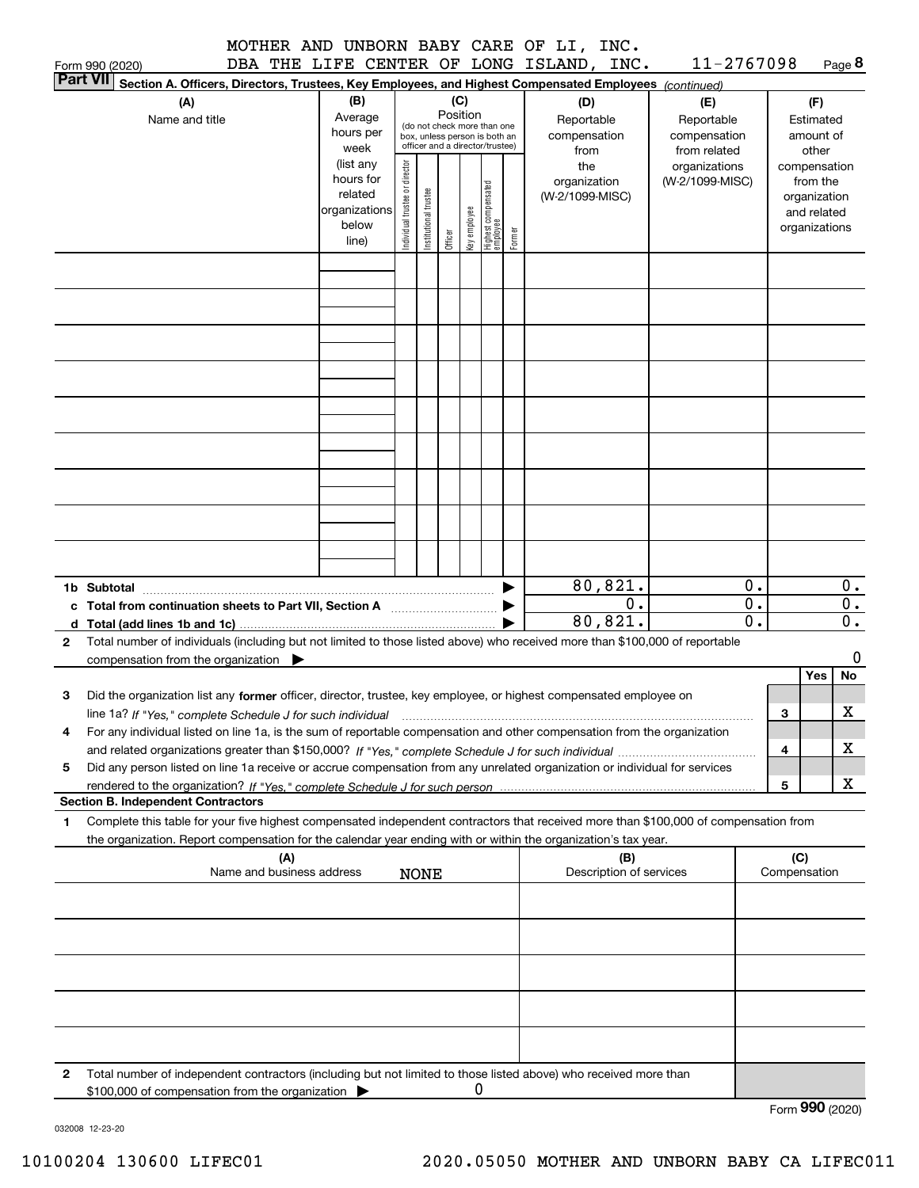|                                                                                                                                           |                        |                                |                       |          |              |                                                                  |        | MOTHER AND UNBORN BABY CARE OF LI, INC. |     |                              |                |                     |             |
|-------------------------------------------------------------------------------------------------------------------------------------------|------------------------|--------------------------------|-----------------------|----------|--------------|------------------------------------------------------------------|--------|-----------------------------------------|-----|------------------------------|----------------|---------------------|-------------|
| DBA<br>Form 990 (2020)                                                                                                                    |                        |                                |                       |          |              |                                                                  |        | THE LIFE CENTER OF LONG ISLAND, INC.    |     | 11-2767098                   |                |                     | Page 8      |
| <b>Part VII</b><br>Section A. Officers, Directors, Trustees, Key Employees, and Highest Compensated Employees (continued)                 |                        |                                |                       |          |              |                                                                  |        |                                         |     |                              |                |                     |             |
| (A)                                                                                                                                       | (B)                    |                                |                       | Position | (C)          |                                                                  |        | (D)                                     |     | (E)                          |                | (F)                 |             |
| Name and title                                                                                                                            | Average<br>hours per   |                                |                       |          |              | (do not check more than one                                      |        | Reportable                              |     | Reportable                   |                | Estimated           |             |
|                                                                                                                                           | week                   |                                |                       |          |              | box, unless person is both an<br>officer and a director/trustee) |        | compensation<br>from                    |     | compensation<br>from related |                | amount of<br>other  |             |
|                                                                                                                                           | (list any              |                                |                       |          |              |                                                                  |        | the                                     |     | organizations                |                | compensation        |             |
|                                                                                                                                           | hours for              |                                |                       |          |              |                                                                  |        | organization                            |     | (W-2/1099-MISC)              |                | from the            |             |
|                                                                                                                                           | related                |                                |                       |          |              |                                                                  |        | (W-2/1099-MISC)                         |     |                              |                | organization        |             |
|                                                                                                                                           | organizations<br>below |                                |                       |          |              |                                                                  |        |                                         |     |                              |                | and related         |             |
|                                                                                                                                           | line)                  | Individual trustee or director | Institutional trustee | Officer  | Key employee | Highest compensated<br>employee                                  | Former |                                         |     |                              |                | organizations       |             |
|                                                                                                                                           |                        |                                |                       |          |              |                                                                  |        |                                         |     |                              |                |                     |             |
|                                                                                                                                           |                        |                                |                       |          |              |                                                                  |        |                                         |     |                              |                |                     |             |
|                                                                                                                                           |                        |                                |                       |          |              |                                                                  |        |                                         |     |                              |                |                     |             |
|                                                                                                                                           |                        |                                |                       |          |              |                                                                  |        |                                         |     |                              |                |                     |             |
|                                                                                                                                           |                        |                                |                       |          |              |                                                                  |        |                                         |     |                              |                |                     |             |
|                                                                                                                                           |                        |                                |                       |          |              |                                                                  |        |                                         |     |                              |                |                     |             |
|                                                                                                                                           |                        |                                |                       |          |              |                                                                  |        |                                         |     |                              |                |                     |             |
|                                                                                                                                           |                        |                                |                       |          |              |                                                                  |        |                                         |     |                              |                |                     |             |
|                                                                                                                                           |                        |                                |                       |          |              |                                                                  |        |                                         |     |                              |                |                     |             |
|                                                                                                                                           |                        |                                |                       |          |              |                                                                  |        |                                         |     |                              |                |                     |             |
|                                                                                                                                           |                        |                                |                       |          |              |                                                                  |        |                                         |     |                              |                |                     |             |
|                                                                                                                                           |                        |                                |                       |          |              |                                                                  |        |                                         |     |                              |                |                     |             |
|                                                                                                                                           |                        |                                |                       |          |              |                                                                  |        |                                         |     |                              |                |                     |             |
|                                                                                                                                           |                        |                                |                       |          |              |                                                                  |        |                                         |     |                              |                |                     |             |
| 1b Subtotal                                                                                                                               |                        |                                |                       |          |              |                                                                  |        | 80, 821.                                |     |                              | $\mathbf 0$ .  |                     | 0.          |
| Total from continuation sheets to Part Ⅶ, Section A ((())) →                                                                              |                        |                                |                       |          |              |                                                                  |        |                                         | 0.  |                              | $\mathbf 0$ .  |                     | 0.          |
| d Total (add lines 1b and 1c).                                                                                                            |                        |                                |                       |          |              |                                                                  |        | 80,821.                                 |     |                              | $\mathbf{0}$ . |                     | 0.          |
| Total number of individuals (including but not limited to those listed above) who received more than \$100,000 of reportable<br>2         |                        |                                |                       |          |              |                                                                  |        |                                         |     |                              |                |                     |             |
| compensation from the organization $\qquad \qquad$                                                                                        |                        |                                |                       |          |              |                                                                  |        |                                         |     |                              |                |                     | 0           |
|                                                                                                                                           |                        |                                |                       |          |              |                                                                  |        |                                         |     |                              |                | Yes                 | No          |
| З<br>Did the organization list any former officer, director, trustee, key employee, or highest compensated employee on                    |                        |                                |                       |          |              |                                                                  |        |                                         |     |                              |                |                     | $\mathbf X$ |
| line 1a? If "Yes," complete Schedule J for such individual                                                                                |                        |                                |                       |          |              |                                                                  |        |                                         |     |                              |                | з                   |             |
| For any individual listed on line 1a, is the sum of reportable compensation and other compensation from the organization<br>4             |                        |                                |                       |          |              |                                                                  |        |                                         |     |                              |                | 4                   | х           |
| Did any person listed on line 1a receive or accrue compensation from any unrelated organization or individual for services<br>5           |                        |                                |                       |          |              |                                                                  |        |                                         |     |                              |                |                     |             |
|                                                                                                                                           |                        |                                |                       |          |              |                                                                  |        |                                         |     |                              |                | 5                   | x           |
| <b>Section B. Independent Contractors</b>                                                                                                 |                        |                                |                       |          |              |                                                                  |        |                                         |     |                              |                |                     |             |
| Complete this table for your five highest compensated independent contractors that received more than \$100,000 of compensation from<br>1 |                        |                                |                       |          |              |                                                                  |        |                                         |     |                              |                |                     |             |
| the organization. Report compensation for the calendar year ending with or within the organization's tax year.                            |                        |                                |                       |          |              |                                                                  |        |                                         |     |                              |                |                     |             |
| (A)<br>Name and business address                                                                                                          |                        |                                | <b>NONE</b>           |          |              |                                                                  |        | Description of services                 | (B) |                              |                | (C)<br>Compensation |             |
|                                                                                                                                           |                        |                                |                       |          |              |                                                                  |        |                                         |     |                              |                |                     |             |
|                                                                                                                                           |                        |                                |                       |          |              |                                                                  |        |                                         |     |                              |                |                     |             |
|                                                                                                                                           |                        |                                |                       |          |              |                                                                  |        |                                         |     |                              |                |                     |             |
|                                                                                                                                           |                        |                                |                       |          |              |                                                                  |        |                                         |     |                              |                |                     |             |
|                                                                                                                                           |                        |                                |                       |          |              |                                                                  |        |                                         |     |                              |                |                     |             |
|                                                                                                                                           |                        |                                |                       |          |              |                                                                  |        |                                         |     |                              |                |                     |             |

**2**Total number of independent contractors (including but not limited to those listed above) who received more than \$100,000 of compensation from the organization  $\blacktriangleright$ 0

Form (2020) **990**

032008 12-23-20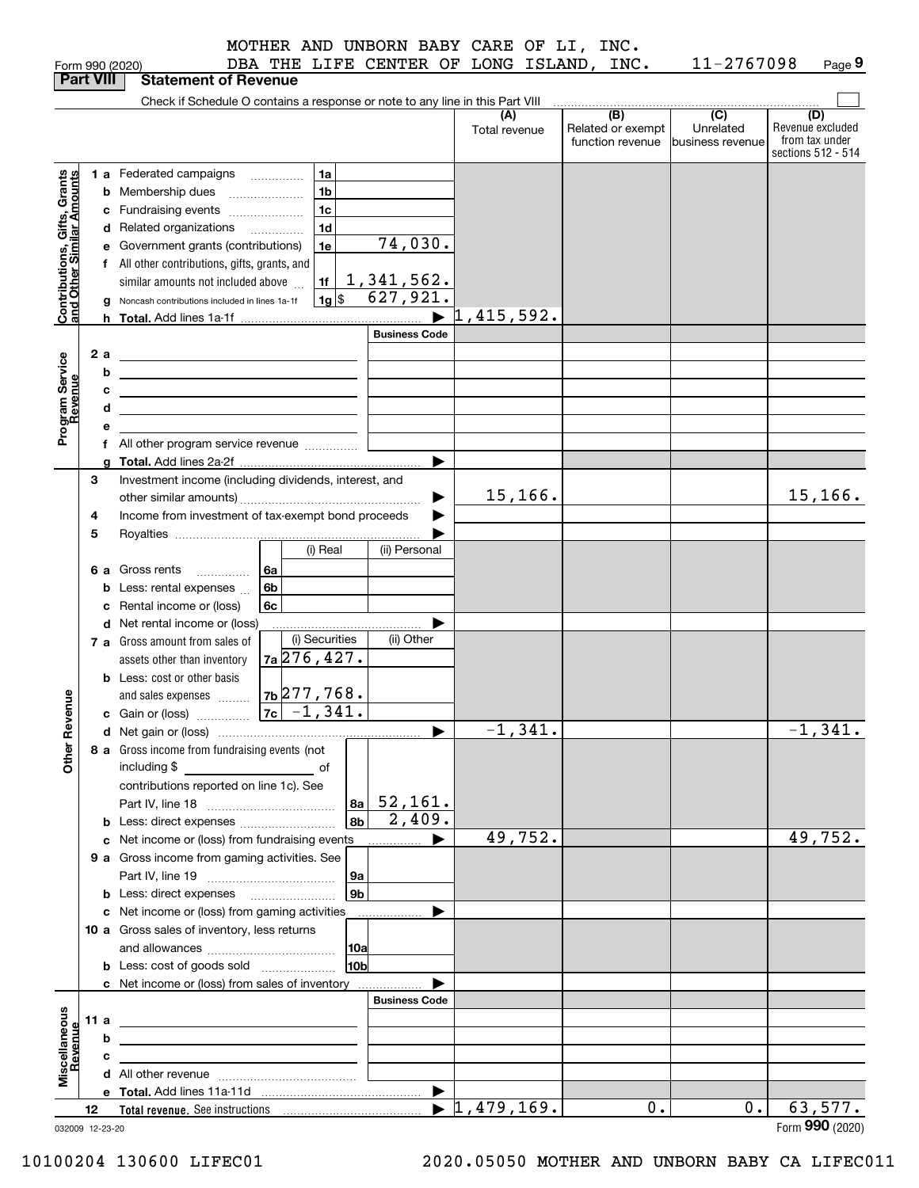|                                                           |      |    | DBA THE LIFE CENTER OF LONG ISLAND, INC.<br>Form 990 (2020)                                                            |                               |                      |                      |         |                                                           | 11-2767098                                        | Page 9                                                          |
|-----------------------------------------------------------|------|----|------------------------------------------------------------------------------------------------------------------------|-------------------------------|----------------------|----------------------|---------|-----------------------------------------------------------|---------------------------------------------------|-----------------------------------------------------------------|
| <b>Part VIII</b>                                          |      |    | <b>Statement of Revenue</b>                                                                                            |                               |                      |                      |         |                                                           |                                                   |                                                                 |
|                                                           |      |    | Check if Schedule O contains a response or note to any line in this Part VIII                                          |                               |                      |                      |         |                                                           |                                                   |                                                                 |
|                                                           |      |    |                                                                                                                        |                               |                      | (A)<br>Total revenue |         | $\overline{(B)}$<br>Related or exempt<br>function revenue | $\overline{(C)}$<br>Unrelated<br>business revenue | (D)<br>Revenue excluded<br>from tax under<br>sections 512 - 514 |
|                                                           |      |    | 1 a Federated campaigns<br>1a                                                                                          |                               |                      |                      |         |                                                           |                                                   |                                                                 |
| Contributions, Gifts, Grants<br>and Other Similar Amounts |      |    | 1 <sub>b</sub><br><b>b</b> Membership dues                                                                             |                               |                      |                      |         |                                                           |                                                   |                                                                 |
|                                                           |      |    | 1c<br>c Fundraising events                                                                                             |                               |                      |                      |         |                                                           |                                                   |                                                                 |
|                                                           |      |    | 1 <sub>d</sub><br>d Related organizations                                                                              |                               |                      |                      |         |                                                           |                                                   |                                                                 |
|                                                           |      |    | e Government grants (contributions)<br>1e                                                                              |                               | 74,030.              |                      |         |                                                           |                                                   |                                                                 |
|                                                           |      |    | f All other contributions, gifts, grants, and                                                                          |                               |                      |                      |         |                                                           |                                                   |                                                                 |
|                                                           |      |    | similar amounts not included above<br>1f                                                                               |                               |                      |                      |         |                                                           |                                                   |                                                                 |
|                                                           |      |    | $1g$ \$<br>g Noncash contributions included in lines 1a-1f                                                             | $\frac{1,341,562.}{627,921.}$ |                      |                      |         |                                                           |                                                   |                                                                 |
|                                                           |      |    |                                                                                                                        |                               |                      | 1,415,592.           |         |                                                           |                                                   |                                                                 |
|                                                           |      |    |                                                                                                                        |                               | <b>Business Code</b> |                      |         |                                                           |                                                   |                                                                 |
|                                                           |      | 2a | <u> 1989 - Johann Barn, mars and de Branch Barn, mars and de Branch Barn, mars and de Branch Barn, mars and de Br</u>  |                               |                      |                      |         |                                                           |                                                   |                                                                 |
|                                                           |      | b  | <u> 1989 - Johann Stoff, Amerikaansk politiker († 1908)</u>                                                            |                               |                      |                      |         |                                                           |                                                   |                                                                 |
|                                                           |      | с  | the control of the control of the control of the control of the control of                                             |                               |                      |                      |         |                                                           |                                                   |                                                                 |
|                                                           |      | d  | <u> 1989 - Johann Barn, amerikansk politiker (d. 1989)</u>                                                             |                               |                      |                      |         |                                                           |                                                   |                                                                 |
| Program Service<br>Revenue                                |      | е  |                                                                                                                        |                               |                      |                      |         |                                                           |                                                   |                                                                 |
|                                                           |      |    | f All other program service revenue                                                                                    |                               |                      |                      |         |                                                           |                                                   |                                                                 |
|                                                           |      |    |                                                                                                                        |                               |                      |                      |         |                                                           |                                                   |                                                                 |
|                                                           | 3    |    | Investment income (including dividends, interest, and                                                                  |                               |                      |                      |         |                                                           |                                                   |                                                                 |
|                                                           |      |    |                                                                                                                        |                               |                      |                      | 15,166. |                                                           |                                                   | 15, 166.                                                        |
|                                                           | 4    |    | Income from investment of tax-exempt bond proceeds                                                                     |                               |                      |                      |         |                                                           |                                                   |                                                                 |
|                                                           | 5    |    |                                                                                                                        |                               |                      |                      |         |                                                           |                                                   |                                                                 |
|                                                           |      |    | (i) Real                                                                                                               |                               | (ii) Personal        |                      |         |                                                           |                                                   |                                                                 |
|                                                           |      |    | 6 a Gross rents<br>6a<br>$\ldots \ldots \ldots$                                                                        |                               |                      |                      |         |                                                           |                                                   |                                                                 |
|                                                           |      |    | 6 <sub>b</sub><br><b>b</b> Less: rental expenses                                                                       |                               |                      |                      |         |                                                           |                                                   |                                                                 |
|                                                           |      |    | 6c<br>c Rental income or (loss)                                                                                        |                               |                      |                      |         |                                                           |                                                   |                                                                 |
|                                                           |      |    | d Net rental income or (loss)                                                                                          |                               |                      |                      |         |                                                           |                                                   |                                                                 |
|                                                           |      |    | (i) Securities<br>7 a Gross amount from sales of                                                                       |                               | (ii) Other           |                      |         |                                                           |                                                   |                                                                 |
|                                                           |      |    | 7a 276, 427.<br>assets other than inventory                                                                            |                               |                      |                      |         |                                                           |                                                   |                                                                 |
|                                                           |      |    | <b>b</b> Less: cost or other basis                                                                                     |                               |                      |                      |         |                                                           |                                                   |                                                                 |
|                                                           |      |    | $7b$ 277, 768.<br>and sales expenses                                                                                   |                               |                      |                      |         |                                                           |                                                   |                                                                 |
| evenue                                                    |      |    | $\boxed{7c}$ -1,341.<br>c Gain or (loss)                                                                               |                               |                      |                      |         |                                                           |                                                   |                                                                 |
| œ                                                         |      |    |                                                                                                                        |                               |                      |                      | 1,341.  |                                                           |                                                   | $-1,341.$                                                       |
| Other                                                     |      |    | 8 a Gross income from fundraising events (not<br>including \$<br><u>of</u> of                                          |                               |                      |                      |         |                                                           |                                                   |                                                                 |
|                                                           |      |    | contributions reported on line 1c). See                                                                                |                               |                      |                      |         |                                                           |                                                   |                                                                 |
|                                                           |      |    |                                                                                                                        | $ a_2 $ 52, 161.              |                      |                      |         |                                                           |                                                   |                                                                 |
|                                                           |      |    | <b>b</b> Less: direct expenses                                                                                         | 8 <sub>b</sub>                | 2,409.               |                      |         |                                                           |                                                   |                                                                 |
|                                                           |      |    | c Net income or (loss) from fundraising events                                                                         |                               | ▶                    |                      | 49,752. |                                                           |                                                   | 49,752.                                                         |
|                                                           |      |    | 9 a Gross income from gaming activities. See                                                                           |                               |                      |                      |         |                                                           |                                                   |                                                                 |
|                                                           |      |    |                                                                                                                        | 9a                            |                      |                      |         |                                                           |                                                   |                                                                 |
|                                                           |      |    |                                                                                                                        | 9 <sub>b</sub>                |                      |                      |         |                                                           |                                                   |                                                                 |
|                                                           |      |    | c Net income or (loss) from gaming activities _______________                                                          |                               |                      |                      |         |                                                           |                                                   |                                                                 |
|                                                           |      |    | 10 a Gross sales of inventory, less returns                                                                            |                               |                      |                      |         |                                                           |                                                   |                                                                 |
|                                                           |      |    |                                                                                                                        | 10a<br><b>10b</b>             |                      |                      |         |                                                           |                                                   |                                                                 |
|                                                           |      |    | <b>b</b> Less: cost of goods sold                                                                                      |                               |                      |                      |         |                                                           |                                                   |                                                                 |
|                                                           |      |    | c Net income or (loss) from sales of inventory                                                                         |                               | <b>Business Code</b> |                      |         |                                                           |                                                   |                                                                 |
|                                                           |      |    |                                                                                                                        |                               |                      |                      |         |                                                           |                                                   |                                                                 |
|                                                           | 11 a |    | <u> 1989 - Johann Stein, marwolaethau a bhann an t-Albann an t-Albann an t-Albann an t-Albann an t-Albann an t-Alb</u> |                               |                      |                      |         |                                                           |                                                   |                                                                 |
|                                                           |      | b  | <u> 1989 - Johann Barbara, martxa alemaniar arg</u>                                                                    |                               |                      |                      |         |                                                           |                                                   |                                                                 |
| Miscellaneous<br>Revenue                                  |      | c  | <u> 1989 - Johann Stein, mars an deus an deus Amerikaanse komme</u>                                                    |                               |                      |                      |         |                                                           |                                                   |                                                                 |
|                                                           |      |    |                                                                                                                        |                               |                      |                      |         |                                                           |                                                   |                                                                 |
|                                                           | 12   |    |                                                                                                                        |                               |                      | 1,479,169.           |         | 0.                                                        | $0$ .                                             | 63,577.                                                         |
| 032009 12-23-20                                           |      |    |                                                                                                                        |                               |                      |                      |         |                                                           |                                                   | Form 990 (2020)                                                 |
|                                                           |      |    |                                                                                                                        |                               |                      |                      |         |                                                           |                                                   |                                                                 |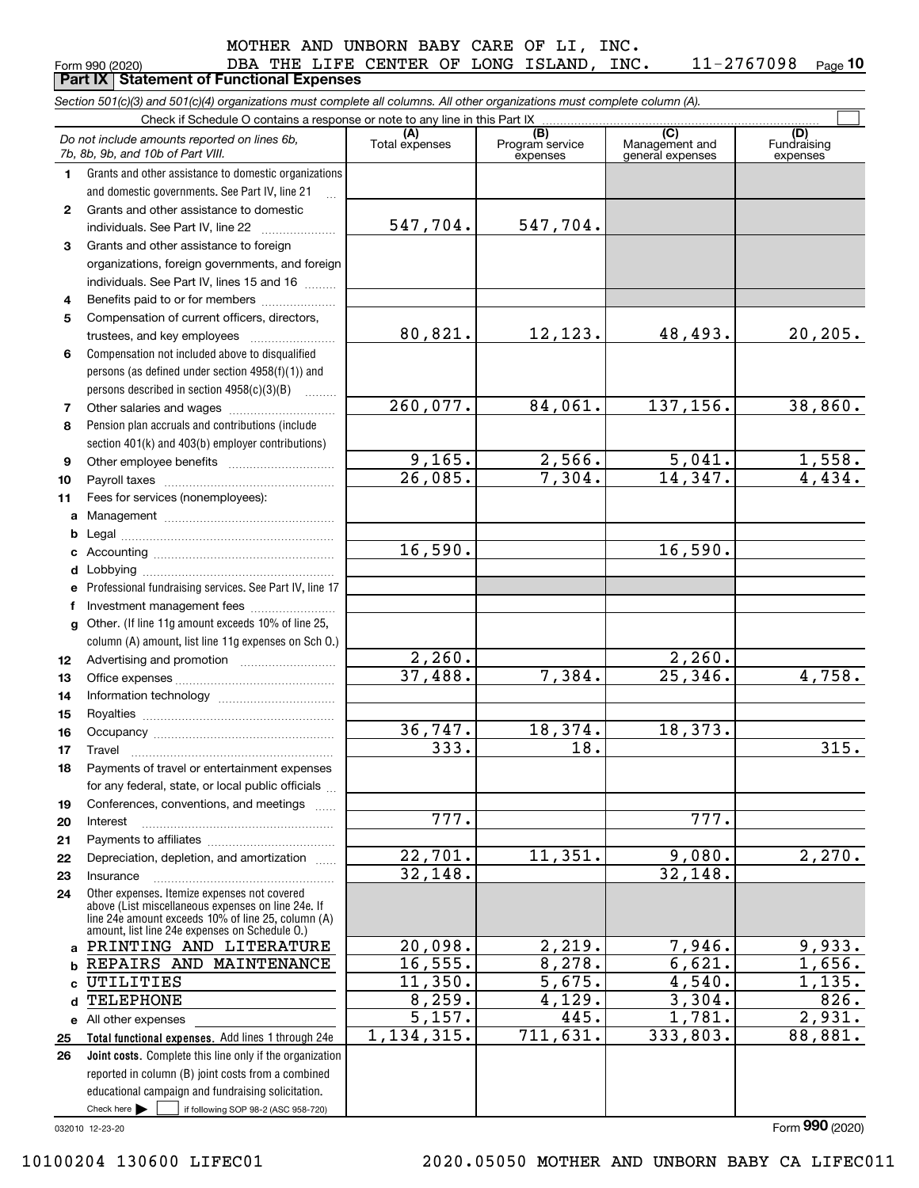DBA THE LIFE CENTER OF LONG ISLAND, INC. 11-2767098

**10**

|              | Form 990 (2020)<br><b>Part IX   Statement of Functional Expenses</b>                                                                                                                                       | DBA THE LIFE CENTER OF LONG ISLAND, |                                    | TMC.                                      | $11 - 2101098$<br>Page 10      |
|--------------|------------------------------------------------------------------------------------------------------------------------------------------------------------------------------------------------------------|-------------------------------------|------------------------------------|-------------------------------------------|--------------------------------|
|              | Section 501(c)(3) and 501(c)(4) organizations must complete all columns. All other organizations must complete column (A).                                                                                 |                                     |                                    |                                           |                                |
|              | Check if Schedule O contains a response or note to any line in this Part IX                                                                                                                                |                                     |                                    |                                           |                                |
|              | Do not include amounts reported on lines 6b,<br>7b, 8b, 9b, and 10b of Part VIII.                                                                                                                          | (A)<br>Total expenses               | (B)<br>Program service<br>expenses | (C)<br>Management and<br>general expenses | (D)<br>Fundraising<br>expenses |
| 1.           | Grants and other assistance to domestic organizations                                                                                                                                                      |                                     |                                    |                                           |                                |
|              | and domestic governments. See Part IV, line 21                                                                                                                                                             |                                     |                                    |                                           |                                |
| $\mathbf{2}$ | Grants and other assistance to domestic                                                                                                                                                                    |                                     |                                    |                                           |                                |
|              | individuals. See Part IV, line 22                                                                                                                                                                          | 547,704.                            | 547,704.                           |                                           |                                |
| 3            | Grants and other assistance to foreign                                                                                                                                                                     |                                     |                                    |                                           |                                |
|              | organizations, foreign governments, and foreign                                                                                                                                                            |                                     |                                    |                                           |                                |
|              | individuals. See Part IV, lines 15 and 16                                                                                                                                                                  |                                     |                                    |                                           |                                |
| 4            | Benefits paid to or for members                                                                                                                                                                            |                                     |                                    |                                           |                                |
| 5            | Compensation of current officers, directors,                                                                                                                                                               |                                     |                                    |                                           |                                |
|              | trustees, and key employees                                                                                                                                                                                | 80,821.                             | 12,123.                            | 48,493.                                   | 20, 205.                       |
| 6            | Compensation not included above to disqualified                                                                                                                                                            |                                     |                                    |                                           |                                |
|              | persons (as defined under section 4958(f)(1)) and                                                                                                                                                          |                                     |                                    |                                           |                                |
|              | persons described in section 4958(c)(3)(B)                                                                                                                                                                 |                                     |                                    |                                           |                                |
| 7            |                                                                                                                                                                                                            | 260,077.                            | 84,061.                            | 137,156.                                  | 38,860.                        |
| 8            | Pension plan accruals and contributions (include                                                                                                                                                           |                                     |                                    |                                           |                                |
|              | section 401(k) and 403(b) employer contributions)                                                                                                                                                          |                                     |                                    |                                           |                                |
| 9            |                                                                                                                                                                                                            | 9,165.                              | 2,566.                             | 5,041.                                    | <u>1,558.</u>                  |
| 10           |                                                                                                                                                                                                            | $\overline{26,085}$ .               | 7,304.                             | 14,347.                                   | 4,434.                         |
| 11           | Fees for services (nonemployees):                                                                                                                                                                          |                                     |                                    |                                           |                                |
| a            |                                                                                                                                                                                                            |                                     |                                    |                                           |                                |
| b            |                                                                                                                                                                                                            | 16,590.                             |                                    | 16,590.                                   |                                |
| с            |                                                                                                                                                                                                            |                                     |                                    |                                           |                                |
| d            | Professional fundraising services. See Part IV, line 17                                                                                                                                                    |                                     |                                    |                                           |                                |
| е<br>f       | Investment management fees                                                                                                                                                                                 |                                     |                                    |                                           |                                |
| g            | Other. (If line 11g amount exceeds 10% of line 25,                                                                                                                                                         |                                     |                                    |                                           |                                |
|              | column (A) amount, list line 11g expenses on Sch O.)                                                                                                                                                       |                                     |                                    |                                           |                                |
| 12           |                                                                                                                                                                                                            | $\overline{2}$ , 260.               |                                    | 2,260.                                    |                                |
| 13           |                                                                                                                                                                                                            | $\overline{37}$ , 488.              | 7,384.                             | 25,346.                                   | 4,758.                         |
| 14           |                                                                                                                                                                                                            |                                     |                                    |                                           |                                |
| 15           |                                                                                                                                                                                                            |                                     |                                    |                                           |                                |
| 16           | Occupancy                                                                                                                                                                                                  | 36, 747.                            | 18,374.                            | 18,373.                                   |                                |
| 17           | Travel                                                                                                                                                                                                     | $\overline{3}33.$                   | 18.                                |                                           | 315.                           |
| 18           | Payments of travel or entertainment expenses                                                                                                                                                               |                                     |                                    |                                           |                                |
|              | for any federal, state, or local public officials                                                                                                                                                          |                                     |                                    |                                           |                                |
| 19           | Conferences, conventions, and meetings                                                                                                                                                                     |                                     |                                    |                                           |                                |
| 20           | Interest                                                                                                                                                                                                   | 777.                                |                                    | 777.                                      |                                |
| 21           |                                                                                                                                                                                                            |                                     |                                    |                                           |                                |
| 22           | Depreciation, depletion, and amortization                                                                                                                                                                  | 22,701.                             | 11,351.                            | 9,080.                                    | 2,270.                         |
| 23           | Insurance                                                                                                                                                                                                  | 32,148.                             |                                    | 32,148.                                   |                                |
| 24           | Other expenses. Itemize expenses not covered<br>above (List miscellaneous expenses on line 24e. If<br>line 24e amount exceeds 10% of line 25, column (A)<br>amount, list line 24e expenses on Schedule O.) |                                     |                                    |                                           |                                |
| a            | PRINTING AND LITERATURE                                                                                                                                                                                    | 20,098.                             | 2,219.                             | 7,946.                                    | 9,933.                         |
| b            | REPAIRS AND MAINTENANCE<br>UTILITIES                                                                                                                                                                       | 16, 555.<br>11,350.                 | 8,278.<br>5,675.                   | 6,621.<br>4,540.                          | 1,656.<br>1,135.               |
| c            | <b>TELEPHONE</b>                                                                                                                                                                                           | 8, 259.                             | 4,129.                             | 3,304.                                    | 826.                           |
| d            |                                                                                                                                                                                                            | 5,157.                              | 445.                               | 1,781.                                    | 2,931.                         |
| 25           | e All other expenses<br>Total functional expenses. Add lines 1 through 24e                                                                                                                                 | 1, 134, 315.                        | 711,631.                           | 333,803.                                  | 88,881.                        |
| 26           | Joint costs. Complete this line only if the organization                                                                                                                                                   |                                     |                                    |                                           |                                |
|              | reported in column (B) joint costs from a combined                                                                                                                                                         |                                     |                                    |                                           |                                |
|              | educational campaign and fundraising solicitation.                                                                                                                                                         |                                     |                                    |                                           |                                |
|              | Check here $\blacktriangleright$<br>if following SOP 98-2 (ASC 958-720)                                                                                                                                    |                                     |                                    |                                           |                                |

032010 12-23-20

Form (2020) **990**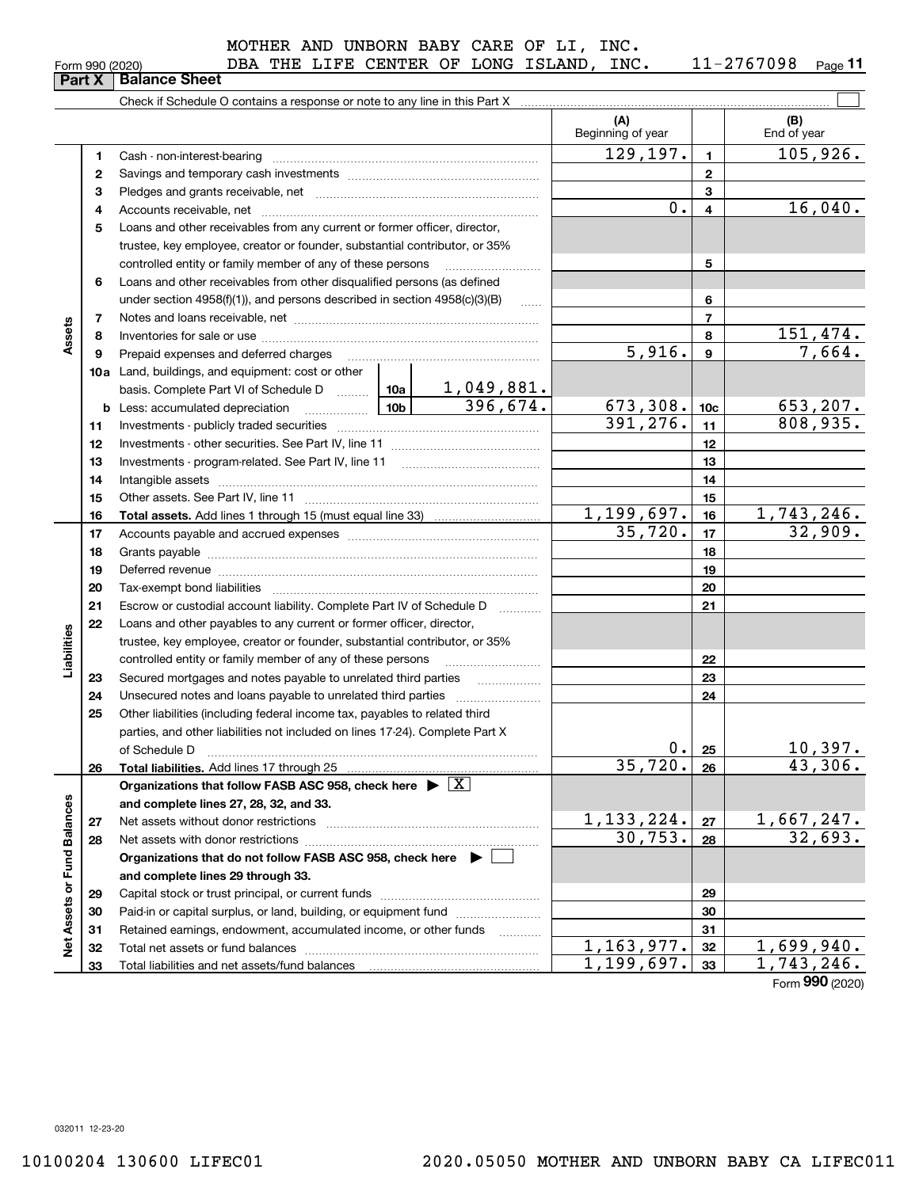|  | Form 990 (2020) |
|--|-----------------|
|  |                 |

**Part X** | Balance Sheet

#### MOTHER AND UNBORN BABY CARE OF LI, INC.

| Form 990 (2020) |  |  |  | DBA THE LIFE CENTER OF LONG ISLAND, | INC. | 11-2767098 | Page 11 |
|-----------------|--|--|--|-------------------------------------|------|------------|---------|

 $\mathcal{L}^{\text{max}}$ Check if Schedule O contains a response or note to any line in this Part X **(A) (B)** Beginning of year | Find of year  $129, 197. \vert 1 \vert 105, 926.$ **11**Cash - non-interest-bearing ~~~~~~~~~~~~~~~~~~~~~~~~~ **22**Savings and temporary cash investments ~~~~~~~~~~~~~~~~~~**33**Pledges and grants receivable, net ~~~~~~~~~~~~~~~~~~~~~  $0. |4$  16,040. Accounts receivable, net ~~~~~~~~~~~~~~~~~~~~~~~~~~ **445**Loans and other receivables from any current or former officer, director, trustee, key employee, creator or founder, substantial contributor, or 35% controlled entity or family member of any of these persons ............................ **5**Loans and other receivables from other disqualified persons (as defined **6**under section  $4958(f)(1)$ , and persons described in section  $4958(c)(3)(B)$ **677**Notes and loans receivable, net ~~~~~~~~~~~~~~~~~~~~~~~**Assets** 151,474. **88**Inventories for sale or use ~~~~~~~~~~~~~~~~~~~~~~~~~~  $5,916.$  9 7,664. **99**Prepaid expenses and deferred charges ~~~~~~~~~~~~~~~~~~ **10a**Land, buildings, and equipment: cost or other 1,049,881. basis. Complete Part VI of Schedule D will aller  $396,674.$  673,308. 10c 653,207. **10cb** Less: accumulated depreciation  $\ldots$  **10b**  $391, 276$ .  $11$  808, 935. **1111**Investments - publicly traded securities ~~~~~~~~~~~~~~~~~~~ **1212**Investments - other securities. See Part IV, line 11 ~~~~~~~~~~~~~~ **1313**Investments - program-related. See Part IV, line 11 [2010] [2010] [2010] [2010] [2010] [2010] [2010] [2010] [2 **1414**Intangible assets ~~~~~~~~~~~~~~~~~~~~~~~~~~~~~~ Other assets. See Part IV, line 11 ~~~~~~~~~~~~~~~~~~~~~~ **1515** $1,199,697.$  16 1, 743, 246. **1616Total assets.**  Add lines 1 through 15 (must equal line 33)  $35,720.$   $17$   $32,909.$ **1717**Accounts payable and accrued expenses ~~~~~~~~~~~~~~~~~~ **1818**Grants payable ~~~~~~~~~~~~~~~~~~~~~~~~~~~~~~~ **1919**Deferred revenue ~~~~~~~~~~~~~~~~~~~~~~~~~~~~~~ **2020**Tax-exempt bond liabilities …………………………………………………………… Escrow or custodial account liability. Complete Part IV of Schedule D **212122**Loans and other payables to any current or former officer, director, iabilities **Liabilities** trustee, key employee, creator or founder, substantial contributor, or 35% controlled entity or family member of any of these persons ~~~~~~~~~**2223**Secured mortgages and notes payable to unrelated third parties **23**Unsecured notes and loans payable to unrelated third parties **242425**Other liabilities (including federal income tax, payables to related third parties, and other liabilities not included on lines 17-24). Complete Part X of Schedule D ~~~~~~~~~~~~~~~~~~~~~~~~~~~~~~~  $0. |25|$  10,397. **25** $35,720. |26| 43,306.$ **2626Total liabilities.**  Add lines 17 through 25 **Organizations that follow FASB ASC 958, check here** | X Assets or Fund Balances **Net Assets or Fund Balances and complete lines 27, 28, 32, and 33.**  $1,133,224. |z_7| 1,667,247.$ **2727**Net assets without donor restrictions ~~~~~~~~~~~~~~~~~~~~  $30,753. |28|$  32,693. **2828**Net assets with donor restrictions ~~~~~~~~~~~~~~~~~~~~~~**Organizations that do not follow FASB ASC 958, check here** | **and complete lines 29 through 33. 2929**Capital stock or trust principal, or current funds ~~~~~~~~~~~~~~~ **3030**Paid-in or capital surplus, or land, building, or equipment fund www.commun.com **3131**Retained earnings, endowment, accumulated income, or other funds www.com ğ Total net assets or fund balances ~~~~~~~~~~~~~~~~~~~~~~  $1,163,977.$   $32$  1,699,940. **3232** $1,199,697.$  33 1, 743, 246. Total liabilities and net assets/fund balances **3333**Form (2020) **990**

032011 12-23-20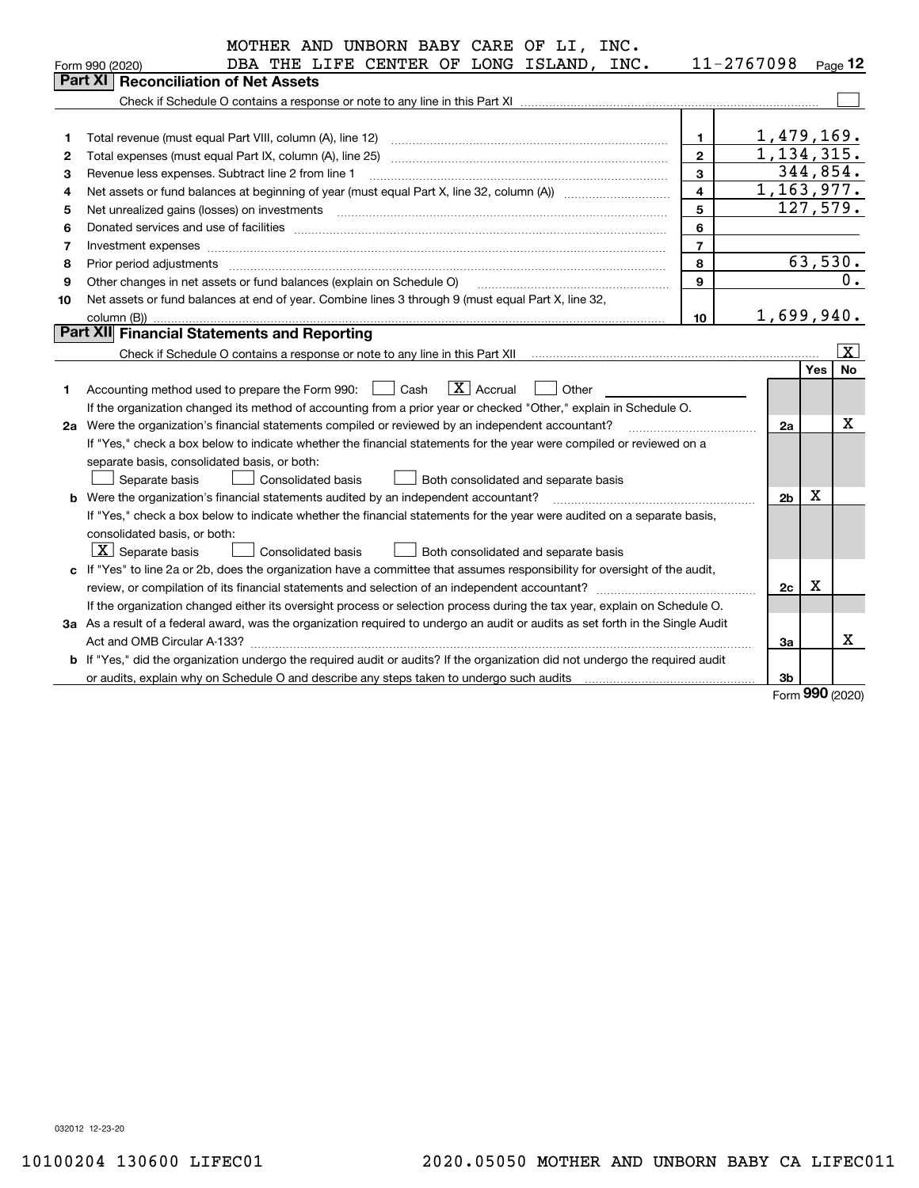|    | MOTHER AND UNBORN BABY CARE OF LI, INC.                                                                                                                                                                                        |                         |                |            |         |
|----|--------------------------------------------------------------------------------------------------------------------------------------------------------------------------------------------------------------------------------|-------------------------|----------------|------------|---------|
|    | DBA THE LIFE CENTER OF LONG ISLAND, INC.<br>Form 990 (2020)                                                                                                                                                                    |                         | 11-2767098     |            | Page 12 |
|    | Part XI   Reconciliation of Net Assets                                                                                                                                                                                         |                         |                |            |         |
|    |                                                                                                                                                                                                                                |                         |                |            |         |
|    |                                                                                                                                                                                                                                |                         |                |            |         |
| 1  | Total revenue (must equal Part VIII, column (A), line 12)                                                                                                                                                                      | $\mathbf{1}$            | 1,479,169.     |            |         |
| 2  | Total expenses (must equal Part IX, column (A), line 25)                                                                                                                                                                       | $\mathbf{2}$            | 1,134,315.     |            |         |
| з  | Revenue less expenses. Subtract line 2 from line 1                                                                                                                                                                             | $\mathbf{3}$            | 344,854.       |            |         |
| 4  | Net assets or fund balances at beginning of year (must equal Part X, line 32, column (A)) <i>manageredial</i>                                                                                                                  | $\overline{\mathbf{4}}$ | 1,163,977.     |            |         |
| 5  |                                                                                                                                                                                                                                | 5                       | 127,579.       |            |         |
| 6  | Donated services and use of facilities [111] matter contracts and the facilities in the matter of facilities [11] matter contracts and use of facilities [11] matter contracts and the service of the service of the service o | $\bf 6$                 |                |            |         |
| 7  |                                                                                                                                                                                                                                | $\overline{7}$          |                |            |         |
| 8  | Prior period adjustments                                                                                                                                                                                                       | 8                       |                |            | 63,530. |
| 9  | Other changes in net assets or fund balances (explain on Schedule O)                                                                                                                                                           | 9                       |                |            | $0$ .   |
| 10 | Net assets or fund balances at end of year. Combine lines 3 through 9 (must equal Part X, line 32,                                                                                                                             |                         |                |            |         |
|    | column (B))                                                                                                                                                                                                                    | 10                      | 1,699,940.     |            |         |
|    | Part XII Financial Statements and Reporting                                                                                                                                                                                    |                         |                |            |         |
|    |                                                                                                                                                                                                                                |                         |                |            | X       |
|    |                                                                                                                                                                                                                                |                         |                | <b>Yes</b> | No      |
| 1  | $\boxed{\mathbf{X}}$ Accrual<br>Accounting method used to prepare the Form 990: <u>June</u> Cash<br>Other                                                                                                                      |                         |                |            |         |
|    | If the organization changed its method of accounting from a prior year or checked "Other," explain in Schedule O.                                                                                                              |                         |                |            |         |
|    | 2a Were the organization's financial statements compiled or reviewed by an independent accountant?                                                                                                                             |                         | 2a             |            | х       |
|    | If "Yes," check a box below to indicate whether the financial statements for the year were compiled or reviewed on a                                                                                                           |                         |                |            |         |
|    | separate basis, consolidated basis, or both:                                                                                                                                                                                   |                         |                |            |         |
|    | Separate basis<br><b>Consolidated basis</b><br>Both consolidated and separate basis                                                                                                                                            |                         |                |            |         |
|    | <b>b</b> Were the organization's financial statements audited by an independent accountant?                                                                                                                                    |                         | 2 <sub>b</sub> | X          |         |
|    | If "Yes," check a box below to indicate whether the financial statements for the year were audited on a separate basis,                                                                                                        |                         |                |            |         |
|    | consolidated basis, or both:                                                                                                                                                                                                   |                         |                |            |         |
|    | $\vert X \vert$ Separate basis<br><b>Consolidated basis</b><br>Both consolidated and separate basis                                                                                                                            |                         |                |            |         |
|    | c If "Yes" to line 2a or 2b, does the organization have a committee that assumes responsibility for oversight of the audit,                                                                                                    |                         |                |            |         |
|    |                                                                                                                                                                                                                                |                         | 2c             | Х          |         |
|    | If the organization changed either its oversight process or selection process during the tax year, explain on Schedule O.                                                                                                      |                         |                |            |         |
|    | 3a As a result of a federal award, was the organization required to undergo an audit or audits as set forth in the Single Audit                                                                                                |                         |                |            |         |
|    |                                                                                                                                                                                                                                |                         | За             |            | x       |
|    | b If "Yes," did the organization undergo the required audit or audits? If the organization did not undergo the required audit                                                                                                  |                         |                |            |         |
|    | or audits, explain why on Schedule O and describe any steps taken to undergo such audits [11] contains the school of audits [11] or audits [11] or audits [11] or audits [11] or audits [11] or audits [11] or audits [11] or  |                         | 3b             | <u>nnn</u> |         |

Form (2020) **990**

032012 12-23-20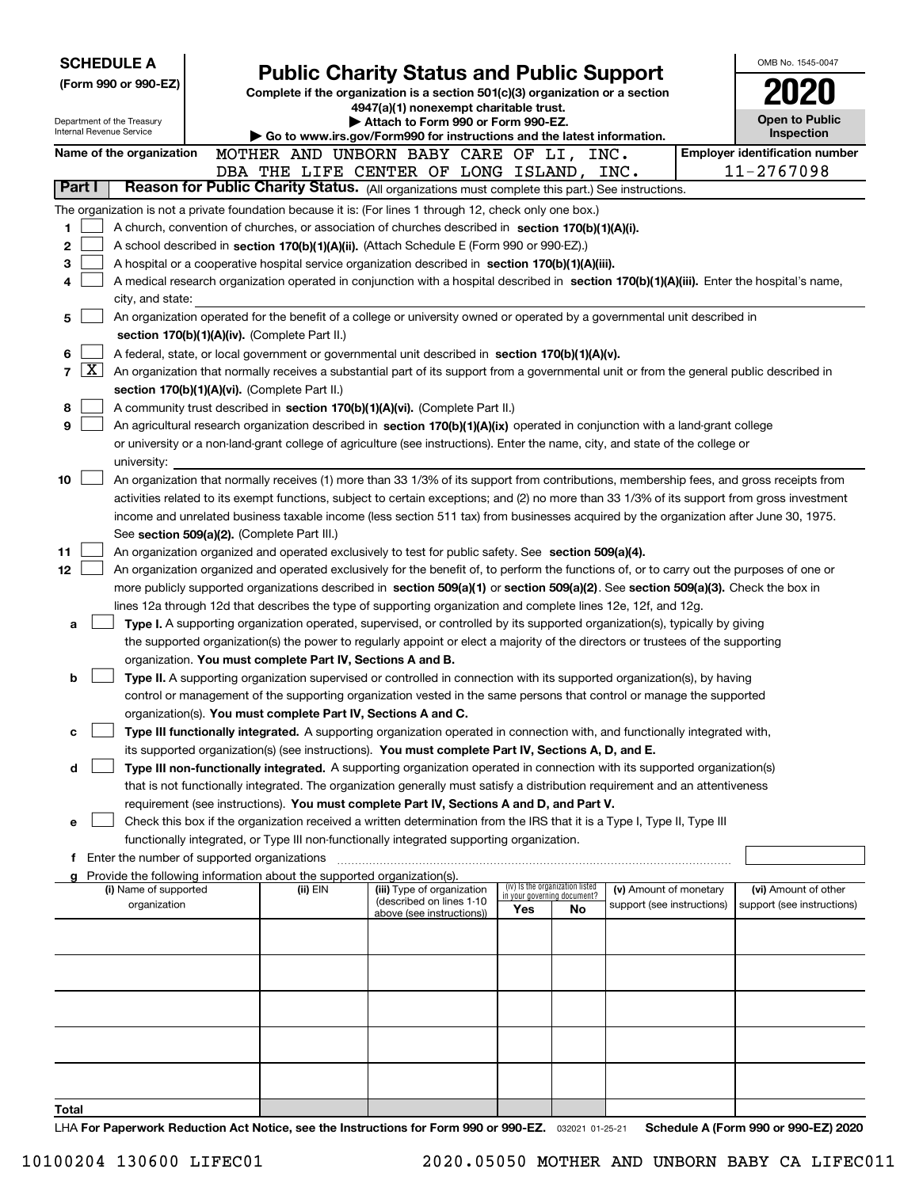| <b>SCHEDULE A</b>                                      | OMB No. 1545-0047                                                                                                                                                                                                                                                                        |                                                                                                                                    |                                                                |    |                            |  |                                       |  |  |  |  |  |
|--------------------------------------------------------|------------------------------------------------------------------------------------------------------------------------------------------------------------------------------------------------------------------------------------------------------------------------------------------|------------------------------------------------------------------------------------------------------------------------------------|----------------------------------------------------------------|----|----------------------------|--|---------------------------------------|--|--|--|--|--|
| (Form 990 or 990-EZ)                                   |                                                                                                                                                                                                                                                                                          | <b>Public Charity Status and Public Support</b><br>Complete if the organization is a section 501(c)(3) organization or a section   |                                                                |    |                            |  |                                       |  |  |  |  |  |
|                                                        |                                                                                                                                                                                                                                                                                          | 4947(a)(1) nonexempt charitable trust.                                                                                             |                                                                |    |                            |  |                                       |  |  |  |  |  |
| Department of the Treasury<br>Internal Revenue Service |                                                                                                                                                                                                                                                                                          | Attach to Form 990 or Form 990-EZ.<br>$\blacktriangleright$ Go to www.irs.gov/Form990 for instructions and the latest information. |                                                                |    |                            |  | <b>Open to Public</b><br>Inspection   |  |  |  |  |  |
| Name of the organization                               | MOTHER AND UNBORN BABY CARE OF LI, INC.                                                                                                                                                                                                                                                  |                                                                                                                                    |                                                                |    |                            |  | <b>Employer identification number</b> |  |  |  |  |  |
|                                                        | DBA THE LIFE CENTER OF LONG ISLAND, INC.                                                                                                                                                                                                                                                 |                                                                                                                                    |                                                                |    |                            |  | 11-2767098                            |  |  |  |  |  |
| Part I                                                 | Reason for Public Charity Status. (All organizations must complete this part.) See instructions.                                                                                                                                                                                         |                                                                                                                                    |                                                                |    |                            |  |                                       |  |  |  |  |  |
| 1                                                      | The organization is not a private foundation because it is: (For lines 1 through 12, check only one box.)                                                                                                                                                                                |                                                                                                                                    |                                                                |    |                            |  |                                       |  |  |  |  |  |
| $\mathbf 2$                                            | A church, convention of churches, or association of churches described in section 170(b)(1)(A)(i).<br>A school described in section 170(b)(1)(A)(ii). (Attach Schedule E (Form 990 or 990-EZ).)                                                                                          |                                                                                                                                    |                                                                |    |                            |  |                                       |  |  |  |  |  |
| 3                                                      | A hospital or a cooperative hospital service organization described in section $170(b)(1)(A)(iii)$ .                                                                                                                                                                                     |                                                                                                                                    |                                                                |    |                            |  |                                       |  |  |  |  |  |
| 4                                                      | A medical research organization operated in conjunction with a hospital described in section 170(b)(1)(A)(iii). Enter the hospital's name,                                                                                                                                               |                                                                                                                                    |                                                                |    |                            |  |                                       |  |  |  |  |  |
| city, and state:                                       |                                                                                                                                                                                                                                                                                          |                                                                                                                                    |                                                                |    |                            |  |                                       |  |  |  |  |  |
| 5                                                      | An organization operated for the benefit of a college or university owned or operated by a governmental unit described in                                                                                                                                                                |                                                                                                                                    |                                                                |    |                            |  |                                       |  |  |  |  |  |
|                                                        | section 170(b)(1)(A)(iv). (Complete Part II.)                                                                                                                                                                                                                                            |                                                                                                                                    |                                                                |    |                            |  |                                       |  |  |  |  |  |
| 6<br>7                                                 | A federal, state, or local government or governmental unit described in section 170(b)(1)(A)(v).<br>$\vert$ X $\vert$                                                                                                                                                                    |                                                                                                                                    |                                                                |    |                            |  |                                       |  |  |  |  |  |
|                                                        | An organization that normally receives a substantial part of its support from a governmental unit or from the general public described in<br>section 170(b)(1)(A)(vi). (Complete Part II.)                                                                                               |                                                                                                                                    |                                                                |    |                            |  |                                       |  |  |  |  |  |
| 8                                                      | A community trust described in section 170(b)(1)(A)(vi). (Complete Part II.)                                                                                                                                                                                                             |                                                                                                                                    |                                                                |    |                            |  |                                       |  |  |  |  |  |
| 9                                                      | An agricultural research organization described in section 170(b)(1)(A)(ix) operated in conjunction with a land-grant college                                                                                                                                                            |                                                                                                                                    |                                                                |    |                            |  |                                       |  |  |  |  |  |
|                                                        | or university or a non-land-grant college of agriculture (see instructions). Enter the name, city, and state of the college or                                                                                                                                                           |                                                                                                                                    |                                                                |    |                            |  |                                       |  |  |  |  |  |
| university:                                            |                                                                                                                                                                                                                                                                                          |                                                                                                                                    |                                                                |    |                            |  |                                       |  |  |  |  |  |
| 10                                                     | An organization that normally receives (1) more than 33 1/3% of its support from contributions, membership fees, and gross receipts from<br>activities related to its exempt functions, subject to certain exceptions; and (2) no more than 33 1/3% of its support from gross investment |                                                                                                                                    |                                                                |    |                            |  |                                       |  |  |  |  |  |
|                                                        | income and unrelated business taxable income (less section 511 tax) from businesses acquired by the organization after June 30, 1975.                                                                                                                                                    |                                                                                                                                    |                                                                |    |                            |  |                                       |  |  |  |  |  |
|                                                        | See section 509(a)(2). (Complete Part III.)                                                                                                                                                                                                                                              |                                                                                                                                    |                                                                |    |                            |  |                                       |  |  |  |  |  |
| 11                                                     | An organization organized and operated exclusively to test for public safety. See section 509(a)(4).                                                                                                                                                                                     |                                                                                                                                    |                                                                |    |                            |  |                                       |  |  |  |  |  |
| 12                                                     | An organization organized and operated exclusively for the benefit of, to perform the functions of, or to carry out the purposes of one or                                                                                                                                               |                                                                                                                                    |                                                                |    |                            |  |                                       |  |  |  |  |  |
|                                                        | more publicly supported organizations described in section 509(a)(1) or section 509(a)(2). See section 509(a)(3). Check the box in                                                                                                                                                       |                                                                                                                                    |                                                                |    |                            |  |                                       |  |  |  |  |  |
| a                                                      | lines 12a through 12d that describes the type of supporting organization and complete lines 12e, 12f, and 12g.<br>Type I. A supporting organization operated, supervised, or controlled by its supported organization(s), typically by giving                                            |                                                                                                                                    |                                                                |    |                            |  |                                       |  |  |  |  |  |
|                                                        | the supported organization(s) the power to regularly appoint or elect a majority of the directors or trustees of the supporting                                                                                                                                                          |                                                                                                                                    |                                                                |    |                            |  |                                       |  |  |  |  |  |
|                                                        | organization. You must complete Part IV, Sections A and B.                                                                                                                                                                                                                               |                                                                                                                                    |                                                                |    |                            |  |                                       |  |  |  |  |  |
| b                                                      | Type II. A supporting organization supervised or controlled in connection with its supported organization(s), by having                                                                                                                                                                  |                                                                                                                                    |                                                                |    |                            |  |                                       |  |  |  |  |  |
|                                                        | control or management of the supporting organization vested in the same persons that control or manage the supported                                                                                                                                                                     |                                                                                                                                    |                                                                |    |                            |  |                                       |  |  |  |  |  |
|                                                        | organization(s). You must complete Part IV, Sections A and C.                                                                                                                                                                                                                            |                                                                                                                                    |                                                                |    |                            |  |                                       |  |  |  |  |  |
| c                                                      | Type III functionally integrated. A supporting organization operated in connection with, and functionally integrated with,<br>its supported organization(s) (see instructions). You must complete Part IV, Sections A, D, and E.                                                         |                                                                                                                                    |                                                                |    |                            |  |                                       |  |  |  |  |  |
| d                                                      | Type III non-functionally integrated. A supporting organization operated in connection with its supported organization(s)                                                                                                                                                                |                                                                                                                                    |                                                                |    |                            |  |                                       |  |  |  |  |  |
|                                                        | that is not functionally integrated. The organization generally must satisfy a distribution requirement and an attentiveness                                                                                                                                                             |                                                                                                                                    |                                                                |    |                            |  |                                       |  |  |  |  |  |
|                                                        | requirement (see instructions). You must complete Part IV, Sections A and D, and Part V.                                                                                                                                                                                                 |                                                                                                                                    |                                                                |    |                            |  |                                       |  |  |  |  |  |
| е                                                      | Check this box if the organization received a written determination from the IRS that it is a Type I, Type II, Type III                                                                                                                                                                  |                                                                                                                                    |                                                                |    |                            |  |                                       |  |  |  |  |  |
|                                                        | functionally integrated, or Type III non-functionally integrated supporting organization.                                                                                                                                                                                                |                                                                                                                                    |                                                                |    |                            |  |                                       |  |  |  |  |  |
|                                                        | f Enter the number of supported organizations<br>Provide the following information about the supported organization(s).                                                                                                                                                                  |                                                                                                                                    |                                                                |    |                            |  |                                       |  |  |  |  |  |
| (i) Name of supported                                  | (ii) EIN                                                                                                                                                                                                                                                                                 | (iii) Type of organization                                                                                                         | (iv) Is the organization listed<br>in your governing document? |    | (v) Amount of monetary     |  | (vi) Amount of other                  |  |  |  |  |  |
| organization                                           |                                                                                                                                                                                                                                                                                          | (described on lines 1-10<br>above (see instructions))                                                                              | Yes                                                            | No | support (see instructions) |  | support (see instructions)            |  |  |  |  |  |
|                                                        |                                                                                                                                                                                                                                                                                          |                                                                                                                                    |                                                                |    |                            |  |                                       |  |  |  |  |  |
|                                                        |                                                                                                                                                                                                                                                                                          |                                                                                                                                    |                                                                |    |                            |  |                                       |  |  |  |  |  |
|                                                        |                                                                                                                                                                                                                                                                                          |                                                                                                                                    |                                                                |    |                            |  |                                       |  |  |  |  |  |
|                                                        |                                                                                                                                                                                                                                                                                          |                                                                                                                                    |                                                                |    |                            |  |                                       |  |  |  |  |  |
|                                                        |                                                                                                                                                                                                                                                                                          |                                                                                                                                    |                                                                |    |                            |  |                                       |  |  |  |  |  |
|                                                        |                                                                                                                                                                                                                                                                                          |                                                                                                                                    |                                                                |    |                            |  |                                       |  |  |  |  |  |
|                                                        |                                                                                                                                                                                                                                                                                          |                                                                                                                                    |                                                                |    |                            |  |                                       |  |  |  |  |  |
|                                                        |                                                                                                                                                                                                                                                                                          |                                                                                                                                    |                                                                |    |                            |  |                                       |  |  |  |  |  |
| Total                                                  |                                                                                                                                                                                                                                                                                          |                                                                                                                                    |                                                                |    |                            |  |                                       |  |  |  |  |  |

LHA For Paperwork Reduction Act Notice, see the Instructions for Form 990 or 990-EZ. <sub>032021</sub> o1-25-21 Schedule A (Form 990 or 990-EZ) 2020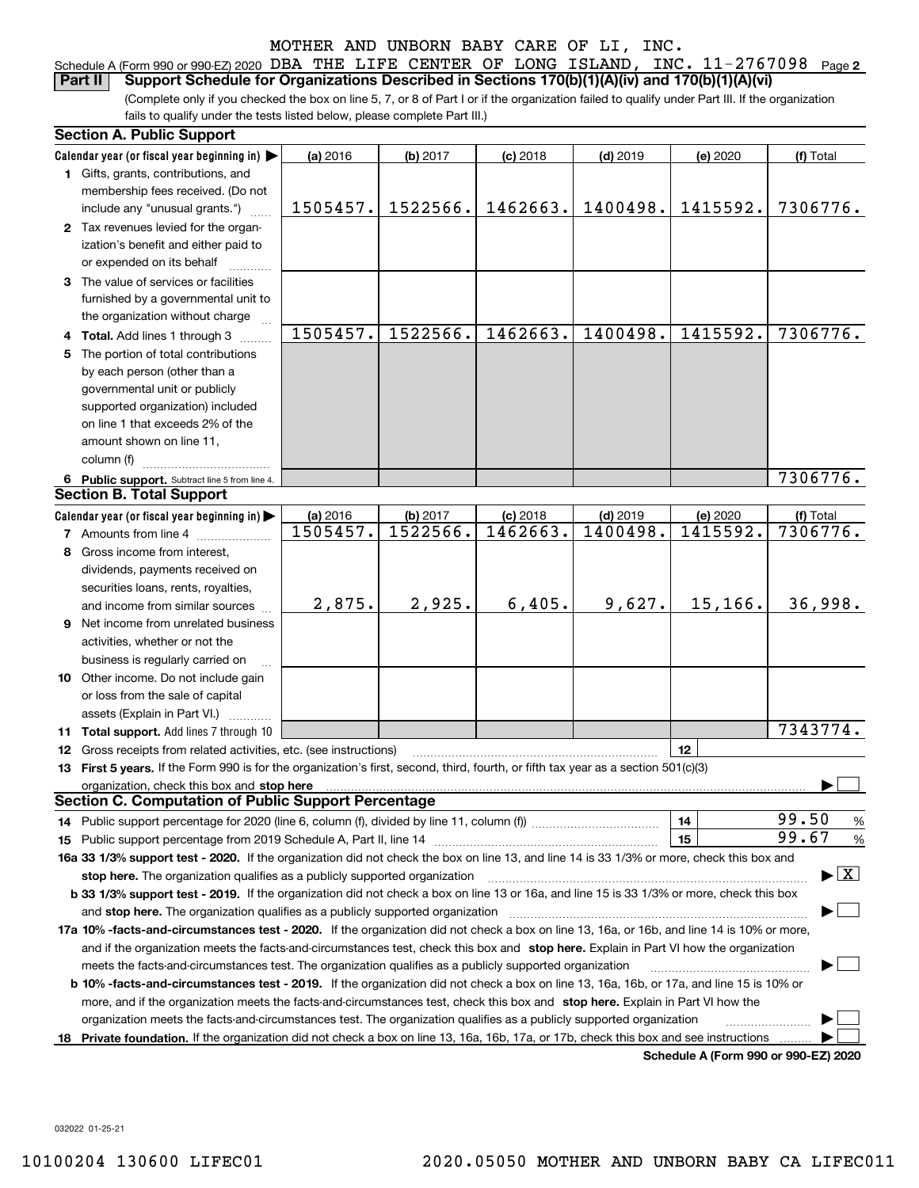| Schedule A (Form 990 or 990-EZ) 2020 DBA THE LIFE CENTER OF LONG ISLAND, INC. $11-2767098$ Page 2                 |  |  |  |  |  |
|-------------------------------------------------------------------------------------------------------------------|--|--|--|--|--|
| <b>Part II</b> Support Schedule for Organizations Described in Sections $170(b)(1)(A)(iv)$ and $170(b)(1)(A)(vi)$ |  |  |  |  |  |

(Complete only if you checked the box on line 5, 7, or 8 of Part I or if the organization failed to qualify under Part III. If the organization fails to qualify under the tests listed below, please complete Part III.)

| <b>Section A. Public Support</b>                                                                                                               |                      |                      |                        |                        |                                      |                                          |
|------------------------------------------------------------------------------------------------------------------------------------------------|----------------------|----------------------|------------------------|------------------------|--------------------------------------|------------------------------------------|
| Calendar year (or fiscal year beginning in)                                                                                                    | (a) 2016             | (b) 2017             | $(c)$ 2018             | $(d)$ 2019             | (e) 2020                             | (f) Total                                |
| 1 Gifts, grants, contributions, and                                                                                                            |                      |                      |                        |                        |                                      |                                          |
| membership fees received. (Do not                                                                                                              |                      |                      |                        |                        |                                      |                                          |
| include any "unusual grants.")                                                                                                                 | 1505457.             | 1522566.             | 1462663.               | 1400498.               | 1415592.                             | 7306776.                                 |
| 2 Tax revenues levied for the organ-                                                                                                           |                      |                      |                        |                        |                                      |                                          |
| ization's benefit and either paid to                                                                                                           |                      |                      |                        |                        |                                      |                                          |
| or expended on its behalf                                                                                                                      |                      |                      |                        |                        |                                      |                                          |
| 3 The value of services or facilities                                                                                                          |                      |                      |                        |                        |                                      |                                          |
| furnished by a governmental unit to                                                                                                            |                      |                      |                        |                        |                                      |                                          |
| the organization without charge                                                                                                                |                      |                      |                        |                        |                                      |                                          |
| 4 Total. Add lines 1 through 3                                                                                                                 | 1505457.             | 1522566.             | 1462663.               | 1400498.               | 1415592.                             | 7306776.                                 |
| 5 The portion of total contributions                                                                                                           |                      |                      |                        |                        |                                      |                                          |
| by each person (other than a                                                                                                                   |                      |                      |                        |                        |                                      |                                          |
| governmental unit or publicly                                                                                                                  |                      |                      |                        |                        |                                      |                                          |
| supported organization) included                                                                                                               |                      |                      |                        |                        |                                      |                                          |
| on line 1 that exceeds 2% of the                                                                                                               |                      |                      |                        |                        |                                      |                                          |
| amount shown on line 11,                                                                                                                       |                      |                      |                        |                        |                                      |                                          |
| column (f)                                                                                                                                     |                      |                      |                        |                        |                                      |                                          |
|                                                                                                                                                |                      |                      |                        |                        |                                      | 7306776.                                 |
| 6 Public support. Subtract line 5 from line 4.<br><b>Section B. Total Support</b>                                                              |                      |                      |                        |                        |                                      |                                          |
|                                                                                                                                                |                      |                      |                        |                        |                                      |                                          |
| Calendar year (or fiscal year beginning in)                                                                                                    | (a) 2016<br>1505457. | (b) 2017<br>1522566. | $(c)$ 2018<br>1462663. | $(d)$ 2019<br>1400498. | (e) 2020<br>1415592.                 | (f) Total<br>7306776.                    |
| <b>7</b> Amounts from line 4                                                                                                                   |                      |                      |                        |                        |                                      |                                          |
| 8 Gross income from interest,                                                                                                                  |                      |                      |                        |                        |                                      |                                          |
| dividends, payments received on                                                                                                                |                      |                      |                        |                        |                                      |                                          |
| securities loans, rents, royalties,                                                                                                            |                      |                      |                        |                        |                                      |                                          |
| and income from similar sources                                                                                                                | 2,875.               | 2,925.               | 6,405.                 | 9,627.                 | 15,166.                              | 36,998.                                  |
| 9 Net income from unrelated business                                                                                                           |                      |                      |                        |                        |                                      |                                          |
| activities, whether or not the                                                                                                                 |                      |                      |                        |                        |                                      |                                          |
| business is regularly carried on                                                                                                               |                      |                      |                        |                        |                                      |                                          |
| 10 Other income. Do not include gain                                                                                                           |                      |                      |                        |                        |                                      |                                          |
| or loss from the sale of capital                                                                                                               |                      |                      |                        |                        |                                      |                                          |
| assets (Explain in Part VI.)                                                                                                                   |                      |                      |                        |                        |                                      |                                          |
| 11 Total support. Add lines 7 through 10                                                                                                       |                      |                      |                        |                        |                                      | 7343774.                                 |
| 12 Gross receipts from related activities, etc. (see instructions)                                                                             |                      |                      |                        |                        | 12                                   |                                          |
| 13 First 5 years. If the Form 990 is for the organization's first, second, third, fourth, or fifth tax year as a section 501(c)(3)             |                      |                      |                        |                        |                                      |                                          |
|                                                                                                                                                |                      |                      |                        |                        |                                      |                                          |
| <b>Section C. Computation of Public Support Percentage</b>                                                                                     |                      |                      |                        |                        |                                      |                                          |
| 14 Public support percentage for 2020 (line 6, column (f), divided by line 11, column (f) <i>mummumumum</i>                                    |                      |                      |                        |                        | 14                                   | 99.50<br>%                               |
|                                                                                                                                                |                      |                      |                        |                        | 15                                   | 99.67<br>%                               |
| 16a 33 1/3% support test - 2020. If the organization did not check the box on line 13, and line 14 is 33 1/3% or more, check this box and      |                      |                      |                        |                        |                                      |                                          |
| stop here. The organization qualifies as a publicly supported organization                                                                     |                      |                      |                        |                        |                                      | $\blacktriangleright$ $\boxed{\text{X}}$ |
| b 33 1/3% support test - 2019. If the organization did not check a box on line 13 or 16a, and line 15 is 33 1/3% or more, check this box       |                      |                      |                        |                        |                                      |                                          |
| and stop here. The organization qualifies as a publicly supported organization                                                                 |                      |                      |                        |                        |                                      |                                          |
| 17a 10% -facts-and-circumstances test - 2020. If the organization did not check a box on line 13, 16a, or 16b, and line 14 is 10% or more,     |                      |                      |                        |                        |                                      |                                          |
| and if the organization meets the facts-and-circumstances test, check this box and stop here. Explain in Part VI how the organization          |                      |                      |                        |                        |                                      |                                          |
| meets the facts-and-circumstances test. The organization qualifies as a publicly supported organization                                        |                      |                      |                        |                        |                                      |                                          |
| <b>b 10% -facts-and-circumstances test - 2019.</b> If the organization did not check a box on line 13, 16a, 16b, or 17a, and line 15 is 10% or |                      |                      |                        |                        |                                      |                                          |
| more, and if the organization meets the facts-and-circumstances test, check this box and stop here. Explain in Part VI how the                 |                      |                      |                        |                        |                                      |                                          |
| organization meets the facts-and-circumstances test. The organization qualifies as a publicly supported organization                           |                      |                      |                        |                        |                                      |                                          |
| 18 Private foundation. If the organization did not check a box on line 13, 16a, 16b, 17a, or 17b, check this box and see instructions          |                      |                      |                        |                        |                                      |                                          |
|                                                                                                                                                |                      |                      |                        |                        | Schedule A (Form 990 or 990-F7) 2020 |                                          |

**Schedule A (Form 990 or 990-EZ) 2020**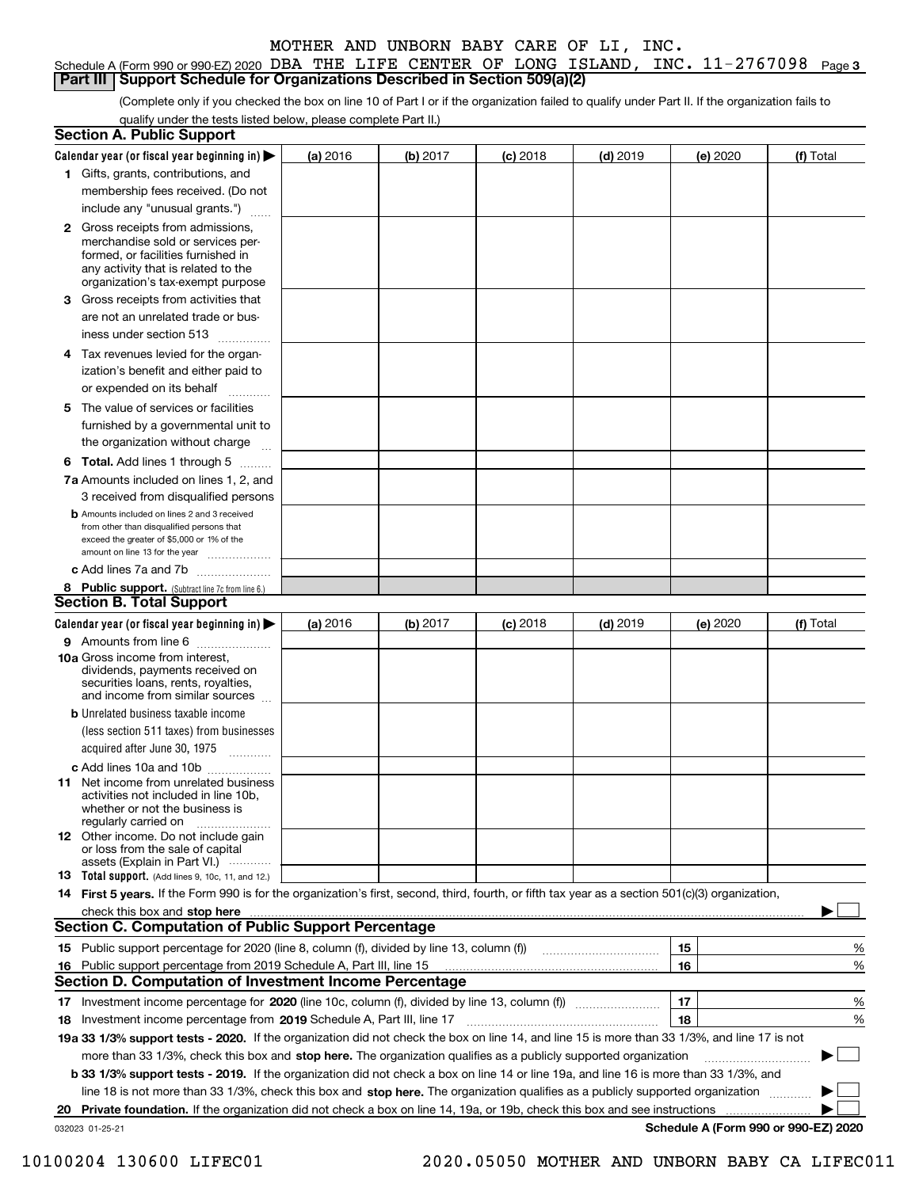#### Schedule A (Form 990 or 990-EZ) 2020 DBA THE LIFE CENTER OF LONG ISLAND, INC.  $11\text{--}2767098$  Page 3 **Part III Support Schedule for Organizations Described in Section 509(a)(2)**

(Complete only if you checked the box on line 10 of Part I or if the organization failed to qualify under Part II. If the organization fails to qualify under the tests listed below, please complete Part II.)

|    | <b>Section A. Public Support</b>                                                                                                                                                                                                                        |          |          |            |            |    |          |                                      |          |
|----|---------------------------------------------------------------------------------------------------------------------------------------------------------------------------------------------------------------------------------------------------------|----------|----------|------------|------------|----|----------|--------------------------------------|----------|
|    | Calendar year (or fiscal year beginning in)                                                                                                                                                                                                             | (a) 2016 | (b) 2017 | $(c)$ 2018 | $(d)$ 2019 |    | (e) 2020 | (f) Total                            |          |
|    | 1 Gifts, grants, contributions, and                                                                                                                                                                                                                     |          |          |            |            |    |          |                                      |          |
|    | membership fees received. (Do not                                                                                                                                                                                                                       |          |          |            |            |    |          |                                      |          |
|    | include any "unusual grants.")                                                                                                                                                                                                                          |          |          |            |            |    |          |                                      |          |
|    | <b>2</b> Gross receipts from admissions,<br>merchandise sold or services per-<br>formed, or facilities furnished in<br>any activity that is related to the<br>organization's tax-exempt purpose                                                         |          |          |            |            |    |          |                                      |          |
| З. | Gross receipts from activities that                                                                                                                                                                                                                     |          |          |            |            |    |          |                                      |          |
|    | are not an unrelated trade or bus-                                                                                                                                                                                                                      |          |          |            |            |    |          |                                      |          |
|    | iness under section 513                                                                                                                                                                                                                                 |          |          |            |            |    |          |                                      |          |
|    | 4 Tax revenues levied for the organ-                                                                                                                                                                                                                    |          |          |            |            |    |          |                                      |          |
|    | ization's benefit and either paid to                                                                                                                                                                                                                    |          |          |            |            |    |          |                                      |          |
|    | or expended on its behalf                                                                                                                                                                                                                               |          |          |            |            |    |          |                                      |          |
|    | .                                                                                                                                                                                                                                                       |          |          |            |            |    |          |                                      |          |
| 5  | The value of services or facilities                                                                                                                                                                                                                     |          |          |            |            |    |          |                                      |          |
|    | furnished by a governmental unit to                                                                                                                                                                                                                     |          |          |            |            |    |          |                                      |          |
|    | the organization without charge                                                                                                                                                                                                                         |          |          |            |            |    |          |                                      |          |
|    | <b>6 Total.</b> Add lines 1 through 5                                                                                                                                                                                                                   |          |          |            |            |    |          |                                      |          |
|    | 7a Amounts included on lines 1, 2, and                                                                                                                                                                                                                  |          |          |            |            |    |          |                                      |          |
|    | 3 received from disqualified persons                                                                                                                                                                                                                    |          |          |            |            |    |          |                                      |          |
|    | <b>b</b> Amounts included on lines 2 and 3 received<br>from other than disqualified persons that                                                                                                                                                        |          |          |            |            |    |          |                                      |          |
|    | exceed the greater of \$5,000 or 1% of the                                                                                                                                                                                                              |          |          |            |            |    |          |                                      |          |
|    | amount on line 13 for the year                                                                                                                                                                                                                          |          |          |            |            |    |          |                                      |          |
|    | c Add lines 7a and 7b                                                                                                                                                                                                                                   |          |          |            |            |    |          |                                      |          |
|    | 8 Public support. (Subtract line 7c from line 6.)                                                                                                                                                                                                       |          |          |            |            |    |          |                                      |          |
|    | <b>Section B. Total Support</b>                                                                                                                                                                                                                         |          |          |            |            |    |          |                                      |          |
|    | Calendar year (or fiscal year beginning in)                                                                                                                                                                                                             | (a) 2016 | (b) 2017 | $(c)$ 2018 | $(d)$ 2019 |    | (e) 2020 | (f) Total                            |          |
|    | 9 Amounts from line 6                                                                                                                                                                                                                                   |          |          |            |            |    |          |                                      |          |
|    | <b>10a</b> Gross income from interest,<br>dividends, payments received on<br>securities loans, rents, royalties,<br>and income from similar sources                                                                                                     |          |          |            |            |    |          |                                      |          |
|    | <b>b</b> Unrelated business taxable income                                                                                                                                                                                                              |          |          |            |            |    |          |                                      |          |
|    | (less section 511 taxes) from businesses                                                                                                                                                                                                                |          |          |            |            |    |          |                                      |          |
|    | acquired after June 30, 1975                                                                                                                                                                                                                            |          |          |            |            |    |          |                                      |          |
|    | c Add lines 10a and 10b                                                                                                                                                                                                                                 |          |          |            |            |    |          |                                      |          |
|    | 11 Net income from unrelated business<br>activities not included in line 10b.<br>whether or not the business is<br>regularly carried on                                                                                                                 |          |          |            |            |    |          |                                      |          |
|    | <b>12</b> Other income. Do not include gain                                                                                                                                                                                                             |          |          |            |            |    |          |                                      |          |
|    | or loss from the sale of capital<br>assets (Explain in Part VI.)                                                                                                                                                                                        |          |          |            |            |    |          |                                      |          |
|    | 13 Total support. (Add lines 9, 10c, 11, and 12.)                                                                                                                                                                                                       |          |          |            |            |    |          |                                      |          |
|    | 14 First 5 years. If the Form 990 is for the organization's first, second, third, fourth, or fifth tax year as a section 501(c)(3) organization,                                                                                                        |          |          |            |            |    |          |                                      |          |
|    | check this box and stop here <i>macuum construction construction construction</i> and stop here <i>maximum</i> construction and stop here <i>maximum</i> construction and stop here <i>maximum</i> construction and stop here <i>maximum</i> constructi |          |          |            |            |    |          |                                      |          |
|    | <b>Section C. Computation of Public Support Percentage</b>                                                                                                                                                                                              |          |          |            |            |    |          |                                      |          |
|    | 15 Public support percentage for 2020 (line 8, column (f), divided by line 13, column (f))                                                                                                                                                              |          |          |            |            | 15 |          |                                      | %        |
|    | 16 Public support percentage from 2019 Schedule A, Part III, line 15                                                                                                                                                                                    |          |          |            |            | 16 |          |                                      | %        |
|    | Section D. Computation of Investment Income Percentage                                                                                                                                                                                                  |          |          |            |            |    |          |                                      |          |
|    |                                                                                                                                                                                                                                                         |          |          |            |            |    |          |                                      |          |
| 17 | Investment income percentage for 2020 (line 10c, column (f), divided by line 13, column (f))                                                                                                                                                            |          |          |            |            | 17 |          |                                      | %        |
| 18 | Investment income percentage from 2019 Schedule A, Part III, line 17                                                                                                                                                                                    |          |          |            |            | 18 |          |                                      | %        |
|    | 19a 33 1/3% support tests - 2020. If the organization did not check the box on line 14, and line 15 is more than 33 1/3%, and line 17 is not                                                                                                            |          |          |            |            |    |          |                                      |          |
|    | more than 33 1/3%, check this box and stop here. The organization qualifies as a publicly supported organization                                                                                                                                        |          |          |            |            |    |          |                                      | $\sim$ 1 |
|    | b 33 1/3% support tests - 2019. If the organization did not check a box on line 14 or line 19a, and line 16 is more than 33 1/3%, and                                                                                                                   |          |          |            |            |    |          |                                      |          |
|    | line 18 is not more than 33 1/3%, check this box and stop here. The organization qualifies as a publicly supported organization                                                                                                                         |          |          |            |            |    |          |                                      |          |
|    | 20 Private foundation. If the organization did not check a box on line 14, 19a, or 19b, check this box and see instructions                                                                                                                             |          |          |            |            |    |          |                                      |          |
|    | 032023 01-25-21                                                                                                                                                                                                                                         |          |          |            |            |    |          | Schedule A (Form 990 or 990-EZ) 2020 |          |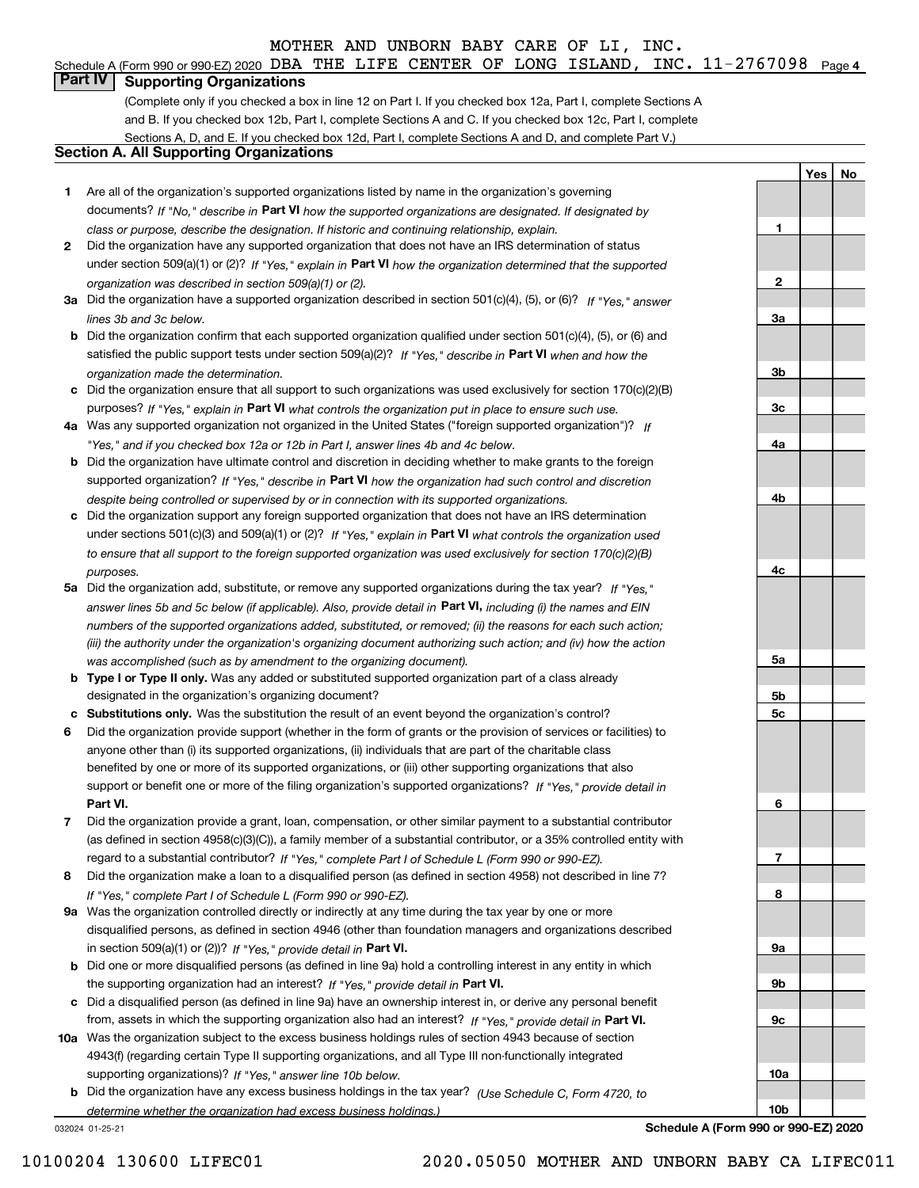#### Schedule A (Form 990 or 990-EZ) 2020 DBA THE LIFE CENTER OF LONG ISLAND, INC.  $11\text{--}2767098$  Page 4

# **Part IV Supporting Organizations**

(Complete only if you checked a box in line 12 on Part I. If you checked box 12a, Part I, complete Sections A and B. If you checked box 12b, Part I, complete Sections A and C. If you checked box 12c, Part I, complete Sections A, D, and E. If you checked box 12d, Part I, complete Sections A and D, and complete Part V.)

#### **Section A. All Supporting Organizations**

- **1** Are all of the organization's supported organizations listed by name in the organization's governing documents? If "No," describe in **Part VI** how the supported organizations are designated. If designated by *class or purpose, describe the designation. If historic and continuing relationship, explain.*
- **2** Did the organization have any supported organization that does not have an IRS determination of status under section 509(a)(1) or (2)? If "Yes," explain in Part VI how the organization determined that the supported *organization was described in section 509(a)(1) or (2).*
- **3a** Did the organization have a supported organization described in section 501(c)(4), (5), or (6)? If "Yes," answer *lines 3b and 3c below.*
- **b** Did the organization confirm that each supported organization qualified under section 501(c)(4), (5), or (6) and satisfied the public support tests under section 509(a)(2)? If "Yes," describe in **Part VI** when and how the *organization made the determination.*
- **c**Did the organization ensure that all support to such organizations was used exclusively for section 170(c)(2)(B) purposes? If "Yes," explain in **Part VI** what controls the organization put in place to ensure such use.
- **4a***If* Was any supported organization not organized in the United States ("foreign supported organization")? *"Yes," and if you checked box 12a or 12b in Part I, answer lines 4b and 4c below.*
- **b** Did the organization have ultimate control and discretion in deciding whether to make grants to the foreign supported organization? If "Yes," describe in **Part VI** how the organization had such control and discretion *despite being controlled or supervised by or in connection with its supported organizations.*
- **c** Did the organization support any foreign supported organization that does not have an IRS determination under sections 501(c)(3) and 509(a)(1) or (2)? If "Yes," explain in **Part VI** what controls the organization used *to ensure that all support to the foreign supported organization was used exclusively for section 170(c)(2)(B) purposes.*
- **5a***If "Yes,"* Did the organization add, substitute, or remove any supported organizations during the tax year? answer lines 5b and 5c below (if applicable). Also, provide detail in **Part VI,** including (i) the names and EIN *numbers of the supported organizations added, substituted, or removed; (ii) the reasons for each such action; (iii) the authority under the organization's organizing document authorizing such action; and (iv) how the action was accomplished (such as by amendment to the organizing document).*
- **b** Type I or Type II only. Was any added or substituted supported organization part of a class already designated in the organization's organizing document?
- **cSubstitutions only.**  Was the substitution the result of an event beyond the organization's control?
- **6** Did the organization provide support (whether in the form of grants or the provision of services or facilities) to **Part VI.** *If "Yes," provide detail in* support or benefit one or more of the filing organization's supported organizations? anyone other than (i) its supported organizations, (ii) individuals that are part of the charitable class benefited by one or more of its supported organizations, or (iii) other supporting organizations that also
- **7**Did the organization provide a grant, loan, compensation, or other similar payment to a substantial contributor *If "Yes," complete Part I of Schedule L (Form 990 or 990-EZ).* regard to a substantial contributor? (as defined in section 4958(c)(3)(C)), a family member of a substantial contributor, or a 35% controlled entity with
- **8** Did the organization make a loan to a disqualified person (as defined in section 4958) not described in line 7? *If "Yes," complete Part I of Schedule L (Form 990 or 990-EZ).*
- **9a** Was the organization controlled directly or indirectly at any time during the tax year by one or more in section 509(a)(1) or (2))? If "Yes," *provide detail in* <code>Part VI.</code> disqualified persons, as defined in section 4946 (other than foundation managers and organizations described
- **b** Did one or more disqualified persons (as defined in line 9a) hold a controlling interest in any entity in which the supporting organization had an interest? If "Yes," provide detail in P**art VI**.
- **c**Did a disqualified person (as defined in line 9a) have an ownership interest in, or derive any personal benefit from, assets in which the supporting organization also had an interest? If "Yes," provide detail in P**art VI.**
- **10a** Was the organization subject to the excess business holdings rules of section 4943 because of section supporting organizations)? If "Yes," answer line 10b below. 4943(f) (regarding certain Type II supporting organizations, and all Type III non-functionally integrated
- **b** Did the organization have any excess business holdings in the tax year? (Use Schedule C, Form 4720, to *determine whether the organization had excess business holdings.)*

032024 01-25-21

**Schedule A (Form 990 or 990-EZ) 2020**

**YesNo**

**1**

**2**

**3a**

**3b**

**3c**

**4a**

**4b**

**4c**

**5a**

**5b5c**

**6**

**7**

**8**

**9a**

**9b**

**9c**

**10a**

**10b**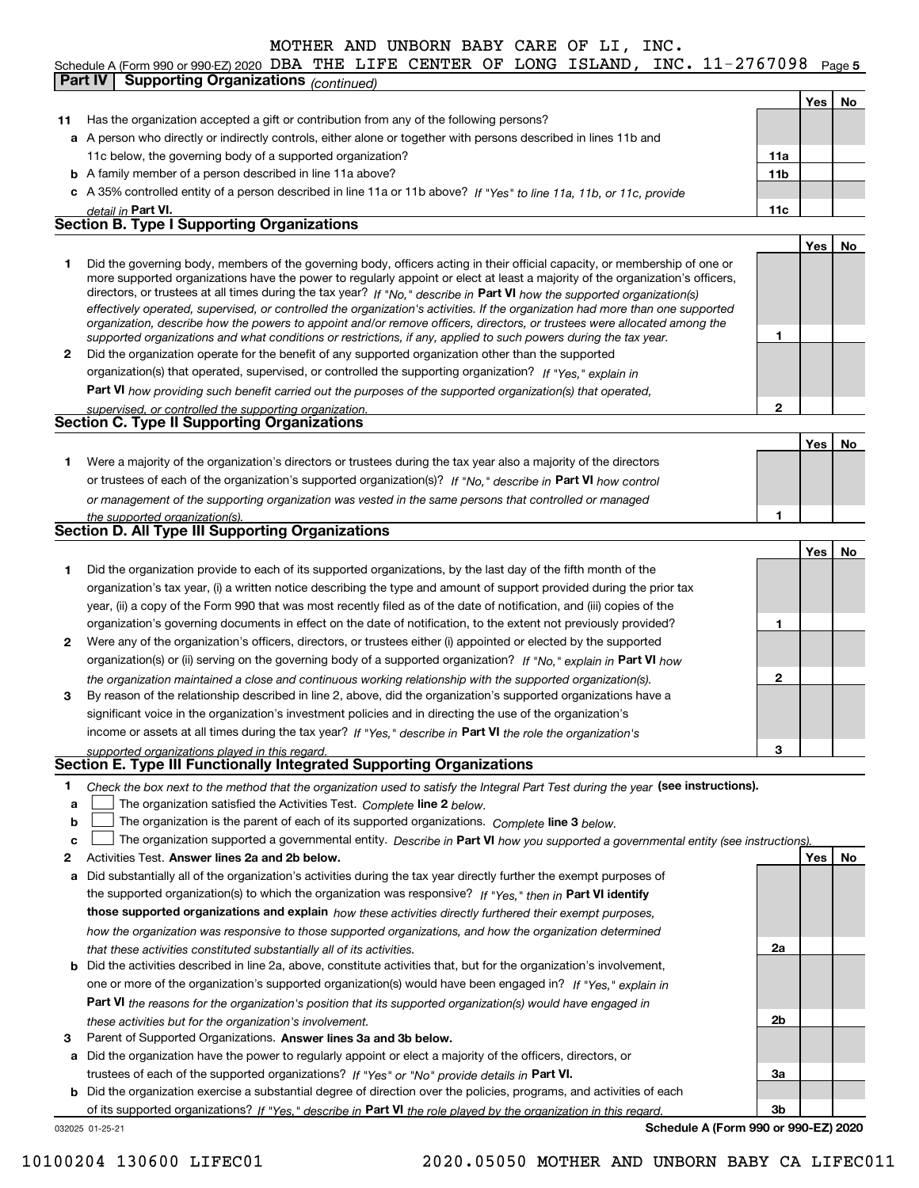#### Schedule A (Form 990 or 990-EZ) 2020 DBA THE LIFE CENTER OF LONG ISLAND, INC.  $11\text{--}2767098$  Page 5 **Yes No 11** Has the organization accepted a gift or contribution from any of the following persons? **a**A person who directly or indirectly controls, either alone or together with persons described in lines 11b and **b** A family member of a person described in line 11a above? **c** A 35% controlled entity of a person described in line 11a or 11b above? If "Yes" to line 11a, 11b, or 11c, provide **11a11bPart VI. 11c Yes No 12** Did the organization operate for the benefit of any supported organization other than the supported directors, or trustees at all times during the tax year? If "No," describe in **Part VI** how the supported organization(s) **12Part VI**  *how providing such benefit carried out the purposes of the supported organization(s) that operated,* **Yes No 1** Were a majority of the organization's directors or trustees during the tax year also a majority of the directors or trustees of each of the organization's supported organization(s)? If "No," describe in **Part VI** how control **1Yes No 1** Did the organization provide to each of its supported organizations, by the last day of the fifth month of the **2** Were any of the organization's officers, directors, or trustees either (i) appointed or elected by the supported **3123**organization(s) or (ii) serving on the governing body of a supported organization? If "No," explain in **Part VI** how income or assets at all times during the tax year? If "Yes," describe in **Part VI** the role the organization's **1**Check the box next to the method that the organization used to satisfy the Integral Part Test during the year (see instructions). **abclinupy** The organization satisfied the Activities Test. Complete line 2 below. The organization is the parent of each of its supported organizations. *Complete* line 3 *below.* The organization supported a governmental entity. *Describe in* Part **VI** *how you supported a governmental entity (see instruction<u>s).</u> detail in effectively operated, supervised, or controlled the organization's activities. If the organization had more than one supported organization, describe how the powers to appoint and/or remove officers, directors, or trustees were allocated among the supported organizations and what conditions or restrictions, if any, applied to such powers during the tax year. If "Yes," explain in* organization(s) that operated, supervised, or controlled the supporting organization? *supervised, or controlled the supporting organization. or management of the supporting organization was vested in the same persons that controlled or managed the supported organization(s). the organization maintained a close and continuous working relationship with the supported organization(s). supported organizations played in this regard.* 11c below, the governing body of a supported organization? Did the governing body, members of the governing body, officers acting in their official capacity, or membership of one or more supported organizations have the power to regularly appoint or elect at least a majority of the organization's officers, organization's tax year, (i) a written notice describing the type and amount of support provided during the prior tax year, (ii) a copy of the Form 990 that was most recently filed as of the date of notification, and (iii) copies of the organization's governing documents in effect on the date of notification, to the extent not previously provided? By reason of the relationship described in line 2, above, did the organization's supported organizations have a significant voice in the organization's investment policies and in directing the use of the organization's **Part IV Supporting Organizations** *(continued)* **Section B. Type I Supporting Organizations Section C. Type II Supporting Organizations Section D. All Type III Supporting Organizations Section E. Type III Functionally Integrated Supporting Organizations**  $\mathcal{L}^{\text{max}}$  $\mathcal{L}^{\text{max}}$

- **2Answer lines 2a and 2b below. Yes No** Activities Test.
- **a** Did substantially all of the organization's activities during the tax year directly further the exempt purposes of **b** Did the activities described in line 2a, above, constitute activities that, but for the organization's involvement, the supported organization(s) to which the organization was responsive? If "Yes," then in **Part VI identify those supported organizations and explain**  *how these activities directly furthered their exempt purposes, how the organization was responsive to those supported organizations, and how the organization determined that these activities constituted substantially all of its activities.*
- **Part VI**  *the reasons for the organization's position that its supported organization(s) would have engaged in* one or more of the organization's supported organization(s) would have been engaged in? If "Yes," e*xplain in these activities but for the organization's involvement.*
- **3**Parent of Supported Organizations. Answer lines 3a and 3b below.

**a** Did the organization have the power to regularly appoint or elect a majority of the officers, directors, or trustees of each of the supported organizations? If "Yes" or "No" provide details in **Part VI.** 

**b** Did the organization exercise a substantial degree of direction over the policies, programs, and activities of each of its supported organizations? If "Yes," describe in Part VI the role played by the organization in this regard.

032025 01-25-21

**Schedule A (Form 990 or 990-EZ) 2020**

**2a**

**2b**

**3a**

**3b**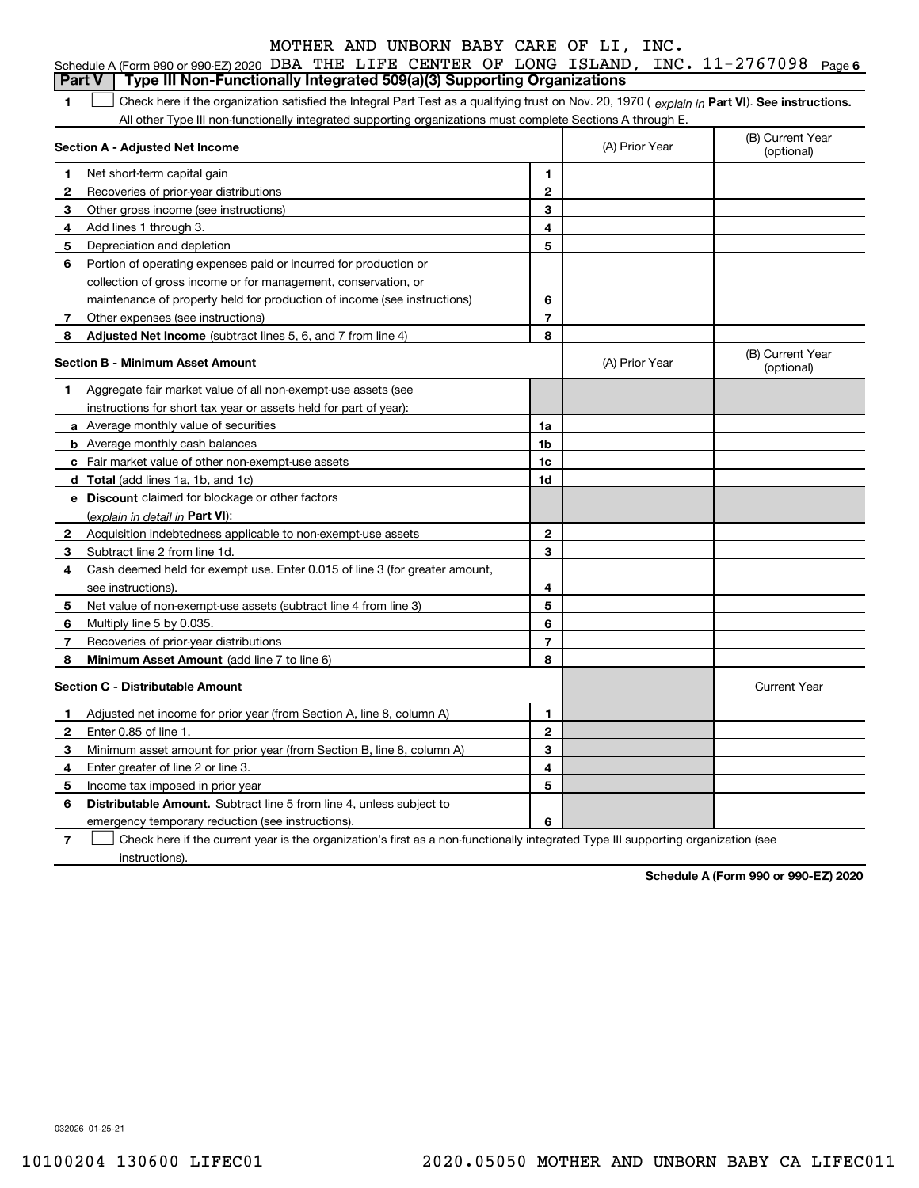|              | MOTHER AND UNBORN BABY CARE OF LI, INC.                                                                                                        |                |                |                                |
|--------------|------------------------------------------------------------------------------------------------------------------------------------------------|----------------|----------------|--------------------------------|
|              | Schedule A (Form 990 or 990-EZ) 2020 DBA THE LIFE CENTER OF LONG ISLAND, INC. 11-2767098                                                       |                |                | Page 6                         |
|              | Type III Non-Functionally Integrated 509(a)(3) Supporting Organizations<br>Part V                                                              |                |                |                                |
| 1            | Check here if the organization satisfied the Integral Part Test as a qualifying trust on Nov. 20, 1970 (explain in Part VI). See instructions. |                |                |                                |
|              | All other Type III non-functionally integrated supporting organizations must complete Sections A through E.                                    |                |                |                                |
|              | Section A - Adjusted Net Income                                                                                                                |                | (A) Prior Year | (B) Current Year<br>(optional) |
| -1           | Net short-term capital gain                                                                                                                    | 1              |                |                                |
| $\mathbf{2}$ | Recoveries of prior-year distributions                                                                                                         | $\overline{2}$ |                |                                |
| 3            | Other gross income (see instructions)                                                                                                          | 3              |                |                                |
| 4            | Add lines 1 through 3.                                                                                                                         | 4              |                |                                |
| 5            | Depreciation and depletion                                                                                                                     | 5              |                |                                |
| 6            | Portion of operating expenses paid or incurred for production or                                                                               |                |                |                                |
|              | collection of gross income or for management, conservation, or                                                                                 |                |                |                                |
|              | maintenance of property held for production of income (see instructions)                                                                       | 6              |                |                                |
| 7            | Other expenses (see instructions)                                                                                                              | $\overline{7}$ |                |                                |
| 8            | Adjusted Net Income (subtract lines 5, 6, and 7 from line 4)                                                                                   | 8              |                |                                |
|              | <b>Section B - Minimum Asset Amount</b>                                                                                                        |                | (A) Prior Year | (B) Current Year<br>(optional) |
| 1            | Aggregate fair market value of all non-exempt-use assets (see                                                                                  |                |                |                                |
|              | instructions for short tax year or assets held for part of year):                                                                              |                |                |                                |
|              | a Average monthly value of securities                                                                                                          | 1a             |                |                                |
|              | <b>b</b> Average monthly cash balances                                                                                                         | 1b             |                |                                |
| c            | Fair market value of other non-exempt-use assets                                                                                               | 1c             |                |                                |
|              | d Total (add lines 1a, 1b, and 1c)                                                                                                             | 1d             |                |                                |
|              | e Discount claimed for blockage or other factors                                                                                               |                |                |                                |
|              | (explain in detail in Part VI):                                                                                                                |                |                |                                |
| 2            | Acquisition indebtedness applicable to non-exempt-use assets                                                                                   | $\mathbf{2}$   |                |                                |
| 3            | Subtract line 2 from line 1d.                                                                                                                  | 3              |                |                                |
| 4            | Cash deemed held for exempt use. Enter 0.015 of line 3 (for greater amount,                                                                    |                |                |                                |
|              | see instructions).                                                                                                                             | 4              |                |                                |
| 5            | Net value of non-exempt-use assets (subtract line 4 from line 3)                                                                               | 5              |                |                                |
| 6            | Multiply line 5 by 0.035.                                                                                                                      | 6              |                |                                |

|   | <b>Section C - Distributable Amount</b>                                                                                           |    |  | Current Year |  |  |  |  |
|---|-----------------------------------------------------------------------------------------------------------------------------------|----|--|--------------|--|--|--|--|
|   | Adjusted net income for prior year (from Section A, line 8, column A)                                                             |    |  |              |  |  |  |  |
|   | Enter 0.85 of line 1                                                                                                              | 2  |  |              |  |  |  |  |
|   | Minimum asset amount for prior year (from Section B, line 8, column A)                                                            | 52 |  |              |  |  |  |  |
|   | Enter greater of line 2 or line 3.                                                                                                | 4  |  |              |  |  |  |  |
| 5 | Income tax imposed in prior year                                                                                                  | 5  |  |              |  |  |  |  |
| 6 | <b>Distributable Amount.</b> Subtract line 5 from line 4, unless subject to                                                       |    |  |              |  |  |  |  |
|   | emergency temporary reduction (see instructions).                                                                                 | 6  |  |              |  |  |  |  |
|   | Check here if the current year is the organization's first as a non-functionally integrated Type III supporting organization (see |    |  |              |  |  |  |  |

**78**

instructions).

**Minimum Asset Amount**  (add line 7 to line 6)

Recoveries of prior-year distributions

**78**

**Schedule A (Form 990 or 990-EZ) 2020**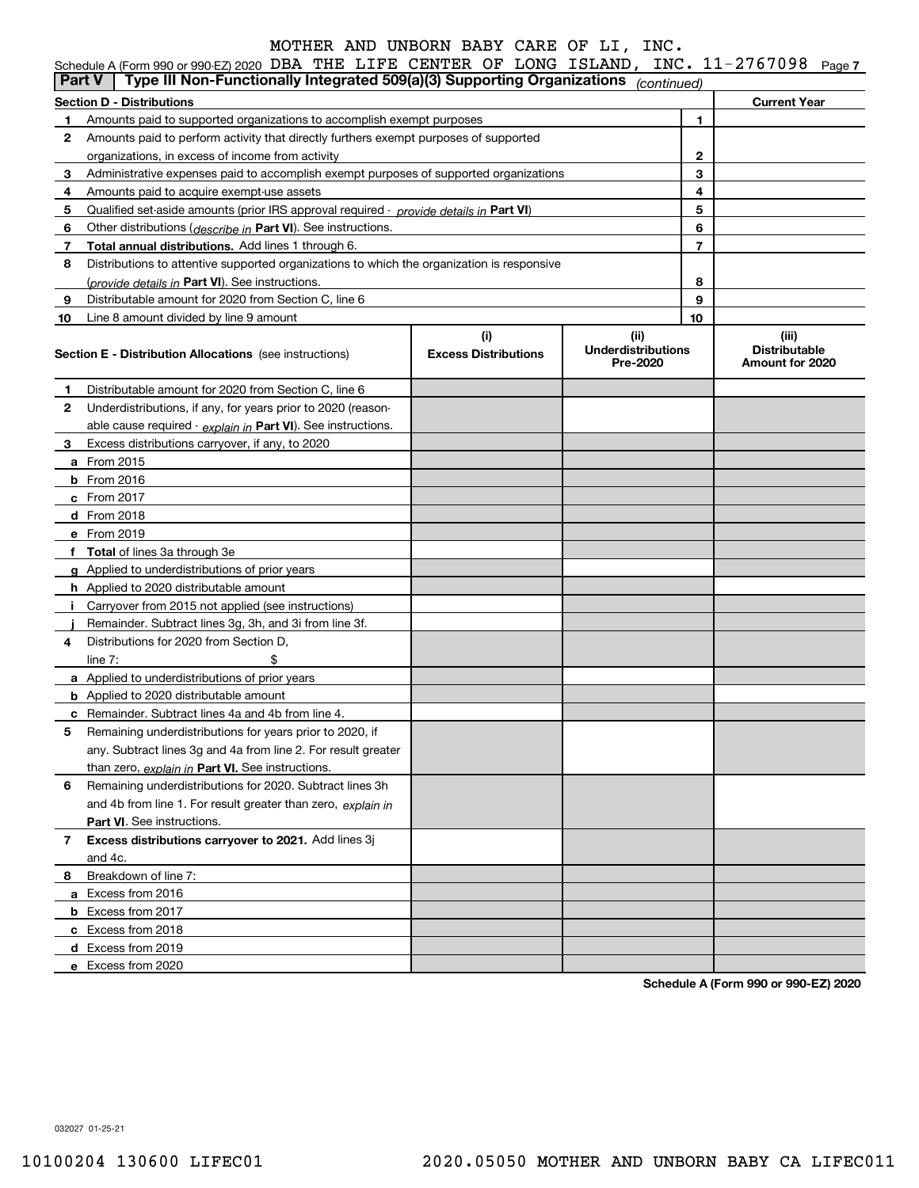| Schedule A (Form 990 or 990-EZ) 2020 DBA THE LIFE CENTER OF LONG ISLAND, INC. $11-2767098$ Page 7 |  |  |  |  |  |
|---------------------------------------------------------------------------------------------------|--|--|--|--|--|
|                                                                                                   |  |  |  |  |  |

|    | $\frac{1}{2}$ and $\frac{1}{2}$ and $\frac{1}{2}$ and $\frac{1}{2}$ and $\frac{1}{2}$ and $\frac{1}{2}$ and $\frac{1}{2}$ and $\frac{1}{2}$ and $\frac{1}{2}$ and $\frac{1}{2}$ and $\frac{1}{2}$ and $\frac{1}{2}$ and $\frac{1}{2}$ and $\frac{1}{2}$ and $\frac{1}{2}$ and $\frac{1}{2}$ a<br>Type III Non-Functionally Integrated 509(a)(3) Supporting Organizations (continued)<br>Part V |                                    |                                               |    |                                                  |
|----|------------------------------------------------------------------------------------------------------------------------------------------------------------------------------------------------------------------------------------------------------------------------------------------------------------------------------------------------------------------------------------------------|------------------------------------|-----------------------------------------------|----|--------------------------------------------------|
|    | <b>Section D - Distributions</b>                                                                                                                                                                                                                                                                                                                                                               |                                    |                                               |    | <b>Current Year</b>                              |
| 1  | Amounts paid to supported organizations to accomplish exempt purposes                                                                                                                                                                                                                                                                                                                          |                                    |                                               | 1  |                                                  |
| 2  | Amounts paid to perform activity that directly furthers exempt purposes of supported                                                                                                                                                                                                                                                                                                           |                                    |                                               |    |                                                  |
|    | organizations, in excess of income from activity                                                                                                                                                                                                                                                                                                                                               |                                    |                                               | 2  |                                                  |
| 3  | Administrative expenses paid to accomplish exempt purposes of supported organizations                                                                                                                                                                                                                                                                                                          |                                    |                                               | 3  |                                                  |
| 4  | Amounts paid to acquire exempt-use assets                                                                                                                                                                                                                                                                                                                                                      |                                    |                                               | 4  |                                                  |
| 5  | Qualified set-aside amounts (prior IRS approval required - provide details in Part VI)                                                                                                                                                                                                                                                                                                         |                                    |                                               | 5  |                                                  |
| 6  | Other distributions (describe in Part VI). See instructions.                                                                                                                                                                                                                                                                                                                                   |                                    |                                               | 6  |                                                  |
| 7  | <b>Total annual distributions.</b> Add lines 1 through 6.                                                                                                                                                                                                                                                                                                                                      |                                    | $\overline{7}$                                |    |                                                  |
| 8  | Distributions to attentive supported organizations to which the organization is responsive                                                                                                                                                                                                                                                                                                     |                                    |                                               |    |                                                  |
|    | (provide details in Part VI). See instructions.                                                                                                                                                                                                                                                                                                                                                | 8                                  |                                               |    |                                                  |
| 9  | Distributable amount for 2020 from Section C, line 6                                                                                                                                                                                                                                                                                                                                           |                                    | 9                                             |    |                                                  |
| 10 | Line 8 amount divided by line 9 amount                                                                                                                                                                                                                                                                                                                                                         |                                    |                                               | 10 |                                                  |
|    | <b>Section E - Distribution Allocations</b> (see instructions)                                                                                                                                                                                                                                                                                                                                 | (i)<br><b>Excess Distributions</b> | (ii)<br><b>Underdistributions</b><br>Pre-2020 |    | (iii)<br><b>Distributable</b><br>Amount for 2020 |
| 1  | Distributable amount for 2020 from Section C, line 6                                                                                                                                                                                                                                                                                                                                           |                                    |                                               |    |                                                  |
| 2  | Underdistributions, if any, for years prior to 2020 (reason-                                                                                                                                                                                                                                                                                                                                   |                                    |                                               |    |                                                  |
|    | able cause required - explain in Part VI). See instructions.                                                                                                                                                                                                                                                                                                                                   |                                    |                                               |    |                                                  |
| 3  | Excess distributions carryover, if any, to 2020                                                                                                                                                                                                                                                                                                                                                |                                    |                                               |    |                                                  |
|    | <b>a</b> From 2015                                                                                                                                                                                                                                                                                                                                                                             |                                    |                                               |    |                                                  |
|    | <b>b</b> From $2016$                                                                                                                                                                                                                                                                                                                                                                           |                                    |                                               |    |                                                  |
|    | $c$ From 2017                                                                                                                                                                                                                                                                                                                                                                                  |                                    |                                               |    |                                                  |
|    | $d$ From 2018                                                                                                                                                                                                                                                                                                                                                                                  |                                    |                                               |    |                                                  |
|    | e From 2019                                                                                                                                                                                                                                                                                                                                                                                    |                                    |                                               |    |                                                  |
|    | f Total of lines 3a through 3e                                                                                                                                                                                                                                                                                                                                                                 |                                    |                                               |    |                                                  |
|    | g Applied to underdistributions of prior years                                                                                                                                                                                                                                                                                                                                                 |                                    |                                               |    |                                                  |
|    | <b>h</b> Applied to 2020 distributable amount                                                                                                                                                                                                                                                                                                                                                  |                                    |                                               |    |                                                  |
| j. | Carryover from 2015 not applied (see instructions)                                                                                                                                                                                                                                                                                                                                             |                                    |                                               |    |                                                  |
|    | Remainder. Subtract lines 3g, 3h, and 3i from line 3f.                                                                                                                                                                                                                                                                                                                                         |                                    |                                               |    |                                                  |
| 4  | Distributions for 2020 from Section D.                                                                                                                                                                                                                                                                                                                                                         |                                    |                                               |    |                                                  |
|    | \$<br>line $7:$                                                                                                                                                                                                                                                                                                                                                                                |                                    |                                               |    |                                                  |
|    | <b>a</b> Applied to underdistributions of prior years                                                                                                                                                                                                                                                                                                                                          |                                    |                                               |    |                                                  |
|    | <b>b</b> Applied to 2020 distributable amount                                                                                                                                                                                                                                                                                                                                                  |                                    |                                               |    |                                                  |
|    | c Remainder. Subtract lines 4a and 4b from line 4.                                                                                                                                                                                                                                                                                                                                             |                                    |                                               |    |                                                  |
| 5. | Remaining underdistributions for years prior to 2020, if                                                                                                                                                                                                                                                                                                                                       |                                    |                                               |    |                                                  |
|    | any. Subtract lines 3g and 4a from line 2. For result greater                                                                                                                                                                                                                                                                                                                                  |                                    |                                               |    |                                                  |
|    | than zero, explain in Part VI. See instructions.                                                                                                                                                                                                                                                                                                                                               |                                    |                                               |    |                                                  |
| 6  | Remaining underdistributions for 2020. Subtract lines 3h                                                                                                                                                                                                                                                                                                                                       |                                    |                                               |    |                                                  |
|    | and 4b from line 1. For result greater than zero, explain in                                                                                                                                                                                                                                                                                                                                   |                                    |                                               |    |                                                  |
|    | Part VI. See instructions.                                                                                                                                                                                                                                                                                                                                                                     |                                    |                                               |    |                                                  |
| 7  | Excess distributions carryover to 2021. Add lines 3j                                                                                                                                                                                                                                                                                                                                           |                                    |                                               |    |                                                  |
|    | and 4c.                                                                                                                                                                                                                                                                                                                                                                                        |                                    |                                               |    |                                                  |
| 8  | Breakdown of line 7:                                                                                                                                                                                                                                                                                                                                                                           |                                    |                                               |    |                                                  |
|    | a Excess from 2016                                                                                                                                                                                                                                                                                                                                                                             |                                    |                                               |    |                                                  |
|    | <b>b</b> Excess from 2017                                                                                                                                                                                                                                                                                                                                                                      |                                    |                                               |    |                                                  |
|    | c Excess from 2018                                                                                                                                                                                                                                                                                                                                                                             |                                    |                                               |    |                                                  |
|    | d Excess from 2019                                                                                                                                                                                                                                                                                                                                                                             |                                    |                                               |    |                                                  |
|    | e Excess from 2020                                                                                                                                                                                                                                                                                                                                                                             |                                    |                                               |    |                                                  |

**Schedule A (Form 990 or 990-EZ) 2020**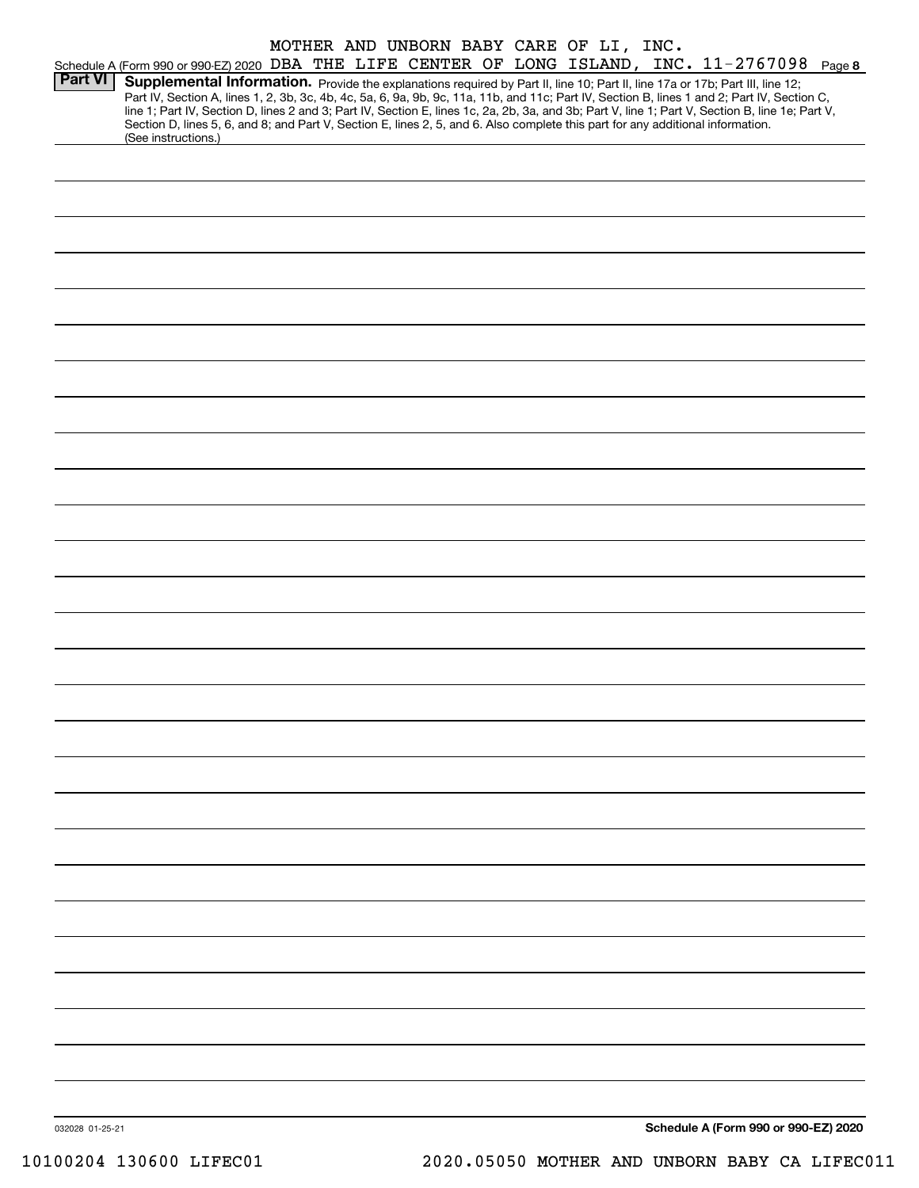|                |                                                                                                                                                                                                                                                                                     |  |  |  | MOTHER AND UNBORN BABY CARE OF LI, INC. |  |  |  |
|----------------|-------------------------------------------------------------------------------------------------------------------------------------------------------------------------------------------------------------------------------------------------------------------------------------|--|--|--|-----------------------------------------|--|--|--|
|                | Schedule A (Form 990 or 990-EZ) 2020 DBA THE LIFE CENTER OF LONG ISLAND, INC. 11-2767098 Page 8                                                                                                                                                                                     |  |  |  |                                         |  |  |  |
| <b>Part VI</b> | Supplemental Information. Provide the explanations required by Part II, line 10; Part II, line 17a or 17b; Part III, line 12;                                                                                                                                                       |  |  |  |                                         |  |  |  |
|                | Part IV, Section A, lines 1, 2, 3b, 3c, 4b, 4c, 5a, 6, 9a, 9b, 9c, 11a, 11b, and 11c; Part IV, Section B, lines 1 and 2; Part IV, Section C,                                                                                                                                        |  |  |  |                                         |  |  |  |
|                | line 1; Part IV, Section D, lines 2 and 3; Part IV, Section E, lines 1c, 2a, 2b, 3a, and 3b; Part V, line 1; Part V, Section B, line 1e; Part V,<br>Section D, lines 5, 6, and 8; and Part V, Section E, lines 2, 5, and 6. Also complete this part for any additional information. |  |  |  |                                         |  |  |  |
|                | (See instructions.)                                                                                                                                                                                                                                                                 |  |  |  |                                         |  |  |  |
|                |                                                                                                                                                                                                                                                                                     |  |  |  |                                         |  |  |  |
|                |                                                                                                                                                                                                                                                                                     |  |  |  |                                         |  |  |  |
|                |                                                                                                                                                                                                                                                                                     |  |  |  |                                         |  |  |  |
|                |                                                                                                                                                                                                                                                                                     |  |  |  |                                         |  |  |  |
|                |                                                                                                                                                                                                                                                                                     |  |  |  |                                         |  |  |  |
|                |                                                                                                                                                                                                                                                                                     |  |  |  |                                         |  |  |  |
|                |                                                                                                                                                                                                                                                                                     |  |  |  |                                         |  |  |  |
|                |                                                                                                                                                                                                                                                                                     |  |  |  |                                         |  |  |  |
|                |                                                                                                                                                                                                                                                                                     |  |  |  |                                         |  |  |  |
|                |                                                                                                                                                                                                                                                                                     |  |  |  |                                         |  |  |  |
|                |                                                                                                                                                                                                                                                                                     |  |  |  |                                         |  |  |  |
|                |                                                                                                                                                                                                                                                                                     |  |  |  |                                         |  |  |  |
|                |                                                                                                                                                                                                                                                                                     |  |  |  |                                         |  |  |  |
|                |                                                                                                                                                                                                                                                                                     |  |  |  |                                         |  |  |  |
|                |                                                                                                                                                                                                                                                                                     |  |  |  |                                         |  |  |  |
|                |                                                                                                                                                                                                                                                                                     |  |  |  |                                         |  |  |  |
|                |                                                                                                                                                                                                                                                                                     |  |  |  |                                         |  |  |  |
|                |                                                                                                                                                                                                                                                                                     |  |  |  |                                         |  |  |  |
|                |                                                                                                                                                                                                                                                                                     |  |  |  |                                         |  |  |  |
|                |                                                                                                                                                                                                                                                                                     |  |  |  |                                         |  |  |  |
|                |                                                                                                                                                                                                                                                                                     |  |  |  |                                         |  |  |  |
|                |                                                                                                                                                                                                                                                                                     |  |  |  |                                         |  |  |  |
|                |                                                                                                                                                                                                                                                                                     |  |  |  |                                         |  |  |  |
|                |                                                                                                                                                                                                                                                                                     |  |  |  |                                         |  |  |  |
|                |                                                                                                                                                                                                                                                                                     |  |  |  |                                         |  |  |  |
|                |                                                                                                                                                                                                                                                                                     |  |  |  |                                         |  |  |  |
|                |                                                                                                                                                                                                                                                                                     |  |  |  |                                         |  |  |  |
|                |                                                                                                                                                                                                                                                                                     |  |  |  |                                         |  |  |  |
|                |                                                                                                                                                                                                                                                                                     |  |  |  |                                         |  |  |  |
|                |                                                                                                                                                                                                                                                                                     |  |  |  |                                         |  |  |  |
|                |                                                                                                                                                                                                                                                                                     |  |  |  |                                         |  |  |  |
|                |                                                                                                                                                                                                                                                                                     |  |  |  |                                         |  |  |  |
|                |                                                                                                                                                                                                                                                                                     |  |  |  |                                         |  |  |  |
|                |                                                                                                                                                                                                                                                                                     |  |  |  |                                         |  |  |  |
|                |                                                                                                                                                                                                                                                                                     |  |  |  |                                         |  |  |  |
|                |                                                                                                                                                                                                                                                                                     |  |  |  |                                         |  |  |  |
|                |                                                                                                                                                                                                                                                                                     |  |  |  |                                         |  |  |  |
|                |                                                                                                                                                                                                                                                                                     |  |  |  |                                         |  |  |  |
|                |                                                                                                                                                                                                                                                                                     |  |  |  |                                         |  |  |  |
|                |                                                                                                                                                                                                                                                                                     |  |  |  |                                         |  |  |  |
|                |                                                                                                                                                                                                                                                                                     |  |  |  |                                         |  |  |  |
|                |                                                                                                                                                                                                                                                                                     |  |  |  |                                         |  |  |  |
|                |                                                                                                                                                                                                                                                                                     |  |  |  |                                         |  |  |  |
|                |                                                                                                                                                                                                                                                                                     |  |  |  |                                         |  |  |  |
|                |                                                                                                                                                                                                                                                                                     |  |  |  |                                         |  |  |  |
|                |                                                                                                                                                                                                                                                                                     |  |  |  |                                         |  |  |  |
|                |                                                                                                                                                                                                                                                                                     |  |  |  |                                         |  |  |  |
|                |                                                                                                                                                                                                                                                                                     |  |  |  |                                         |  |  |  |
|                |                                                                                                                                                                                                                                                                                     |  |  |  |                                         |  |  |  |
|                |                                                                                                                                                                                                                                                                                     |  |  |  |                                         |  |  |  |
|                |                                                                                                                                                                                                                                                                                     |  |  |  |                                         |  |  |  |
|                |                                                                                                                                                                                                                                                                                     |  |  |  |                                         |  |  |  |
|                |                                                                                                                                                                                                                                                                                     |  |  |  |                                         |  |  |  |
|                |                                                                                                                                                                                                                                                                                     |  |  |  |                                         |  |  |  |
|                |                                                                                                                                                                                                                                                                                     |  |  |  |                                         |  |  |  |

**Schedule A (Form 990 or 990-EZ) 2020**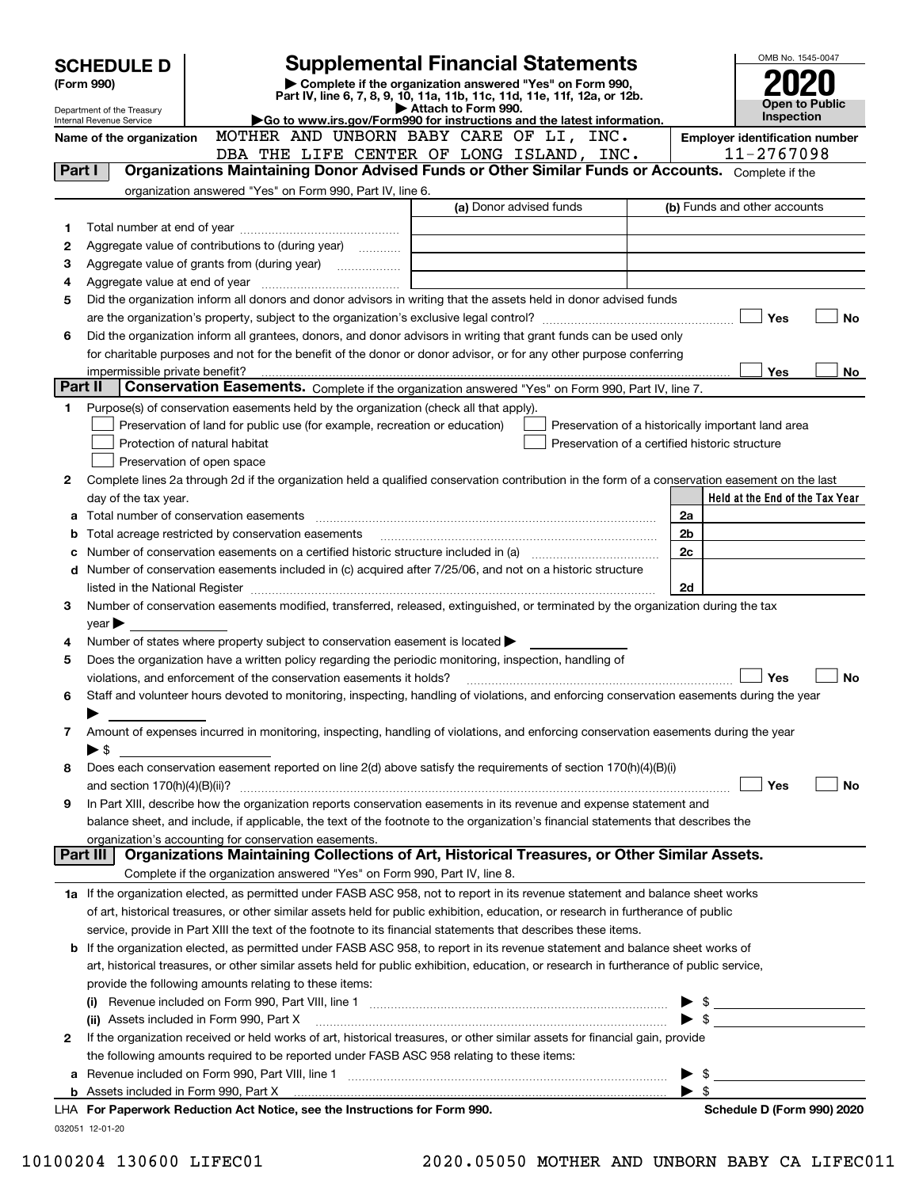| Complete if the organization answered "Yes" on Form 990,<br>(Form 990)<br>Part IV, line 6, 7, 8, 9, 10, 11a, 11b, 11c, 11d, 11e, 11f, 12a, or 12b.<br><b>Open to Public</b><br>Attach to Form 990.<br>Department of the Treasury<br>Inspection<br>Go to www.irs.gov/Form990 for instructions and the latest information.<br>Internal Revenue Service<br>MOTHER AND UNBORN BABY CARE OF LI, INC.<br><b>Employer identification number</b><br>Name of the organization<br>11-2767098<br>DBA THE LIFE CENTER OF LONG ISLAND, INC.<br>Organizations Maintaining Donor Advised Funds or Other Similar Funds or Accounts. Complete if the<br>Part I<br>organization answered "Yes" on Form 990, Part IV, line 6.<br>(a) Donor advised funds<br>(b) Funds and other accounts<br>1<br>Aggregate value of contributions to (during year)<br>2<br>з<br>4<br>Did the organization inform all donors and donor advisors in writing that the assets held in donor advised funds<br>5<br>Yes<br><b>No</b><br>Did the organization inform all grantees, donors, and donor advisors in writing that grant funds can be used only<br>6<br>for charitable purposes and not for the benefit of the donor or donor advisor, or for any other purpose conferring<br>Yes<br>No<br>impermissible private benefit?<br>Part II<br>Conservation Easements. Complete if the organization answered "Yes" on Form 990, Part IV, line 7.<br>Purpose(s) of conservation easements held by the organization (check all that apply).<br>1<br>Preservation of land for public use (for example, recreation or education)<br>Preservation of a historically important land area<br>Protection of natural habitat<br>Preservation of a certified historic structure<br>Preservation of open space<br>Complete lines 2a through 2d if the organization held a qualified conservation contribution in the form of a conservation easement on the last<br>2<br>Held at the End of the Tax Year<br>day of the tax year.<br>2a<br>Total acreage restricted by conservation easements<br>2b<br>b<br>2c<br>Number of conservation easements on a certified historic structure included in (a) manufacture of conservation<br>Number of conservation easements included in (c) acquired after 7/25/06, and not on a historic structure<br>d<br>2d<br>Number of conservation easements modified, transferred, released, extinguished, or terminated by the organization during the tax<br>З<br>$year \blacktriangleright$<br>Number of states where property subject to conservation easement is located $\blacktriangleright$<br>4<br>Does the organization have a written policy regarding the periodic monitoring, inspection, handling of<br>5<br><b>No</b><br>Yes<br>violations, and enforcement of the conservation easements it holds?<br>Staff and volunteer hours devoted to monitoring, inspecting, handling of violations, and enforcing conservation easements during the year<br>6<br>Amount of expenses incurred in monitoring, inspecting, handling of violations, and enforcing conservation easements during the year<br>7<br>▶ \$<br>Does each conservation easement reported on line 2(d) above satisfy the requirements of section 170(h)(4)(B)(i)<br>8<br>Yes<br>No<br>In Part XIII, describe how the organization reports conservation easements in its revenue and expense statement and<br>9<br>balance sheet, and include, if applicable, the text of the footnote to the organization's financial statements that describes the<br>organization's accounting for conservation easements.<br>Organizations Maintaining Collections of Art, Historical Treasures, or Other Similar Assets.<br>Part III<br>Complete if the organization answered "Yes" on Form 990, Part IV, line 8.<br>1a If the organization elected, as permitted under FASB ASC 958, not to report in its revenue statement and balance sheet works<br>of art, historical treasures, or other similar assets held for public exhibition, education, or research in furtherance of public<br>service, provide in Part XIII the text of the footnote to its financial statements that describes these items.<br>If the organization elected, as permitted under FASB ASC 958, to report in its revenue statement and balance sheet works of<br>b<br>art, historical treasures, or other similar assets held for public exhibition, education, or research in furtherance of public service,<br>provide the following amounts relating to these items:<br>$\blacktriangleright$ \$<br>(ii) Assets included in Form 990, Part X<br>If the organization received or held works of art, historical treasures, or other similar assets for financial gain, provide<br>2<br>the following amounts required to be reported under FASB ASC 958 relating to these items:<br>Revenue included on Form 990, Part VIII, line 1 [2000] [2000] [2000] [2000] [3000] [3000] [3000] [3000] [3000<br>а<br>$\blacktriangleright$ s<br>LHA For Paperwork Reduction Act Notice, see the Instructions for Form 990.<br>Schedule D (Form 990) 2020<br>032051 12-01-20 | <b>SCHEDULE D</b> | <b>Supplemental Financial Statements</b> |  |  | OMB No. 1545-0047 |  |
|---------------------------------------------------------------------------------------------------------------------------------------------------------------------------------------------------------------------------------------------------------------------------------------------------------------------------------------------------------------------------------------------------------------------------------------------------------------------------------------------------------------------------------------------------------------------------------------------------------------------------------------------------------------------------------------------------------------------------------------------------------------------------------------------------------------------------------------------------------------------------------------------------------------------------------------------------------------------------------------------------------------------------------------------------------------------------------------------------------------------------------------------------------------------------------------------------------------------------------------------------------------------------------------------------------------------------------------------------------------------------------------------------------------------------------------------------------------------------------------------------------------------------------------------------------------------------------------------------------------------------------------------------------------------------------------------------------------------------------------------------------------------------------------------------------------------------------------------------------------------------------------------------------------------------------------------------------------------------------------------------------------------------------------------------------------------------------------------------------------------------------------------------------------------------------------------------------------------------------------------------------------------------------------------------------------------------------------------------------------------------------------------------------------------------------------------------------------------------------------------------------------------------------------------------------------------------------------------------------------------------------------------------------------------------------------------------------------------------------------------------------------------------------------------------------------------------------------------------------------------------------------------------------------------------------------------------------------------------------------------------------------------------------------------------------------------------------------------------------------------------------------------------------------------------------------------------------------------------------------------------------------------------------------------------------------------------------------------------------------------------------------------------------------------------------------------------------------------------------------------------------------------------------------------------------------------------------------------------------------------------------------------------------------------------------------------------------------------------------------------------------------------------------------------------------------------------------------------------------------------------------------------------------------------------------------------------------------------------------------------------------------------------------------------------------------------------------------------------------------------------------------------------------------------------------------------------------------------------------------------------------------------------------------------------------------------------------------------------------------------------------------------------------------------------------------------------------------------------------------------------------------------------------------------------------------------------------------------------------------------------------------------------------------------------------------------------------------------------------------------------------------------------------------------------------------------------------------------------------------------------------------------------------------------------------------------------------------------------------------------------------------------------------------------------------------------------------------------|-------------------|------------------------------------------|--|--|-------------------|--|
|                                                                                                                                                                                                                                                                                                                                                                                                                                                                                                                                                                                                                                                                                                                                                                                                                                                                                                                                                                                                                                                                                                                                                                                                                                                                                                                                                                                                                                                                                                                                                                                                                                                                                                                                                                                                                                                                                                                                                                                                                                                                                                                                                                                                                                                                                                                                                                                                                                                                                                                                                                                                                                                                                                                                                                                                                                                                                                                                                                                                                                                                                                                                                                                                                                                                                                                                                                                                                                                                                                                                                                                                                                                                                                                                                                                                                                                                                                                                                                                                                                                                                                                                                                                                                                                                                                                                                                                                                                                                                                                                                                                                                                                                                                                                                                                                                                                                                                                                                                                                                                                                                             |                   |                                          |  |  |                   |  |
|                                                                                                                                                                                                                                                                                                                                                                                                                                                                                                                                                                                                                                                                                                                                                                                                                                                                                                                                                                                                                                                                                                                                                                                                                                                                                                                                                                                                                                                                                                                                                                                                                                                                                                                                                                                                                                                                                                                                                                                                                                                                                                                                                                                                                                                                                                                                                                                                                                                                                                                                                                                                                                                                                                                                                                                                                                                                                                                                                                                                                                                                                                                                                                                                                                                                                                                                                                                                                                                                                                                                                                                                                                                                                                                                                                                                                                                                                                                                                                                                                                                                                                                                                                                                                                                                                                                                                                                                                                                                                                                                                                                                                                                                                                                                                                                                                                                                                                                                                                                                                                                                                             |                   |                                          |  |  |                   |  |
|                                                                                                                                                                                                                                                                                                                                                                                                                                                                                                                                                                                                                                                                                                                                                                                                                                                                                                                                                                                                                                                                                                                                                                                                                                                                                                                                                                                                                                                                                                                                                                                                                                                                                                                                                                                                                                                                                                                                                                                                                                                                                                                                                                                                                                                                                                                                                                                                                                                                                                                                                                                                                                                                                                                                                                                                                                                                                                                                                                                                                                                                                                                                                                                                                                                                                                                                                                                                                                                                                                                                                                                                                                                                                                                                                                                                                                                                                                                                                                                                                                                                                                                                                                                                                                                                                                                                                                                                                                                                                                                                                                                                                                                                                                                                                                                                                                                                                                                                                                                                                                                                                             |                   |                                          |  |  |                   |  |
|                                                                                                                                                                                                                                                                                                                                                                                                                                                                                                                                                                                                                                                                                                                                                                                                                                                                                                                                                                                                                                                                                                                                                                                                                                                                                                                                                                                                                                                                                                                                                                                                                                                                                                                                                                                                                                                                                                                                                                                                                                                                                                                                                                                                                                                                                                                                                                                                                                                                                                                                                                                                                                                                                                                                                                                                                                                                                                                                                                                                                                                                                                                                                                                                                                                                                                                                                                                                                                                                                                                                                                                                                                                                                                                                                                                                                                                                                                                                                                                                                                                                                                                                                                                                                                                                                                                                                                                                                                                                                                                                                                                                                                                                                                                                                                                                                                                                                                                                                                                                                                                                                             |                   |                                          |  |  |                   |  |
|                                                                                                                                                                                                                                                                                                                                                                                                                                                                                                                                                                                                                                                                                                                                                                                                                                                                                                                                                                                                                                                                                                                                                                                                                                                                                                                                                                                                                                                                                                                                                                                                                                                                                                                                                                                                                                                                                                                                                                                                                                                                                                                                                                                                                                                                                                                                                                                                                                                                                                                                                                                                                                                                                                                                                                                                                                                                                                                                                                                                                                                                                                                                                                                                                                                                                                                                                                                                                                                                                                                                                                                                                                                                                                                                                                                                                                                                                                                                                                                                                                                                                                                                                                                                                                                                                                                                                                                                                                                                                                                                                                                                                                                                                                                                                                                                                                                                                                                                                                                                                                                                                             |                   |                                          |  |  |                   |  |
|                                                                                                                                                                                                                                                                                                                                                                                                                                                                                                                                                                                                                                                                                                                                                                                                                                                                                                                                                                                                                                                                                                                                                                                                                                                                                                                                                                                                                                                                                                                                                                                                                                                                                                                                                                                                                                                                                                                                                                                                                                                                                                                                                                                                                                                                                                                                                                                                                                                                                                                                                                                                                                                                                                                                                                                                                                                                                                                                                                                                                                                                                                                                                                                                                                                                                                                                                                                                                                                                                                                                                                                                                                                                                                                                                                                                                                                                                                                                                                                                                                                                                                                                                                                                                                                                                                                                                                                                                                                                                                                                                                                                                                                                                                                                                                                                                                                                                                                                                                                                                                                                                             |                   |                                          |  |  |                   |  |
|                                                                                                                                                                                                                                                                                                                                                                                                                                                                                                                                                                                                                                                                                                                                                                                                                                                                                                                                                                                                                                                                                                                                                                                                                                                                                                                                                                                                                                                                                                                                                                                                                                                                                                                                                                                                                                                                                                                                                                                                                                                                                                                                                                                                                                                                                                                                                                                                                                                                                                                                                                                                                                                                                                                                                                                                                                                                                                                                                                                                                                                                                                                                                                                                                                                                                                                                                                                                                                                                                                                                                                                                                                                                                                                                                                                                                                                                                                                                                                                                                                                                                                                                                                                                                                                                                                                                                                                                                                                                                                                                                                                                                                                                                                                                                                                                                                                                                                                                                                                                                                                                                             |                   |                                          |  |  |                   |  |
|                                                                                                                                                                                                                                                                                                                                                                                                                                                                                                                                                                                                                                                                                                                                                                                                                                                                                                                                                                                                                                                                                                                                                                                                                                                                                                                                                                                                                                                                                                                                                                                                                                                                                                                                                                                                                                                                                                                                                                                                                                                                                                                                                                                                                                                                                                                                                                                                                                                                                                                                                                                                                                                                                                                                                                                                                                                                                                                                                                                                                                                                                                                                                                                                                                                                                                                                                                                                                                                                                                                                                                                                                                                                                                                                                                                                                                                                                                                                                                                                                                                                                                                                                                                                                                                                                                                                                                                                                                                                                                                                                                                                                                                                                                                                                                                                                                                                                                                                                                                                                                                                                             |                   |                                          |  |  |                   |  |
|                                                                                                                                                                                                                                                                                                                                                                                                                                                                                                                                                                                                                                                                                                                                                                                                                                                                                                                                                                                                                                                                                                                                                                                                                                                                                                                                                                                                                                                                                                                                                                                                                                                                                                                                                                                                                                                                                                                                                                                                                                                                                                                                                                                                                                                                                                                                                                                                                                                                                                                                                                                                                                                                                                                                                                                                                                                                                                                                                                                                                                                                                                                                                                                                                                                                                                                                                                                                                                                                                                                                                                                                                                                                                                                                                                                                                                                                                                                                                                                                                                                                                                                                                                                                                                                                                                                                                                                                                                                                                                                                                                                                                                                                                                                                                                                                                                                                                                                                                                                                                                                                                             |                   |                                          |  |  |                   |  |
|                                                                                                                                                                                                                                                                                                                                                                                                                                                                                                                                                                                                                                                                                                                                                                                                                                                                                                                                                                                                                                                                                                                                                                                                                                                                                                                                                                                                                                                                                                                                                                                                                                                                                                                                                                                                                                                                                                                                                                                                                                                                                                                                                                                                                                                                                                                                                                                                                                                                                                                                                                                                                                                                                                                                                                                                                                                                                                                                                                                                                                                                                                                                                                                                                                                                                                                                                                                                                                                                                                                                                                                                                                                                                                                                                                                                                                                                                                                                                                                                                                                                                                                                                                                                                                                                                                                                                                                                                                                                                                                                                                                                                                                                                                                                                                                                                                                                                                                                                                                                                                                                                             |                   |                                          |  |  |                   |  |
|                                                                                                                                                                                                                                                                                                                                                                                                                                                                                                                                                                                                                                                                                                                                                                                                                                                                                                                                                                                                                                                                                                                                                                                                                                                                                                                                                                                                                                                                                                                                                                                                                                                                                                                                                                                                                                                                                                                                                                                                                                                                                                                                                                                                                                                                                                                                                                                                                                                                                                                                                                                                                                                                                                                                                                                                                                                                                                                                                                                                                                                                                                                                                                                                                                                                                                                                                                                                                                                                                                                                                                                                                                                                                                                                                                                                                                                                                                                                                                                                                                                                                                                                                                                                                                                                                                                                                                                                                                                                                                                                                                                                                                                                                                                                                                                                                                                                                                                                                                                                                                                                                             |                   |                                          |  |  |                   |  |
|                                                                                                                                                                                                                                                                                                                                                                                                                                                                                                                                                                                                                                                                                                                                                                                                                                                                                                                                                                                                                                                                                                                                                                                                                                                                                                                                                                                                                                                                                                                                                                                                                                                                                                                                                                                                                                                                                                                                                                                                                                                                                                                                                                                                                                                                                                                                                                                                                                                                                                                                                                                                                                                                                                                                                                                                                                                                                                                                                                                                                                                                                                                                                                                                                                                                                                                                                                                                                                                                                                                                                                                                                                                                                                                                                                                                                                                                                                                                                                                                                                                                                                                                                                                                                                                                                                                                                                                                                                                                                                                                                                                                                                                                                                                                                                                                                                                                                                                                                                                                                                                                                             |                   |                                          |  |  |                   |  |
|                                                                                                                                                                                                                                                                                                                                                                                                                                                                                                                                                                                                                                                                                                                                                                                                                                                                                                                                                                                                                                                                                                                                                                                                                                                                                                                                                                                                                                                                                                                                                                                                                                                                                                                                                                                                                                                                                                                                                                                                                                                                                                                                                                                                                                                                                                                                                                                                                                                                                                                                                                                                                                                                                                                                                                                                                                                                                                                                                                                                                                                                                                                                                                                                                                                                                                                                                                                                                                                                                                                                                                                                                                                                                                                                                                                                                                                                                                                                                                                                                                                                                                                                                                                                                                                                                                                                                                                                                                                                                                                                                                                                                                                                                                                                                                                                                                                                                                                                                                                                                                                                                             |                   |                                          |  |  |                   |  |
|                                                                                                                                                                                                                                                                                                                                                                                                                                                                                                                                                                                                                                                                                                                                                                                                                                                                                                                                                                                                                                                                                                                                                                                                                                                                                                                                                                                                                                                                                                                                                                                                                                                                                                                                                                                                                                                                                                                                                                                                                                                                                                                                                                                                                                                                                                                                                                                                                                                                                                                                                                                                                                                                                                                                                                                                                                                                                                                                                                                                                                                                                                                                                                                                                                                                                                                                                                                                                                                                                                                                                                                                                                                                                                                                                                                                                                                                                                                                                                                                                                                                                                                                                                                                                                                                                                                                                                                                                                                                                                                                                                                                                                                                                                                                                                                                                                                                                                                                                                                                                                                                                             |                   |                                          |  |  |                   |  |
|                                                                                                                                                                                                                                                                                                                                                                                                                                                                                                                                                                                                                                                                                                                                                                                                                                                                                                                                                                                                                                                                                                                                                                                                                                                                                                                                                                                                                                                                                                                                                                                                                                                                                                                                                                                                                                                                                                                                                                                                                                                                                                                                                                                                                                                                                                                                                                                                                                                                                                                                                                                                                                                                                                                                                                                                                                                                                                                                                                                                                                                                                                                                                                                                                                                                                                                                                                                                                                                                                                                                                                                                                                                                                                                                                                                                                                                                                                                                                                                                                                                                                                                                                                                                                                                                                                                                                                                                                                                                                                                                                                                                                                                                                                                                                                                                                                                                                                                                                                                                                                                                                             |                   |                                          |  |  |                   |  |
|                                                                                                                                                                                                                                                                                                                                                                                                                                                                                                                                                                                                                                                                                                                                                                                                                                                                                                                                                                                                                                                                                                                                                                                                                                                                                                                                                                                                                                                                                                                                                                                                                                                                                                                                                                                                                                                                                                                                                                                                                                                                                                                                                                                                                                                                                                                                                                                                                                                                                                                                                                                                                                                                                                                                                                                                                                                                                                                                                                                                                                                                                                                                                                                                                                                                                                                                                                                                                                                                                                                                                                                                                                                                                                                                                                                                                                                                                                                                                                                                                                                                                                                                                                                                                                                                                                                                                                                                                                                                                                                                                                                                                                                                                                                                                                                                                                                                                                                                                                                                                                                                                             |                   |                                          |  |  |                   |  |
|                                                                                                                                                                                                                                                                                                                                                                                                                                                                                                                                                                                                                                                                                                                                                                                                                                                                                                                                                                                                                                                                                                                                                                                                                                                                                                                                                                                                                                                                                                                                                                                                                                                                                                                                                                                                                                                                                                                                                                                                                                                                                                                                                                                                                                                                                                                                                                                                                                                                                                                                                                                                                                                                                                                                                                                                                                                                                                                                                                                                                                                                                                                                                                                                                                                                                                                                                                                                                                                                                                                                                                                                                                                                                                                                                                                                                                                                                                                                                                                                                                                                                                                                                                                                                                                                                                                                                                                                                                                                                                                                                                                                                                                                                                                                                                                                                                                                                                                                                                                                                                                                                             |                   |                                          |  |  |                   |  |
|                                                                                                                                                                                                                                                                                                                                                                                                                                                                                                                                                                                                                                                                                                                                                                                                                                                                                                                                                                                                                                                                                                                                                                                                                                                                                                                                                                                                                                                                                                                                                                                                                                                                                                                                                                                                                                                                                                                                                                                                                                                                                                                                                                                                                                                                                                                                                                                                                                                                                                                                                                                                                                                                                                                                                                                                                                                                                                                                                                                                                                                                                                                                                                                                                                                                                                                                                                                                                                                                                                                                                                                                                                                                                                                                                                                                                                                                                                                                                                                                                                                                                                                                                                                                                                                                                                                                                                                                                                                                                                                                                                                                                                                                                                                                                                                                                                                                                                                                                                                                                                                                                             |                   |                                          |  |  |                   |  |
|                                                                                                                                                                                                                                                                                                                                                                                                                                                                                                                                                                                                                                                                                                                                                                                                                                                                                                                                                                                                                                                                                                                                                                                                                                                                                                                                                                                                                                                                                                                                                                                                                                                                                                                                                                                                                                                                                                                                                                                                                                                                                                                                                                                                                                                                                                                                                                                                                                                                                                                                                                                                                                                                                                                                                                                                                                                                                                                                                                                                                                                                                                                                                                                                                                                                                                                                                                                                                                                                                                                                                                                                                                                                                                                                                                                                                                                                                                                                                                                                                                                                                                                                                                                                                                                                                                                                                                                                                                                                                                                                                                                                                                                                                                                                                                                                                                                                                                                                                                                                                                                                                             |                   |                                          |  |  |                   |  |
|                                                                                                                                                                                                                                                                                                                                                                                                                                                                                                                                                                                                                                                                                                                                                                                                                                                                                                                                                                                                                                                                                                                                                                                                                                                                                                                                                                                                                                                                                                                                                                                                                                                                                                                                                                                                                                                                                                                                                                                                                                                                                                                                                                                                                                                                                                                                                                                                                                                                                                                                                                                                                                                                                                                                                                                                                                                                                                                                                                                                                                                                                                                                                                                                                                                                                                                                                                                                                                                                                                                                                                                                                                                                                                                                                                                                                                                                                                                                                                                                                                                                                                                                                                                                                                                                                                                                                                                                                                                                                                                                                                                                                                                                                                                                                                                                                                                                                                                                                                                                                                                                                             |                   |                                          |  |  |                   |  |
|                                                                                                                                                                                                                                                                                                                                                                                                                                                                                                                                                                                                                                                                                                                                                                                                                                                                                                                                                                                                                                                                                                                                                                                                                                                                                                                                                                                                                                                                                                                                                                                                                                                                                                                                                                                                                                                                                                                                                                                                                                                                                                                                                                                                                                                                                                                                                                                                                                                                                                                                                                                                                                                                                                                                                                                                                                                                                                                                                                                                                                                                                                                                                                                                                                                                                                                                                                                                                                                                                                                                                                                                                                                                                                                                                                                                                                                                                                                                                                                                                                                                                                                                                                                                                                                                                                                                                                                                                                                                                                                                                                                                                                                                                                                                                                                                                                                                                                                                                                                                                                                                                             |                   |                                          |  |  |                   |  |
|                                                                                                                                                                                                                                                                                                                                                                                                                                                                                                                                                                                                                                                                                                                                                                                                                                                                                                                                                                                                                                                                                                                                                                                                                                                                                                                                                                                                                                                                                                                                                                                                                                                                                                                                                                                                                                                                                                                                                                                                                                                                                                                                                                                                                                                                                                                                                                                                                                                                                                                                                                                                                                                                                                                                                                                                                                                                                                                                                                                                                                                                                                                                                                                                                                                                                                                                                                                                                                                                                                                                                                                                                                                                                                                                                                                                                                                                                                                                                                                                                                                                                                                                                                                                                                                                                                                                                                                                                                                                                                                                                                                                                                                                                                                                                                                                                                                                                                                                                                                                                                                                                             |                   |                                          |  |  |                   |  |
|                                                                                                                                                                                                                                                                                                                                                                                                                                                                                                                                                                                                                                                                                                                                                                                                                                                                                                                                                                                                                                                                                                                                                                                                                                                                                                                                                                                                                                                                                                                                                                                                                                                                                                                                                                                                                                                                                                                                                                                                                                                                                                                                                                                                                                                                                                                                                                                                                                                                                                                                                                                                                                                                                                                                                                                                                                                                                                                                                                                                                                                                                                                                                                                                                                                                                                                                                                                                                                                                                                                                                                                                                                                                                                                                                                                                                                                                                                                                                                                                                                                                                                                                                                                                                                                                                                                                                                                                                                                                                                                                                                                                                                                                                                                                                                                                                                                                                                                                                                                                                                                                                             |                   |                                          |  |  |                   |  |
|                                                                                                                                                                                                                                                                                                                                                                                                                                                                                                                                                                                                                                                                                                                                                                                                                                                                                                                                                                                                                                                                                                                                                                                                                                                                                                                                                                                                                                                                                                                                                                                                                                                                                                                                                                                                                                                                                                                                                                                                                                                                                                                                                                                                                                                                                                                                                                                                                                                                                                                                                                                                                                                                                                                                                                                                                                                                                                                                                                                                                                                                                                                                                                                                                                                                                                                                                                                                                                                                                                                                                                                                                                                                                                                                                                                                                                                                                                                                                                                                                                                                                                                                                                                                                                                                                                                                                                                                                                                                                                                                                                                                                                                                                                                                                                                                                                                                                                                                                                                                                                                                                             |                   |                                          |  |  |                   |  |
|                                                                                                                                                                                                                                                                                                                                                                                                                                                                                                                                                                                                                                                                                                                                                                                                                                                                                                                                                                                                                                                                                                                                                                                                                                                                                                                                                                                                                                                                                                                                                                                                                                                                                                                                                                                                                                                                                                                                                                                                                                                                                                                                                                                                                                                                                                                                                                                                                                                                                                                                                                                                                                                                                                                                                                                                                                                                                                                                                                                                                                                                                                                                                                                                                                                                                                                                                                                                                                                                                                                                                                                                                                                                                                                                                                                                                                                                                                                                                                                                                                                                                                                                                                                                                                                                                                                                                                                                                                                                                                                                                                                                                                                                                                                                                                                                                                                                                                                                                                                                                                                                                             |                   |                                          |  |  |                   |  |
|                                                                                                                                                                                                                                                                                                                                                                                                                                                                                                                                                                                                                                                                                                                                                                                                                                                                                                                                                                                                                                                                                                                                                                                                                                                                                                                                                                                                                                                                                                                                                                                                                                                                                                                                                                                                                                                                                                                                                                                                                                                                                                                                                                                                                                                                                                                                                                                                                                                                                                                                                                                                                                                                                                                                                                                                                                                                                                                                                                                                                                                                                                                                                                                                                                                                                                                                                                                                                                                                                                                                                                                                                                                                                                                                                                                                                                                                                                                                                                                                                                                                                                                                                                                                                                                                                                                                                                                                                                                                                                                                                                                                                                                                                                                                                                                                                                                                                                                                                                                                                                                                                             |                   |                                          |  |  |                   |  |
|                                                                                                                                                                                                                                                                                                                                                                                                                                                                                                                                                                                                                                                                                                                                                                                                                                                                                                                                                                                                                                                                                                                                                                                                                                                                                                                                                                                                                                                                                                                                                                                                                                                                                                                                                                                                                                                                                                                                                                                                                                                                                                                                                                                                                                                                                                                                                                                                                                                                                                                                                                                                                                                                                                                                                                                                                                                                                                                                                                                                                                                                                                                                                                                                                                                                                                                                                                                                                                                                                                                                                                                                                                                                                                                                                                                                                                                                                                                                                                                                                                                                                                                                                                                                                                                                                                                                                                                                                                                                                                                                                                                                                                                                                                                                                                                                                                                                                                                                                                                                                                                                                             |                   |                                          |  |  |                   |  |
|                                                                                                                                                                                                                                                                                                                                                                                                                                                                                                                                                                                                                                                                                                                                                                                                                                                                                                                                                                                                                                                                                                                                                                                                                                                                                                                                                                                                                                                                                                                                                                                                                                                                                                                                                                                                                                                                                                                                                                                                                                                                                                                                                                                                                                                                                                                                                                                                                                                                                                                                                                                                                                                                                                                                                                                                                                                                                                                                                                                                                                                                                                                                                                                                                                                                                                                                                                                                                                                                                                                                                                                                                                                                                                                                                                                                                                                                                                                                                                                                                                                                                                                                                                                                                                                                                                                                                                                                                                                                                                                                                                                                                                                                                                                                                                                                                                                                                                                                                                                                                                                                                             |                   |                                          |  |  |                   |  |
|                                                                                                                                                                                                                                                                                                                                                                                                                                                                                                                                                                                                                                                                                                                                                                                                                                                                                                                                                                                                                                                                                                                                                                                                                                                                                                                                                                                                                                                                                                                                                                                                                                                                                                                                                                                                                                                                                                                                                                                                                                                                                                                                                                                                                                                                                                                                                                                                                                                                                                                                                                                                                                                                                                                                                                                                                                                                                                                                                                                                                                                                                                                                                                                                                                                                                                                                                                                                                                                                                                                                                                                                                                                                                                                                                                                                                                                                                                                                                                                                                                                                                                                                                                                                                                                                                                                                                                                                                                                                                                                                                                                                                                                                                                                                                                                                                                                                                                                                                                                                                                                                                             |                   |                                          |  |  |                   |  |
|                                                                                                                                                                                                                                                                                                                                                                                                                                                                                                                                                                                                                                                                                                                                                                                                                                                                                                                                                                                                                                                                                                                                                                                                                                                                                                                                                                                                                                                                                                                                                                                                                                                                                                                                                                                                                                                                                                                                                                                                                                                                                                                                                                                                                                                                                                                                                                                                                                                                                                                                                                                                                                                                                                                                                                                                                                                                                                                                                                                                                                                                                                                                                                                                                                                                                                                                                                                                                                                                                                                                                                                                                                                                                                                                                                                                                                                                                                                                                                                                                                                                                                                                                                                                                                                                                                                                                                                                                                                                                                                                                                                                                                                                                                                                                                                                                                                                                                                                                                                                                                                                                             |                   |                                          |  |  |                   |  |
|                                                                                                                                                                                                                                                                                                                                                                                                                                                                                                                                                                                                                                                                                                                                                                                                                                                                                                                                                                                                                                                                                                                                                                                                                                                                                                                                                                                                                                                                                                                                                                                                                                                                                                                                                                                                                                                                                                                                                                                                                                                                                                                                                                                                                                                                                                                                                                                                                                                                                                                                                                                                                                                                                                                                                                                                                                                                                                                                                                                                                                                                                                                                                                                                                                                                                                                                                                                                                                                                                                                                                                                                                                                                                                                                                                                                                                                                                                                                                                                                                                                                                                                                                                                                                                                                                                                                                                                                                                                                                                                                                                                                                                                                                                                                                                                                                                                                                                                                                                                                                                                                                             |                   |                                          |  |  |                   |  |
|                                                                                                                                                                                                                                                                                                                                                                                                                                                                                                                                                                                                                                                                                                                                                                                                                                                                                                                                                                                                                                                                                                                                                                                                                                                                                                                                                                                                                                                                                                                                                                                                                                                                                                                                                                                                                                                                                                                                                                                                                                                                                                                                                                                                                                                                                                                                                                                                                                                                                                                                                                                                                                                                                                                                                                                                                                                                                                                                                                                                                                                                                                                                                                                                                                                                                                                                                                                                                                                                                                                                                                                                                                                                                                                                                                                                                                                                                                                                                                                                                                                                                                                                                                                                                                                                                                                                                                                                                                                                                                                                                                                                                                                                                                                                                                                                                                                                                                                                                                                                                                                                                             |                   |                                          |  |  |                   |  |
|                                                                                                                                                                                                                                                                                                                                                                                                                                                                                                                                                                                                                                                                                                                                                                                                                                                                                                                                                                                                                                                                                                                                                                                                                                                                                                                                                                                                                                                                                                                                                                                                                                                                                                                                                                                                                                                                                                                                                                                                                                                                                                                                                                                                                                                                                                                                                                                                                                                                                                                                                                                                                                                                                                                                                                                                                                                                                                                                                                                                                                                                                                                                                                                                                                                                                                                                                                                                                                                                                                                                                                                                                                                                                                                                                                                                                                                                                                                                                                                                                                                                                                                                                                                                                                                                                                                                                                                                                                                                                                                                                                                                                                                                                                                                                                                                                                                                                                                                                                                                                                                                                             |                   |                                          |  |  |                   |  |
|                                                                                                                                                                                                                                                                                                                                                                                                                                                                                                                                                                                                                                                                                                                                                                                                                                                                                                                                                                                                                                                                                                                                                                                                                                                                                                                                                                                                                                                                                                                                                                                                                                                                                                                                                                                                                                                                                                                                                                                                                                                                                                                                                                                                                                                                                                                                                                                                                                                                                                                                                                                                                                                                                                                                                                                                                                                                                                                                                                                                                                                                                                                                                                                                                                                                                                                                                                                                                                                                                                                                                                                                                                                                                                                                                                                                                                                                                                                                                                                                                                                                                                                                                                                                                                                                                                                                                                                                                                                                                                                                                                                                                                                                                                                                                                                                                                                                                                                                                                                                                                                                                             |                   |                                          |  |  |                   |  |
|                                                                                                                                                                                                                                                                                                                                                                                                                                                                                                                                                                                                                                                                                                                                                                                                                                                                                                                                                                                                                                                                                                                                                                                                                                                                                                                                                                                                                                                                                                                                                                                                                                                                                                                                                                                                                                                                                                                                                                                                                                                                                                                                                                                                                                                                                                                                                                                                                                                                                                                                                                                                                                                                                                                                                                                                                                                                                                                                                                                                                                                                                                                                                                                                                                                                                                                                                                                                                                                                                                                                                                                                                                                                                                                                                                                                                                                                                                                                                                                                                                                                                                                                                                                                                                                                                                                                                                                                                                                                                                                                                                                                                                                                                                                                                                                                                                                                                                                                                                                                                                                                                             |                   |                                          |  |  |                   |  |
|                                                                                                                                                                                                                                                                                                                                                                                                                                                                                                                                                                                                                                                                                                                                                                                                                                                                                                                                                                                                                                                                                                                                                                                                                                                                                                                                                                                                                                                                                                                                                                                                                                                                                                                                                                                                                                                                                                                                                                                                                                                                                                                                                                                                                                                                                                                                                                                                                                                                                                                                                                                                                                                                                                                                                                                                                                                                                                                                                                                                                                                                                                                                                                                                                                                                                                                                                                                                                                                                                                                                                                                                                                                                                                                                                                                                                                                                                                                                                                                                                                                                                                                                                                                                                                                                                                                                                                                                                                                                                                                                                                                                                                                                                                                                                                                                                                                                                                                                                                                                                                                                                             |                   |                                          |  |  |                   |  |
|                                                                                                                                                                                                                                                                                                                                                                                                                                                                                                                                                                                                                                                                                                                                                                                                                                                                                                                                                                                                                                                                                                                                                                                                                                                                                                                                                                                                                                                                                                                                                                                                                                                                                                                                                                                                                                                                                                                                                                                                                                                                                                                                                                                                                                                                                                                                                                                                                                                                                                                                                                                                                                                                                                                                                                                                                                                                                                                                                                                                                                                                                                                                                                                                                                                                                                                                                                                                                                                                                                                                                                                                                                                                                                                                                                                                                                                                                                                                                                                                                                                                                                                                                                                                                                                                                                                                                                                                                                                                                                                                                                                                                                                                                                                                                                                                                                                                                                                                                                                                                                                                                             |                   |                                          |  |  |                   |  |
|                                                                                                                                                                                                                                                                                                                                                                                                                                                                                                                                                                                                                                                                                                                                                                                                                                                                                                                                                                                                                                                                                                                                                                                                                                                                                                                                                                                                                                                                                                                                                                                                                                                                                                                                                                                                                                                                                                                                                                                                                                                                                                                                                                                                                                                                                                                                                                                                                                                                                                                                                                                                                                                                                                                                                                                                                                                                                                                                                                                                                                                                                                                                                                                                                                                                                                                                                                                                                                                                                                                                                                                                                                                                                                                                                                                                                                                                                                                                                                                                                                                                                                                                                                                                                                                                                                                                                                                                                                                                                                                                                                                                                                                                                                                                                                                                                                                                                                                                                                                                                                                                                             |                   |                                          |  |  |                   |  |
|                                                                                                                                                                                                                                                                                                                                                                                                                                                                                                                                                                                                                                                                                                                                                                                                                                                                                                                                                                                                                                                                                                                                                                                                                                                                                                                                                                                                                                                                                                                                                                                                                                                                                                                                                                                                                                                                                                                                                                                                                                                                                                                                                                                                                                                                                                                                                                                                                                                                                                                                                                                                                                                                                                                                                                                                                                                                                                                                                                                                                                                                                                                                                                                                                                                                                                                                                                                                                                                                                                                                                                                                                                                                                                                                                                                                                                                                                                                                                                                                                                                                                                                                                                                                                                                                                                                                                                                                                                                                                                                                                                                                                                                                                                                                                                                                                                                                                                                                                                                                                                                                                             |                   |                                          |  |  |                   |  |
|                                                                                                                                                                                                                                                                                                                                                                                                                                                                                                                                                                                                                                                                                                                                                                                                                                                                                                                                                                                                                                                                                                                                                                                                                                                                                                                                                                                                                                                                                                                                                                                                                                                                                                                                                                                                                                                                                                                                                                                                                                                                                                                                                                                                                                                                                                                                                                                                                                                                                                                                                                                                                                                                                                                                                                                                                                                                                                                                                                                                                                                                                                                                                                                                                                                                                                                                                                                                                                                                                                                                                                                                                                                                                                                                                                                                                                                                                                                                                                                                                                                                                                                                                                                                                                                                                                                                                                                                                                                                                                                                                                                                                                                                                                                                                                                                                                                                                                                                                                                                                                                                                             |                   |                                          |  |  |                   |  |
|                                                                                                                                                                                                                                                                                                                                                                                                                                                                                                                                                                                                                                                                                                                                                                                                                                                                                                                                                                                                                                                                                                                                                                                                                                                                                                                                                                                                                                                                                                                                                                                                                                                                                                                                                                                                                                                                                                                                                                                                                                                                                                                                                                                                                                                                                                                                                                                                                                                                                                                                                                                                                                                                                                                                                                                                                                                                                                                                                                                                                                                                                                                                                                                                                                                                                                                                                                                                                                                                                                                                                                                                                                                                                                                                                                                                                                                                                                                                                                                                                                                                                                                                                                                                                                                                                                                                                                                                                                                                                                                                                                                                                                                                                                                                                                                                                                                                                                                                                                                                                                                                                             |                   |                                          |  |  |                   |  |
|                                                                                                                                                                                                                                                                                                                                                                                                                                                                                                                                                                                                                                                                                                                                                                                                                                                                                                                                                                                                                                                                                                                                                                                                                                                                                                                                                                                                                                                                                                                                                                                                                                                                                                                                                                                                                                                                                                                                                                                                                                                                                                                                                                                                                                                                                                                                                                                                                                                                                                                                                                                                                                                                                                                                                                                                                                                                                                                                                                                                                                                                                                                                                                                                                                                                                                                                                                                                                                                                                                                                                                                                                                                                                                                                                                                                                                                                                                                                                                                                                                                                                                                                                                                                                                                                                                                                                                                                                                                                                                                                                                                                                                                                                                                                                                                                                                                                                                                                                                                                                                                                                             |                   |                                          |  |  |                   |  |
|                                                                                                                                                                                                                                                                                                                                                                                                                                                                                                                                                                                                                                                                                                                                                                                                                                                                                                                                                                                                                                                                                                                                                                                                                                                                                                                                                                                                                                                                                                                                                                                                                                                                                                                                                                                                                                                                                                                                                                                                                                                                                                                                                                                                                                                                                                                                                                                                                                                                                                                                                                                                                                                                                                                                                                                                                                                                                                                                                                                                                                                                                                                                                                                                                                                                                                                                                                                                                                                                                                                                                                                                                                                                                                                                                                                                                                                                                                                                                                                                                                                                                                                                                                                                                                                                                                                                                                                                                                                                                                                                                                                                                                                                                                                                                                                                                                                                                                                                                                                                                                                                                             |                   |                                          |  |  |                   |  |
|                                                                                                                                                                                                                                                                                                                                                                                                                                                                                                                                                                                                                                                                                                                                                                                                                                                                                                                                                                                                                                                                                                                                                                                                                                                                                                                                                                                                                                                                                                                                                                                                                                                                                                                                                                                                                                                                                                                                                                                                                                                                                                                                                                                                                                                                                                                                                                                                                                                                                                                                                                                                                                                                                                                                                                                                                                                                                                                                                                                                                                                                                                                                                                                                                                                                                                                                                                                                                                                                                                                                                                                                                                                                                                                                                                                                                                                                                                                                                                                                                                                                                                                                                                                                                                                                                                                                                                                                                                                                                                                                                                                                                                                                                                                                                                                                                                                                                                                                                                                                                                                                                             |                   |                                          |  |  |                   |  |
|                                                                                                                                                                                                                                                                                                                                                                                                                                                                                                                                                                                                                                                                                                                                                                                                                                                                                                                                                                                                                                                                                                                                                                                                                                                                                                                                                                                                                                                                                                                                                                                                                                                                                                                                                                                                                                                                                                                                                                                                                                                                                                                                                                                                                                                                                                                                                                                                                                                                                                                                                                                                                                                                                                                                                                                                                                                                                                                                                                                                                                                                                                                                                                                                                                                                                                                                                                                                                                                                                                                                                                                                                                                                                                                                                                                                                                                                                                                                                                                                                                                                                                                                                                                                                                                                                                                                                                                                                                                                                                                                                                                                                                                                                                                                                                                                                                                                                                                                                                                                                                                                                             |                   |                                          |  |  |                   |  |
|                                                                                                                                                                                                                                                                                                                                                                                                                                                                                                                                                                                                                                                                                                                                                                                                                                                                                                                                                                                                                                                                                                                                                                                                                                                                                                                                                                                                                                                                                                                                                                                                                                                                                                                                                                                                                                                                                                                                                                                                                                                                                                                                                                                                                                                                                                                                                                                                                                                                                                                                                                                                                                                                                                                                                                                                                                                                                                                                                                                                                                                                                                                                                                                                                                                                                                                                                                                                                                                                                                                                                                                                                                                                                                                                                                                                                                                                                                                                                                                                                                                                                                                                                                                                                                                                                                                                                                                                                                                                                                                                                                                                                                                                                                                                                                                                                                                                                                                                                                                                                                                                                             |                   |                                          |  |  |                   |  |
|                                                                                                                                                                                                                                                                                                                                                                                                                                                                                                                                                                                                                                                                                                                                                                                                                                                                                                                                                                                                                                                                                                                                                                                                                                                                                                                                                                                                                                                                                                                                                                                                                                                                                                                                                                                                                                                                                                                                                                                                                                                                                                                                                                                                                                                                                                                                                                                                                                                                                                                                                                                                                                                                                                                                                                                                                                                                                                                                                                                                                                                                                                                                                                                                                                                                                                                                                                                                                                                                                                                                                                                                                                                                                                                                                                                                                                                                                                                                                                                                                                                                                                                                                                                                                                                                                                                                                                                                                                                                                                                                                                                                                                                                                                                                                                                                                                                                                                                                                                                                                                                                                             |                   |                                          |  |  |                   |  |
|                                                                                                                                                                                                                                                                                                                                                                                                                                                                                                                                                                                                                                                                                                                                                                                                                                                                                                                                                                                                                                                                                                                                                                                                                                                                                                                                                                                                                                                                                                                                                                                                                                                                                                                                                                                                                                                                                                                                                                                                                                                                                                                                                                                                                                                                                                                                                                                                                                                                                                                                                                                                                                                                                                                                                                                                                                                                                                                                                                                                                                                                                                                                                                                                                                                                                                                                                                                                                                                                                                                                                                                                                                                                                                                                                                                                                                                                                                                                                                                                                                                                                                                                                                                                                                                                                                                                                                                                                                                                                                                                                                                                                                                                                                                                                                                                                                                                                                                                                                                                                                                                                             |                   |                                          |  |  |                   |  |
|                                                                                                                                                                                                                                                                                                                                                                                                                                                                                                                                                                                                                                                                                                                                                                                                                                                                                                                                                                                                                                                                                                                                                                                                                                                                                                                                                                                                                                                                                                                                                                                                                                                                                                                                                                                                                                                                                                                                                                                                                                                                                                                                                                                                                                                                                                                                                                                                                                                                                                                                                                                                                                                                                                                                                                                                                                                                                                                                                                                                                                                                                                                                                                                                                                                                                                                                                                                                                                                                                                                                                                                                                                                                                                                                                                                                                                                                                                                                                                                                                                                                                                                                                                                                                                                                                                                                                                                                                                                                                                                                                                                                                                                                                                                                                                                                                                                                                                                                                                                                                                                                                             |                   |                                          |  |  |                   |  |
|                                                                                                                                                                                                                                                                                                                                                                                                                                                                                                                                                                                                                                                                                                                                                                                                                                                                                                                                                                                                                                                                                                                                                                                                                                                                                                                                                                                                                                                                                                                                                                                                                                                                                                                                                                                                                                                                                                                                                                                                                                                                                                                                                                                                                                                                                                                                                                                                                                                                                                                                                                                                                                                                                                                                                                                                                                                                                                                                                                                                                                                                                                                                                                                                                                                                                                                                                                                                                                                                                                                                                                                                                                                                                                                                                                                                                                                                                                                                                                                                                                                                                                                                                                                                                                                                                                                                                                                                                                                                                                                                                                                                                                                                                                                                                                                                                                                                                                                                                                                                                                                                                             |                   |                                          |  |  |                   |  |
|                                                                                                                                                                                                                                                                                                                                                                                                                                                                                                                                                                                                                                                                                                                                                                                                                                                                                                                                                                                                                                                                                                                                                                                                                                                                                                                                                                                                                                                                                                                                                                                                                                                                                                                                                                                                                                                                                                                                                                                                                                                                                                                                                                                                                                                                                                                                                                                                                                                                                                                                                                                                                                                                                                                                                                                                                                                                                                                                                                                                                                                                                                                                                                                                                                                                                                                                                                                                                                                                                                                                                                                                                                                                                                                                                                                                                                                                                                                                                                                                                                                                                                                                                                                                                                                                                                                                                                                                                                                                                                                                                                                                                                                                                                                                                                                                                                                                                                                                                                                                                                                                                             |                   |                                          |  |  |                   |  |
|                                                                                                                                                                                                                                                                                                                                                                                                                                                                                                                                                                                                                                                                                                                                                                                                                                                                                                                                                                                                                                                                                                                                                                                                                                                                                                                                                                                                                                                                                                                                                                                                                                                                                                                                                                                                                                                                                                                                                                                                                                                                                                                                                                                                                                                                                                                                                                                                                                                                                                                                                                                                                                                                                                                                                                                                                                                                                                                                                                                                                                                                                                                                                                                                                                                                                                                                                                                                                                                                                                                                                                                                                                                                                                                                                                                                                                                                                                                                                                                                                                                                                                                                                                                                                                                                                                                                                                                                                                                                                                                                                                                                                                                                                                                                                                                                                                                                                                                                                                                                                                                                                             |                   |                                          |  |  |                   |  |
|                                                                                                                                                                                                                                                                                                                                                                                                                                                                                                                                                                                                                                                                                                                                                                                                                                                                                                                                                                                                                                                                                                                                                                                                                                                                                                                                                                                                                                                                                                                                                                                                                                                                                                                                                                                                                                                                                                                                                                                                                                                                                                                                                                                                                                                                                                                                                                                                                                                                                                                                                                                                                                                                                                                                                                                                                                                                                                                                                                                                                                                                                                                                                                                                                                                                                                                                                                                                                                                                                                                                                                                                                                                                                                                                                                                                                                                                                                                                                                                                                                                                                                                                                                                                                                                                                                                                                                                                                                                                                                                                                                                                                                                                                                                                                                                                                                                                                                                                                                                                                                                                                             |                   |                                          |  |  |                   |  |
|                                                                                                                                                                                                                                                                                                                                                                                                                                                                                                                                                                                                                                                                                                                                                                                                                                                                                                                                                                                                                                                                                                                                                                                                                                                                                                                                                                                                                                                                                                                                                                                                                                                                                                                                                                                                                                                                                                                                                                                                                                                                                                                                                                                                                                                                                                                                                                                                                                                                                                                                                                                                                                                                                                                                                                                                                                                                                                                                                                                                                                                                                                                                                                                                                                                                                                                                                                                                                                                                                                                                                                                                                                                                                                                                                                                                                                                                                                                                                                                                                                                                                                                                                                                                                                                                                                                                                                                                                                                                                                                                                                                                                                                                                                                                                                                                                                                                                                                                                                                                                                                                                             |                   |                                          |  |  |                   |  |
|                                                                                                                                                                                                                                                                                                                                                                                                                                                                                                                                                                                                                                                                                                                                                                                                                                                                                                                                                                                                                                                                                                                                                                                                                                                                                                                                                                                                                                                                                                                                                                                                                                                                                                                                                                                                                                                                                                                                                                                                                                                                                                                                                                                                                                                                                                                                                                                                                                                                                                                                                                                                                                                                                                                                                                                                                                                                                                                                                                                                                                                                                                                                                                                                                                                                                                                                                                                                                                                                                                                                                                                                                                                                                                                                                                                                                                                                                                                                                                                                                                                                                                                                                                                                                                                                                                                                                                                                                                                                                                                                                                                                                                                                                                                                                                                                                                                                                                                                                                                                                                                                                             |                   |                                          |  |  |                   |  |
|                                                                                                                                                                                                                                                                                                                                                                                                                                                                                                                                                                                                                                                                                                                                                                                                                                                                                                                                                                                                                                                                                                                                                                                                                                                                                                                                                                                                                                                                                                                                                                                                                                                                                                                                                                                                                                                                                                                                                                                                                                                                                                                                                                                                                                                                                                                                                                                                                                                                                                                                                                                                                                                                                                                                                                                                                                                                                                                                                                                                                                                                                                                                                                                                                                                                                                                                                                                                                                                                                                                                                                                                                                                                                                                                                                                                                                                                                                                                                                                                                                                                                                                                                                                                                                                                                                                                                                                                                                                                                                                                                                                                                                                                                                                                                                                                                                                                                                                                                                                                                                                                                             |                   |                                          |  |  |                   |  |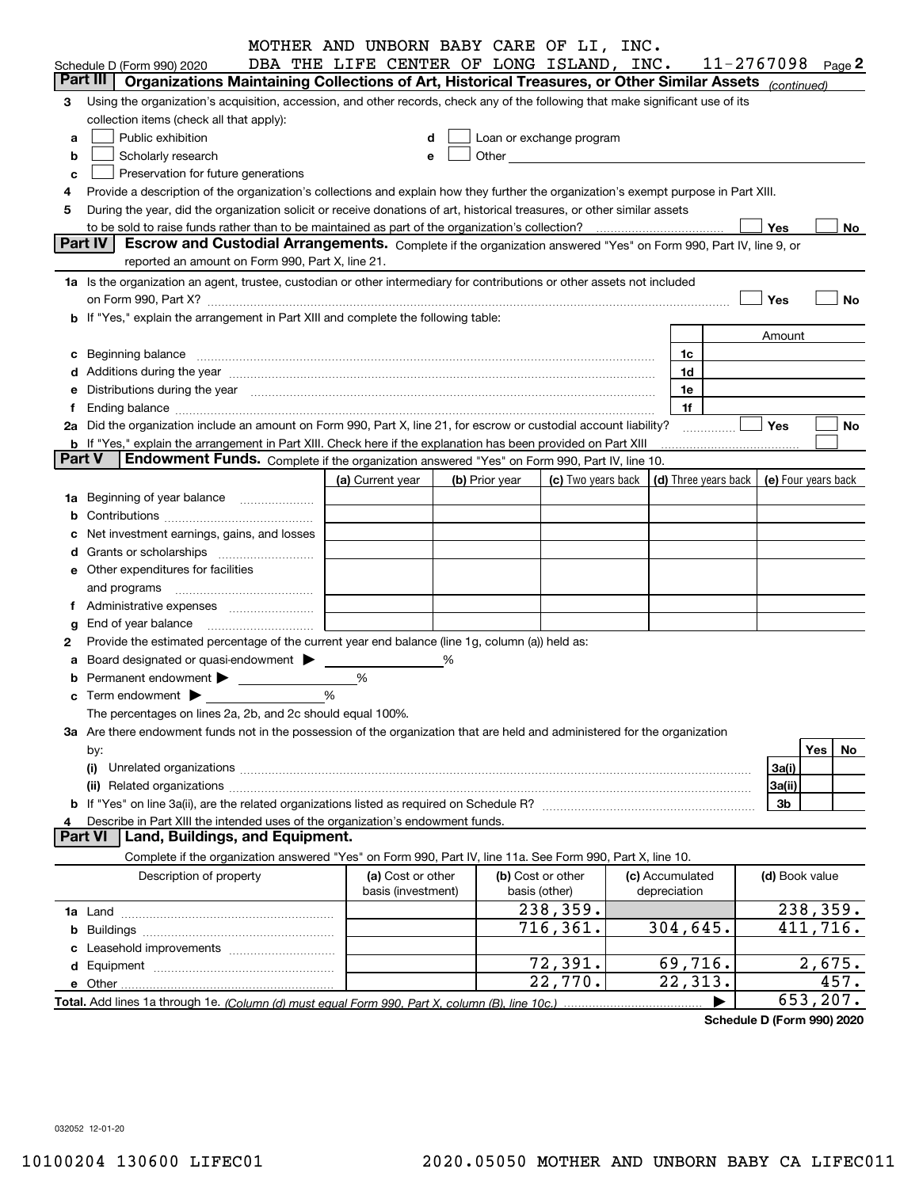|               |                                                                                                                                                                                                                                | MOTHER AND UNBORN BABY CARE OF LI, INC.  |   |                |                                                                                                                                                                                                                                |                                                                             |                       |                |           |
|---------------|--------------------------------------------------------------------------------------------------------------------------------------------------------------------------------------------------------------------------------|------------------------------------------|---|----------------|--------------------------------------------------------------------------------------------------------------------------------------------------------------------------------------------------------------------------------|-----------------------------------------------------------------------------|-----------------------|----------------|-----------|
|               | Schedule D (Form 990) 2020                                                                                                                                                                                                     | DBA THE LIFE CENTER OF LONG ISLAND, INC. |   |                |                                                                                                                                                                                                                                |                                                                             | $11 - 2767098$ Page 2 |                |           |
|               | Organizations Maintaining Collections of Art, Historical Treasures, or Other Similar Assets (continued)<br>Part III                                                                                                            |                                          |   |                |                                                                                                                                                                                                                                |                                                                             |                       |                |           |
| 3             | Using the organization's acquisition, accession, and other records, check any of the following that make significant use of its                                                                                                |                                          |   |                |                                                                                                                                                                                                                                |                                                                             |                       |                |           |
|               | collection items (check all that apply):                                                                                                                                                                                       |                                          |   |                |                                                                                                                                                                                                                                |                                                                             |                       |                |           |
| a             | Public exhibition                                                                                                                                                                                                              |                                          | d |                | Loan or exchange program                                                                                                                                                                                                       |                                                                             |                       |                |           |
| b             | Scholarly research                                                                                                                                                                                                             |                                          |   |                | Other the contract of the contract of the contract of the contract of the contract of the contract of the contract of the contract of the contract of the contract of the contract of the contract of the contract of the cont |                                                                             |                       |                |           |
| c             | Preservation for future generations                                                                                                                                                                                            |                                          |   |                |                                                                                                                                                                                                                                |                                                                             |                       |                |           |
|               | Provide a description of the organization's collections and explain how they further the organization's exempt purpose in Part XIII.                                                                                           |                                          |   |                |                                                                                                                                                                                                                                |                                                                             |                       |                |           |
| 5             | During the year, did the organization solicit or receive donations of art, historical treasures, or other similar assets                                                                                                       |                                          |   |                |                                                                                                                                                                                                                                |                                                                             |                       |                |           |
|               | to be sold to raise funds rather than to be maintained as part of the organization's collection?                                                                                                                               |                                          |   |                |                                                                                                                                                                                                                                |                                                                             | Yes                   |                | No        |
|               | <b>Part IV</b><br>Escrow and Custodial Arrangements. Complete if the organization answered "Yes" on Form 990, Part IV, line 9, or                                                                                              |                                          |   |                |                                                                                                                                                                                                                                |                                                                             |                       |                |           |
|               | reported an amount on Form 990, Part X, line 21.                                                                                                                                                                               |                                          |   |                |                                                                                                                                                                                                                                |                                                                             |                       |                |           |
|               | 1a Is the organization an agent, trustee, custodian or other intermediary for contributions or other assets not included                                                                                                       |                                          |   |                |                                                                                                                                                                                                                                |                                                                             |                       |                |           |
|               |                                                                                                                                                                                                                                |                                          |   |                |                                                                                                                                                                                                                                |                                                                             | Yes                   |                | No        |
|               | b If "Yes," explain the arrangement in Part XIII and complete the following table:                                                                                                                                             |                                          |   |                |                                                                                                                                                                                                                                |                                                                             |                       |                |           |
|               |                                                                                                                                                                                                                                |                                          |   |                |                                                                                                                                                                                                                                |                                                                             | Amount                |                |           |
| c             | Beginning balance material content contracts and content and content and content and content and content and content and content and content and content and content and content and content and content and content and conte |                                          |   |                |                                                                                                                                                                                                                                | 1c                                                                          |                       |                |           |
|               | d Additions during the year manufactured and an account of the state of a distribution of Additions during the year                                                                                                            |                                          |   |                |                                                                                                                                                                                                                                | 1d                                                                          |                       |                |           |
|               | Distributions during the year manufactured and an account of the year manufactured and the year manufactured and the year manufactured and the year manufactured and the year manufactured and the year manufactured and the y |                                          |   |                |                                                                                                                                                                                                                                | 1e                                                                          |                       |                |           |
|               |                                                                                                                                                                                                                                |                                          |   |                |                                                                                                                                                                                                                                | 1f                                                                          |                       |                |           |
|               | 2a Did the organization include an amount on Form 990, Part X, line 21, for escrow or custodial account liability?                                                                                                             |                                          |   |                |                                                                                                                                                                                                                                |                                                                             | Yes                   |                | No        |
|               | <b>b</b> If "Yes," explain the arrangement in Part XIII. Check here if the explanation has been provided on Part XIII                                                                                                          |                                          |   |                |                                                                                                                                                                                                                                |                                                                             |                       |                |           |
| <b>Part V</b> | <b>Endowment Funds.</b> Complete if the organization answered "Yes" on Form 990, Part IV, line 10.                                                                                                                             |                                          |   |                |                                                                                                                                                                                                                                |                                                                             |                       |                |           |
|               |                                                                                                                                                                                                                                | (a) Current year                         |   | (b) Prior year |                                                                                                                                                                                                                                | (c) Two years back $\vert$ (d) Three years back $\vert$ (e) Four years back |                       |                |           |
| 1a            | Beginning of year balance                                                                                                                                                                                                      |                                          |   |                |                                                                                                                                                                                                                                |                                                                             |                       |                |           |
|               |                                                                                                                                                                                                                                |                                          |   |                |                                                                                                                                                                                                                                |                                                                             |                       |                |           |
|               | Net investment earnings, gains, and losses                                                                                                                                                                                     |                                          |   |                |                                                                                                                                                                                                                                |                                                                             |                       |                |           |
|               | Grants or scholarships                                                                                                                                                                                                         |                                          |   |                |                                                                                                                                                                                                                                |                                                                             |                       |                |           |
|               | e Other expenditures for facilities                                                                                                                                                                                            |                                          |   |                |                                                                                                                                                                                                                                |                                                                             |                       |                |           |
|               | and programs                                                                                                                                                                                                                   |                                          |   |                |                                                                                                                                                                                                                                |                                                                             |                       |                |           |
|               |                                                                                                                                                                                                                                |                                          |   |                |                                                                                                                                                                                                                                |                                                                             |                       |                |           |
| g             | End of year balance                                                                                                                                                                                                            |                                          |   |                |                                                                                                                                                                                                                                |                                                                             |                       |                |           |
| 2             | Provide the estimated percentage of the current year end balance (line 1g, column (a)) held as:                                                                                                                                |                                          |   |                |                                                                                                                                                                                                                                |                                                                             |                       |                |           |
|               | Board designated or quasi-endowment >                                                                                                                                                                                          |                                          | % |                |                                                                                                                                                                                                                                |                                                                             |                       |                |           |
|               | Permanent endowment > <u>example</u>                                                                                                                                                                                           | %                                        |   |                |                                                                                                                                                                                                                                |                                                                             |                       |                |           |
|               |                                                                                                                                                                                                                                | %                                        |   |                |                                                                                                                                                                                                                                |                                                                             |                       |                |           |
|               | The percentages on lines 2a, 2b, and 2c should equal 100%.                                                                                                                                                                     |                                          |   |                |                                                                                                                                                                                                                                |                                                                             |                       |                |           |
|               | 3a Are there endowment funds not in the possession of the organization that are held and administered for the organization                                                                                                     |                                          |   |                |                                                                                                                                                                                                                                |                                                                             |                       |                |           |
|               | by:                                                                                                                                                                                                                            |                                          |   |                |                                                                                                                                                                                                                                |                                                                             |                       | Yes            | No        |
|               | (i)                                                                                                                                                                                                                            |                                          |   |                |                                                                                                                                                                                                                                |                                                                             | 3a(i)                 |                |           |
|               | (ii)                                                                                                                                                                                                                           |                                          |   |                |                                                                                                                                                                                                                                |                                                                             | 3a(ii)                |                |           |
|               |                                                                                                                                                                                                                                |                                          |   |                |                                                                                                                                                                                                                                |                                                                             | 3b                    |                |           |
|               | Describe in Part XIII the intended uses of the organization's endowment funds.                                                                                                                                                 |                                          |   |                |                                                                                                                                                                                                                                |                                                                             |                       |                |           |
|               | Land, Buildings, and Equipment.<br><b>Part VI</b>                                                                                                                                                                              |                                          |   |                |                                                                                                                                                                                                                                |                                                                             |                       |                |           |
|               | Complete if the organization answered "Yes" on Form 990, Part IV, line 11a. See Form 990, Part X, line 10.                                                                                                                     |                                          |   |                |                                                                                                                                                                                                                                |                                                                             |                       |                |           |
|               | Description of property                                                                                                                                                                                                        | (a) Cost or other                        |   |                | (b) Cost or other                                                                                                                                                                                                              | (c) Accumulated                                                             |                       | (d) Book value |           |
|               |                                                                                                                                                                                                                                | basis (investment)                       |   |                | basis (other)                                                                                                                                                                                                                  | depreciation                                                                |                       |                |           |
|               |                                                                                                                                                                                                                                |                                          |   |                | 238,359.                                                                                                                                                                                                                       |                                                                             |                       |                | 238,359.  |
| b             |                                                                                                                                                                                                                                |                                          |   |                | 716,361.                                                                                                                                                                                                                       | 304,645.                                                                    |                       |                | 411,716.  |
|               |                                                                                                                                                                                                                                |                                          |   |                |                                                                                                                                                                                                                                |                                                                             |                       |                |           |
|               |                                                                                                                                                                                                                                |                                          |   |                | 72,391.                                                                                                                                                                                                                        | 69,716.                                                                     |                       |                | 2,675.    |
|               |                                                                                                                                                                                                                                |                                          |   |                | 22,770.                                                                                                                                                                                                                        | 22,313.                                                                     |                       |                | 457.      |
|               |                                                                                                                                                                                                                                |                                          |   |                |                                                                                                                                                                                                                                |                                                                             |                       |                | 653, 207. |
|               |                                                                                                                                                                                                                                |                                          |   |                |                                                                                                                                                                                                                                |                                                                             |                       |                |           |

**Schedule D (Form 990) 2020**

032052 12-01-20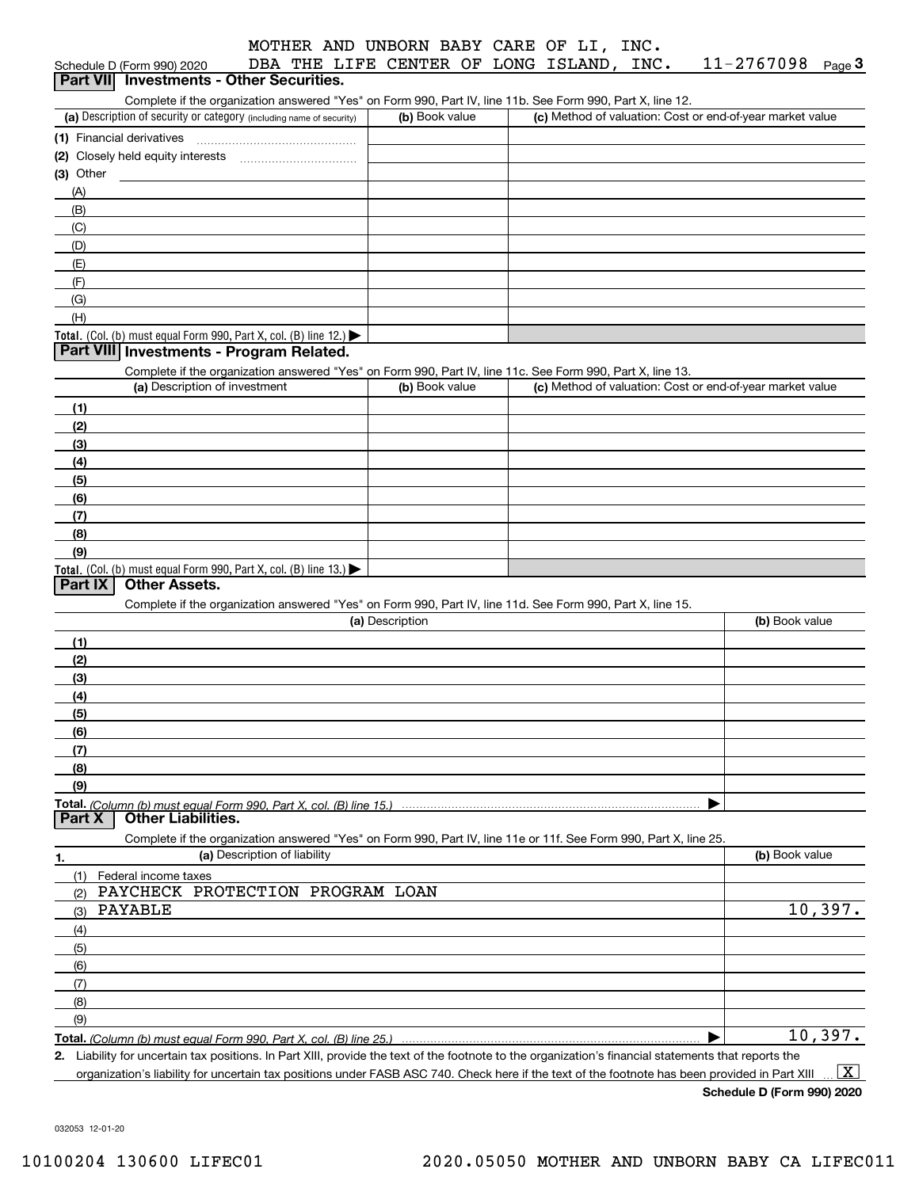| MOTHER AND UNBORN BABY CARE OF LI, INC. |  |  |  |  |  |  |  |
|-----------------------------------------|--|--|--|--|--|--|--|
|-----------------------------------------|--|--|--|--|--|--|--|

11-2767098 Page 3

| Schedule D (Form 990) 2020 |  |                                          |  |  | DBA THE LIFE CENTER OF LONG ISLAND, INC. | 11-2767098 <sub>Page</sub> 3 |  |
|----------------------------|--|------------------------------------------|--|--|------------------------------------------|------------------------------|--|
|                            |  | Part VII Investments - Other Securities. |  |  |                                          |                              |  |

Complete if the organization answered "Yes" on Form 990, Part IV, line 11b. See Form 990, Part X, line 12.

| (a) Description of security or category (including name of security)                   | (b) Book value | (c) Method of valuation: Cost or end-of-year market value |
|----------------------------------------------------------------------------------------|----------------|-----------------------------------------------------------|
| (1) Financial derivatives                                                              |                |                                                           |
| (2) Closely held equity interests                                                      |                |                                                           |
| $(3)$ Other                                                                            |                |                                                           |
| (A)                                                                                    |                |                                                           |
| (B)                                                                                    |                |                                                           |
| (C)                                                                                    |                |                                                           |
| (D)                                                                                    |                |                                                           |
| (E)                                                                                    |                |                                                           |
| (F)                                                                                    |                |                                                           |
| (G)                                                                                    |                |                                                           |
| (H)                                                                                    |                |                                                           |
| Total. (Col. (b) must equal Form 990, Part X, col. (B) line 12.) $\blacktriangleright$ |                |                                                           |

#### **Part VIII Investments - Program Related.**

Complete if the organization answered "Yes" on Form 990, Part IV, line 11c. See Form 990, Part X, line 13.

| (a) Description of investment                                                          | (b) Book value | (c) Method of valuation: Cost or end-of-year market value |
|----------------------------------------------------------------------------------------|----------------|-----------------------------------------------------------|
| (1)                                                                                    |                |                                                           |
| (2)                                                                                    |                |                                                           |
| $\frac{1}{2}$                                                                          |                |                                                           |
| (4)                                                                                    |                |                                                           |
| $\left(5\right)$                                                                       |                |                                                           |
| (6)                                                                                    |                |                                                           |
| (7)                                                                                    |                |                                                           |
| (8)                                                                                    |                |                                                           |
| (9)                                                                                    |                |                                                           |
| Total. (Col. (b) must equal Form 990, Part X, col. (B) line 13.) $\blacktriangleright$ |                |                                                           |

#### **Part IX Other Assets.**

Complete if the organization answered "Yes" on Form 990, Part IV, line 11d. See Form 990, Part X, line 15.

| (a) Description                                                                                                   | (b) Book value |
|-------------------------------------------------------------------------------------------------------------------|----------------|
| (1)                                                                                                               |                |
| (2)                                                                                                               |                |
| (3)                                                                                                               |                |
| (4)                                                                                                               |                |
| (5)                                                                                                               |                |
| (6)                                                                                                               |                |
| (7)                                                                                                               |                |
| (8)                                                                                                               |                |
| (9)                                                                                                               |                |
|                                                                                                                   |                |
| <b>Other Liabilities.</b><br><b>Part X</b>                                                                        |                |
| Complete if the organization answered "Yes" on Form 990, Part IV, line 11e or 11f. See Form 990, Part X, line 25. |                |
| (a) Description of liability<br>1.                                                                                | (b) Book value |
|                                                                                                                   |                |

| Federal income taxes                                               |        |
|--------------------------------------------------------------------|--------|
| PAYCHECK PROTECTION PROGRAM LOAN<br>(2)                            |        |
| PAYABLE<br>(3)                                                     | 10,397 |
| (4)                                                                |        |
| (5)                                                                |        |
| (6)                                                                |        |
| (7)                                                                |        |
| (8)                                                                |        |
| (9)                                                                |        |
| Total. (Column (b) must equal Form 990, Part X, col. (B) line 25.) | 10,397 |

**2.** Liability for uncertain tax positions. In Part XIII, provide the text of the footnote to the organization's financial statements that reports the

organization's liability for uncertain tax positions under FASB ASC 740. Check here if the text of the footnote has been provided in Part XIII  $\boxed{\text{X}}$ 

**Schedule D (Form 990) 2020**

032053 12-01-20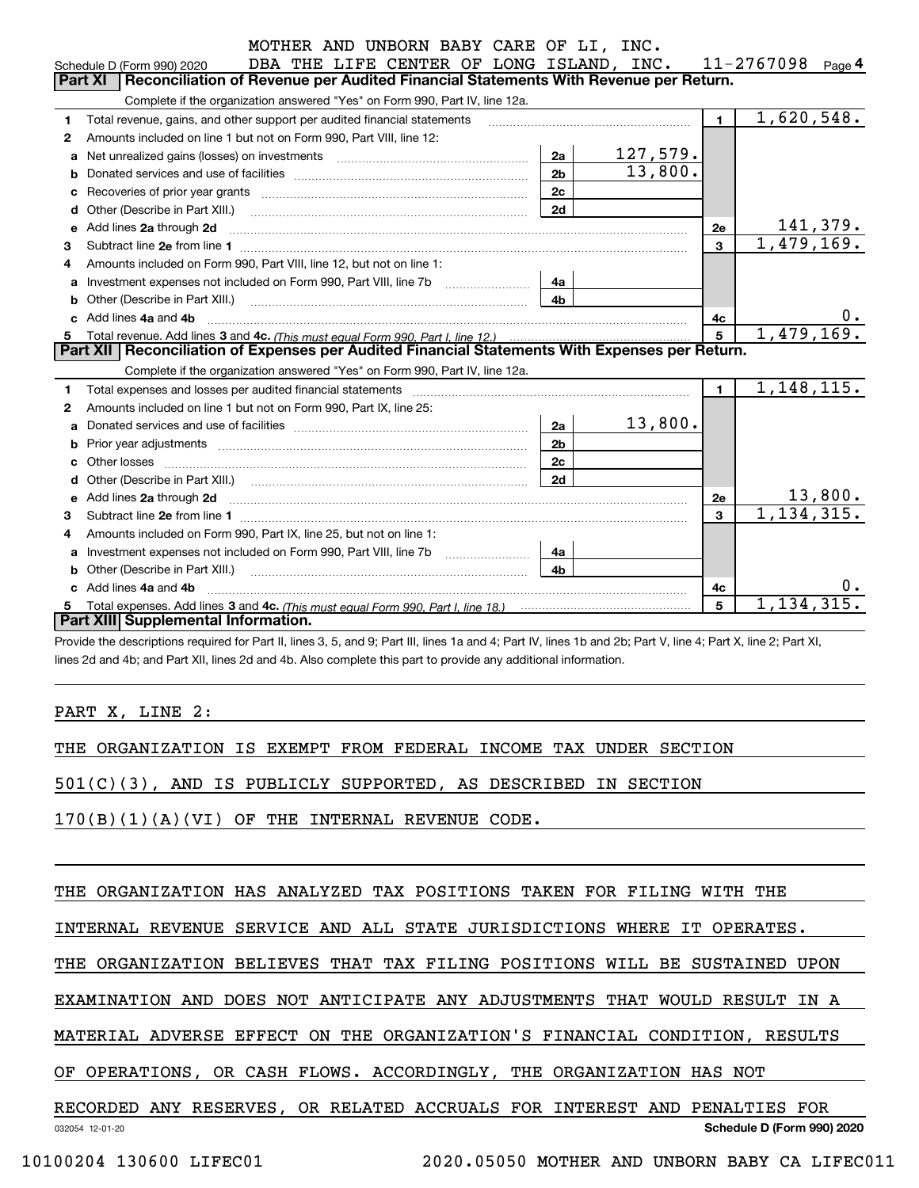|   | MOTHER AND UNBORN BABY CARE OF LI, INC.                                                                                                                                                                                            |                |          |                |                      |
|---|------------------------------------------------------------------------------------------------------------------------------------------------------------------------------------------------------------------------------------|----------------|----------|----------------|----------------------|
|   | DBA THE LIFE CENTER OF LONG ISLAND, INC.<br>Schedule D (Form 990) 2020                                                                                                                                                             |                |          |                | 11-2767098<br>Page 4 |
|   | Reconciliation of Revenue per Audited Financial Statements With Revenue per Return.<br>Part XI                                                                                                                                     |                |          |                |                      |
|   | Complete if the organization answered "Yes" on Form 990, Part IV, line 12a.                                                                                                                                                        |                |          |                |                      |
| 1 | Total revenue, gains, and other support per audited financial statements                                                                                                                                                           |                |          | $\blacksquare$ | 1,620,548.           |
| 2 | Amounts included on line 1 but not on Form 990, Part VIII, line 12:                                                                                                                                                                |                |          |                |                      |
| a | Net unrealized gains (losses) on investments [11] matter contracts and the unrealized gains (losses) on investments                                                                                                                | 2a             | 127,579. |                |                      |
| b |                                                                                                                                                                                                                                    | 2 <sub>b</sub> | 13,800.  |                |                      |
|   | Recoveries of prior year grants [111] Recoveries of prior year grants [11] Masseum Marchantel Marchantel March                                                                                                                     | 2 <sub>c</sub> |          |                |                      |
| d |                                                                                                                                                                                                                                    | 2d             |          |                |                      |
| e | Add lines 2a through 2d                                                                                                                                                                                                            |                |          | 2e             | 141,379.             |
| 3 |                                                                                                                                                                                                                                    |                |          | 3              | 1,479,169.           |
| 4 | Amounts included on Form 990, Part VIII, line 12, but not on line 1:                                                                                                                                                               |                |          |                |                      |
| a | Investment expenses not included on Form 990, Part VIII, line 7b [11, 111, 111, 111]                                                                                                                                               | 4a             |          |                |                      |
|   |                                                                                                                                                                                                                                    | 4b             |          |                |                      |
|   | Add lines 4a and 4b                                                                                                                                                                                                                |                |          | 4c             | $0 \cdot$            |
| 5 |                                                                                                                                                                                                                                    |                |          | 5              | 1,479,169.           |
|   | Part XII   Reconciliation of Expenses per Audited Financial Statements With Expenses per Return.                                                                                                                                   |                |          |                |                      |
|   | Complete if the organization answered "Yes" on Form 990, Part IV, line 12a.                                                                                                                                                        |                |          |                |                      |
| 1 |                                                                                                                                                                                                                                    |                |          | $\blacksquare$ | 1,148,115.           |
| 2 | Amounts included on line 1 but not on Form 990. Part IX, line 25:                                                                                                                                                                  |                |          |                |                      |
| a |                                                                                                                                                                                                                                    | 2a             | 13,800.  |                |                      |
|   |                                                                                                                                                                                                                                    | 2 <sub>b</sub> |          |                |                      |
|   |                                                                                                                                                                                                                                    | 2c             |          |                |                      |
|   |                                                                                                                                                                                                                                    | 2d             |          |                |                      |
| е | Add lines 2a through 2d <b>manufactures</b> in the contract of the contract of the contract of the contract of the contract of the contract of the contract of the contract of the contract of the contract of the contract of the |                |          | 2e             | 13,800.              |
| 3 |                                                                                                                                                                                                                                    |                |          | $\mathbf{3}$   | 1, 134, 315.         |
| 4 | Amounts included on Form 990, Part IX, line 25, but not on line 1:                                                                                                                                                                 |                |          |                |                      |
| a |                                                                                                                                                                                                                                    | 4a             |          |                |                      |
|   | <b>b</b> Other (Describe in Part XIII.)                                                                                                                                                                                            | 4 <sub>b</sub> |          |                |                      |
|   | c Add lines 4a and 4b                                                                                                                                                                                                              |                |          | 4c             |                      |
|   | Total expenses. Add lines 3 and 4c. (This must equal Form 990. Part I. line 18.) <b>Conservers</b> manufactured in the                                                                                                             |                |          | 5              | 1, 134, 315.         |
|   | Part XIII Supplemental Information.                                                                                                                                                                                                |                |          |                |                      |

Provide the descriptions required for Part II, lines 3, 5, and 9; Part III, lines 1a and 4; Part IV, lines 1b and 2b; Part V, line 4; Part X, line 2; Part XI, lines 2d and 4b; and Part XII, lines 2d and 4b. Also complete this part to provide any additional information.

#### PART X, LINE 2:

THE ORGANIZATION IS EXEMPT FROM FEDERAL INCOME TAX UNDER SECTION

501(C)(3), AND IS PUBLICLY SUPPORTED, AS DESCRIBED IN SECTION

170(B)(1)(A)(VI) OF THE INTERNAL REVENUE CODE.

THE ORGANIZATION HAS ANALYZED TAX POSITIONS TAKEN FOR FILING WITH THE

INTERNAL REVENUE SERVICE AND ALL STATE JURISDICTIONS WHERE IT OPERATES.

THE ORGANIZATION BELIEVES THAT TAX FILING POSITIONS WILL BE SUSTAINED UPON

EXAMINATION AND DOES NOT ANTICIPATE ANY ADJUSTMENTS THAT WOULD RESULT IN A

MATERIAL ADVERSE EFFECT ON THE ORGANIZATION'S FINANCIAL CONDITION, RESULTS

OF OPERATIONS, OR CASH FLOWS. ACCORDINGLY, THE ORGANIZATION HAS NOT

032054 12-01-20 **Schedule D (Form 990) 2020** RECORDED ANY RESERVES, OR RELATED ACCRUALS FOR INTEREST AND PENALTIES FOR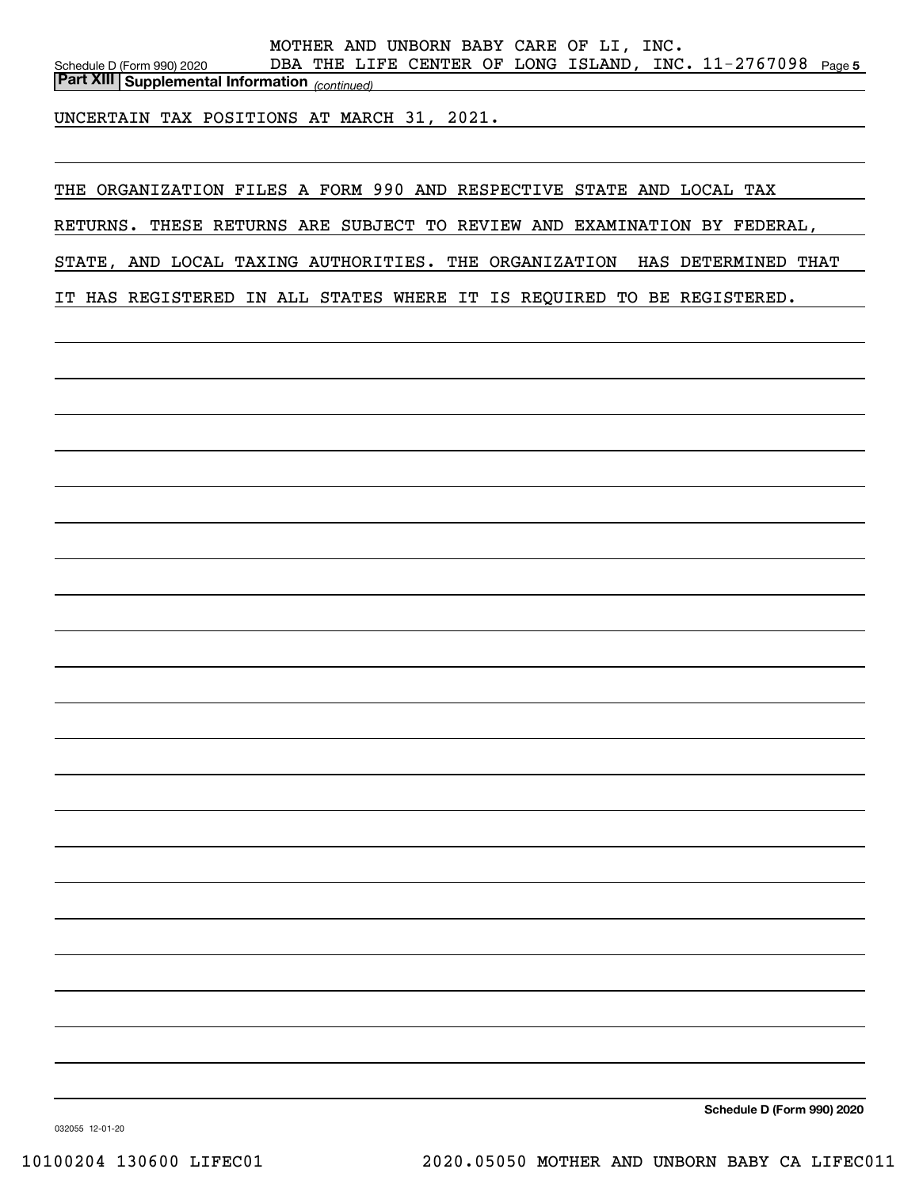Schedule D (Form 990) 2020 DBA THE LIFE CENTER OF LONG ISLAND, INC  $11\text{--}2767098$  Page 5 *(continued)* **Part XIII Supplemental Information**  MOTHER AND UNBORN BABY CARE OF LI, INC.

UNCERTAIN TAX POSITIONS AT MARCH 31, 2021.

THE ORGANIZATION FILES A FORM 990 AND RESPECTIVE STATE AND LOCAL TAX

RETURNS. THESE RETURNS ARE SUBJECT TO REVIEW AND EXAMINATION BY FEDERAL,

STATE, AND LOCAL TAXING AUTHORITIES. THE ORGANIZATION HAS DETERMINED THAT

IT HAS REGISTERED IN ALL STATES WHERE IT IS REQUIRED TO BE REGISTERED.

**Schedule D (Form 990) 2020**

032055 12-01-20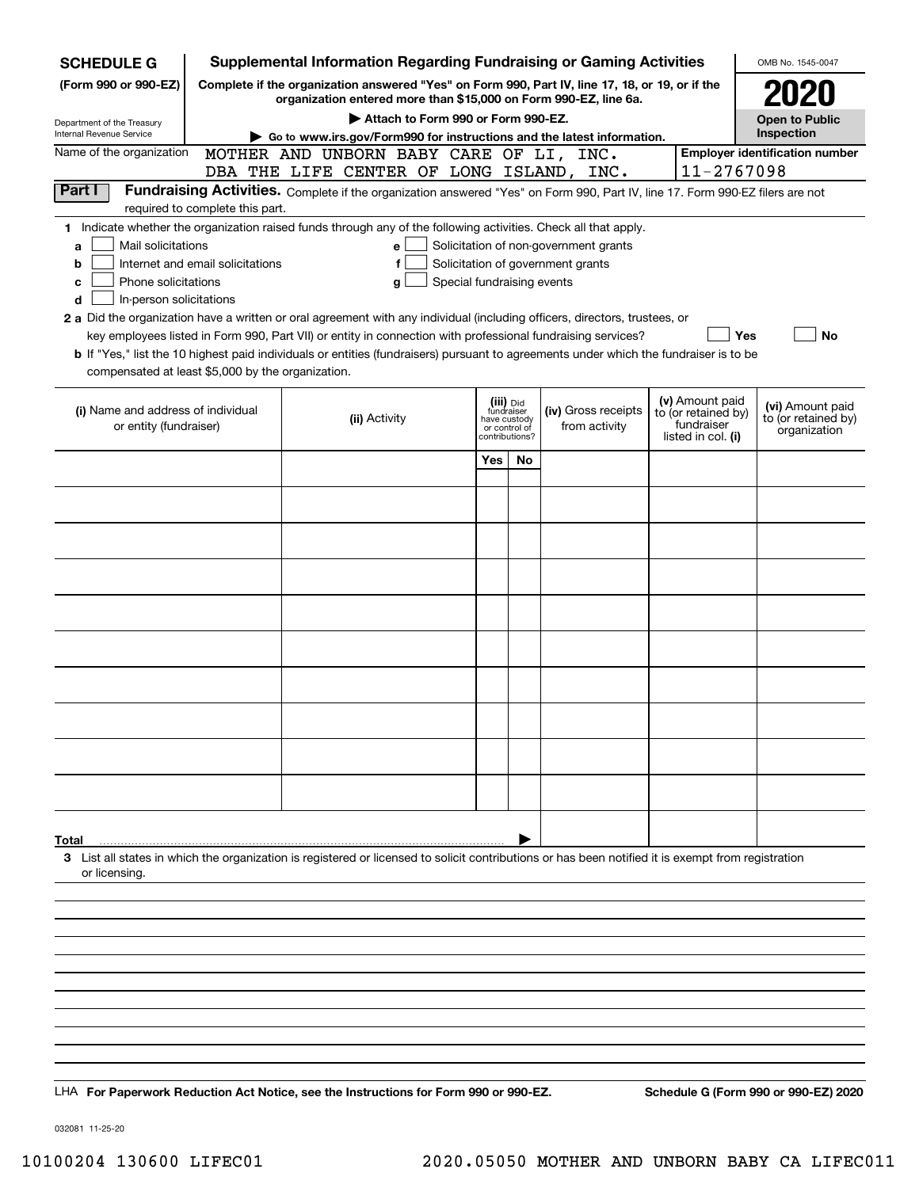| Complete if the organization answered "Yes" on Form 990, Part IV, line 17, 18, or 19, or if the<br>organization entered more than \$15,000 on Form 990-EZ, line 6a.<br>Attach to Form 990 or Form 990-EZ.<br><b>Open to Public</b><br>Inspection<br>Go to www.irs.gov/Form990 for instructions and the latest information.<br><b>Employer identification number</b><br>MOTHER AND UNBORN BABY CARE OF LI, INC.<br>11-2767098<br>DBA THE LIFE CENTER OF LONG ISLAND, INC.<br>Part I<br>Fundraising Activities. Complete if the organization answered "Yes" on Form 990, Part IV, line 17. Form 990-EZ filers are not<br>required to complete this part.<br>1 Indicate whether the organization raised funds through any of the following activities. Check all that apply.<br>Mail solicitations<br>Solicitation of non-government grants<br>a<br>е<br>Solicitation of government grants<br>Internet and email solicitations<br>f<br>b<br>Phone solicitations<br>Special fundraising events<br>с<br>g<br>In-person solicitations<br>d<br>2 a Did the organization have a written or oral agreement with any individual (including officers, directors, trustees, or<br>key employees listed in Form 990, Part VII) or entity in connection with professional fundraising services?<br>Yes<br>No<br><b>b</b> If "Yes," list the 10 highest paid individuals or entities (fundraisers) pursuant to agreements under which the fundraiser is to be<br>compensated at least \$5,000 by the organization.<br>(v) Amount paid<br>(iii) Did<br>fundraiser<br>(vi) Amount paid<br>(i) Name and address of individual<br>(iv) Gross receipts<br>to (or retained by)<br>(ii) Activity<br>to (or retained by)<br>have custody<br>fundraiser<br>from activity<br>or entity (fundraiser)<br>or control of<br>organization<br>listed in col. (i)<br>contributions?<br>Yes<br>No<br>3 List all states in which the organization is registered or licensed to solicit contributions or has been notified it is exempt from registration<br>or licensing. | <b>SCHEDULE G</b>                                      | Supplemental Information Regarding Fundraising or Gaming Activities |  |  | OMB No. 1545-0047 |
|-----------------------------------------------------------------------------------------------------------------------------------------------------------------------------------------------------------------------------------------------------------------------------------------------------------------------------------------------------------------------------------------------------------------------------------------------------------------------------------------------------------------------------------------------------------------------------------------------------------------------------------------------------------------------------------------------------------------------------------------------------------------------------------------------------------------------------------------------------------------------------------------------------------------------------------------------------------------------------------------------------------------------------------------------------------------------------------------------------------------------------------------------------------------------------------------------------------------------------------------------------------------------------------------------------------------------------------------------------------------------------------------------------------------------------------------------------------------------------------------------------------------------------------------------------------------------------------------------------------------------------------------------------------------------------------------------------------------------------------------------------------------------------------------------------------------------------------------------------------------------------------------------------------------------------------------------------------------------------------------------------------------------------------------|--------------------------------------------------------|---------------------------------------------------------------------|--|--|-------------------|
|                                                                                                                                                                                                                                                                                                                                                                                                                                                                                                                                                                                                                                                                                                                                                                                                                                                                                                                                                                                                                                                                                                                                                                                                                                                                                                                                                                                                                                                                                                                                                                                                                                                                                                                                                                                                                                                                                                                                                                                                                                         | (Form 990 or 990-EZ)                                   |                                                                     |  |  |                   |
|                                                                                                                                                                                                                                                                                                                                                                                                                                                                                                                                                                                                                                                                                                                                                                                                                                                                                                                                                                                                                                                                                                                                                                                                                                                                                                                                                                                                                                                                                                                                                                                                                                                                                                                                                                                                                                                                                                                                                                                                                                         |                                                        |                                                                     |  |  |                   |
|                                                                                                                                                                                                                                                                                                                                                                                                                                                                                                                                                                                                                                                                                                                                                                                                                                                                                                                                                                                                                                                                                                                                                                                                                                                                                                                                                                                                                                                                                                                                                                                                                                                                                                                                                                                                                                                                                                                                                                                                                                         | Department of the Treasury<br>Internal Revenue Service |                                                                     |  |  |                   |
|                                                                                                                                                                                                                                                                                                                                                                                                                                                                                                                                                                                                                                                                                                                                                                                                                                                                                                                                                                                                                                                                                                                                                                                                                                                                                                                                                                                                                                                                                                                                                                                                                                                                                                                                                                                                                                                                                                                                                                                                                                         | Name of the organization                               |                                                                     |  |  |                   |
|                                                                                                                                                                                                                                                                                                                                                                                                                                                                                                                                                                                                                                                                                                                                                                                                                                                                                                                                                                                                                                                                                                                                                                                                                                                                                                                                                                                                                                                                                                                                                                                                                                                                                                                                                                                                                                                                                                                                                                                                                                         |                                                        |                                                                     |  |  |                   |
|                                                                                                                                                                                                                                                                                                                                                                                                                                                                                                                                                                                                                                                                                                                                                                                                                                                                                                                                                                                                                                                                                                                                                                                                                                                                                                                                                                                                                                                                                                                                                                                                                                                                                                                                                                                                                                                                                                                                                                                                                                         |                                                        |                                                                     |  |  |                   |
|                                                                                                                                                                                                                                                                                                                                                                                                                                                                                                                                                                                                                                                                                                                                                                                                                                                                                                                                                                                                                                                                                                                                                                                                                                                                                                                                                                                                                                                                                                                                                                                                                                                                                                                                                                                                                                                                                                                                                                                                                                         |                                                        |                                                                     |  |  |                   |
|                                                                                                                                                                                                                                                                                                                                                                                                                                                                                                                                                                                                                                                                                                                                                                                                                                                                                                                                                                                                                                                                                                                                                                                                                                                                                                                                                                                                                                                                                                                                                                                                                                                                                                                                                                                                                                                                                                                                                                                                                                         |                                                        |                                                                     |  |  |                   |
|                                                                                                                                                                                                                                                                                                                                                                                                                                                                                                                                                                                                                                                                                                                                                                                                                                                                                                                                                                                                                                                                                                                                                                                                                                                                                                                                                                                                                                                                                                                                                                                                                                                                                                                                                                                                                                                                                                                                                                                                                                         |                                                        |                                                                     |  |  |                   |
|                                                                                                                                                                                                                                                                                                                                                                                                                                                                                                                                                                                                                                                                                                                                                                                                                                                                                                                                                                                                                                                                                                                                                                                                                                                                                                                                                                                                                                                                                                                                                                                                                                                                                                                                                                                                                                                                                                                                                                                                                                         |                                                        |                                                                     |  |  |                   |
|                                                                                                                                                                                                                                                                                                                                                                                                                                                                                                                                                                                                                                                                                                                                                                                                                                                                                                                                                                                                                                                                                                                                                                                                                                                                                                                                                                                                                                                                                                                                                                                                                                                                                                                                                                                                                                                                                                                                                                                                                                         |                                                        |                                                                     |  |  |                   |
|                                                                                                                                                                                                                                                                                                                                                                                                                                                                                                                                                                                                                                                                                                                                                                                                                                                                                                                                                                                                                                                                                                                                                                                                                                                                                                                                                                                                                                                                                                                                                                                                                                                                                                                                                                                                                                                                                                                                                                                                                                         |                                                        |                                                                     |  |  |                   |
|                                                                                                                                                                                                                                                                                                                                                                                                                                                                                                                                                                                                                                                                                                                                                                                                                                                                                                                                                                                                                                                                                                                                                                                                                                                                                                                                                                                                                                                                                                                                                                                                                                                                                                                                                                                                                                                                                                                                                                                                                                         |                                                        |                                                                     |  |  |                   |
|                                                                                                                                                                                                                                                                                                                                                                                                                                                                                                                                                                                                                                                                                                                                                                                                                                                                                                                                                                                                                                                                                                                                                                                                                                                                                                                                                                                                                                                                                                                                                                                                                                                                                                                                                                                                                                                                                                                                                                                                                                         |                                                        |                                                                     |  |  |                   |
|                                                                                                                                                                                                                                                                                                                                                                                                                                                                                                                                                                                                                                                                                                                                                                                                                                                                                                                                                                                                                                                                                                                                                                                                                                                                                                                                                                                                                                                                                                                                                                                                                                                                                                                                                                                                                                                                                                                                                                                                                                         |                                                        |                                                                     |  |  |                   |
|                                                                                                                                                                                                                                                                                                                                                                                                                                                                                                                                                                                                                                                                                                                                                                                                                                                                                                                                                                                                                                                                                                                                                                                                                                                                                                                                                                                                                                                                                                                                                                                                                                                                                                                                                                                                                                                                                                                                                                                                                                         |                                                        |                                                                     |  |  |                   |
|                                                                                                                                                                                                                                                                                                                                                                                                                                                                                                                                                                                                                                                                                                                                                                                                                                                                                                                                                                                                                                                                                                                                                                                                                                                                                                                                                                                                                                                                                                                                                                                                                                                                                                                                                                                                                                                                                                                                                                                                                                         |                                                        |                                                                     |  |  |                   |
|                                                                                                                                                                                                                                                                                                                                                                                                                                                                                                                                                                                                                                                                                                                                                                                                                                                                                                                                                                                                                                                                                                                                                                                                                                                                                                                                                                                                                                                                                                                                                                                                                                                                                                                                                                                                                                                                                                                                                                                                                                         |                                                        |                                                                     |  |  |                   |
|                                                                                                                                                                                                                                                                                                                                                                                                                                                                                                                                                                                                                                                                                                                                                                                                                                                                                                                                                                                                                                                                                                                                                                                                                                                                                                                                                                                                                                                                                                                                                                                                                                                                                                                                                                                                                                                                                                                                                                                                                                         |                                                        |                                                                     |  |  |                   |
|                                                                                                                                                                                                                                                                                                                                                                                                                                                                                                                                                                                                                                                                                                                                                                                                                                                                                                                                                                                                                                                                                                                                                                                                                                                                                                                                                                                                                                                                                                                                                                                                                                                                                                                                                                                                                                                                                                                                                                                                                                         |                                                        |                                                                     |  |  |                   |
|                                                                                                                                                                                                                                                                                                                                                                                                                                                                                                                                                                                                                                                                                                                                                                                                                                                                                                                                                                                                                                                                                                                                                                                                                                                                                                                                                                                                                                                                                                                                                                                                                                                                                                                                                                                                                                                                                                                                                                                                                                         |                                                        |                                                                     |  |  |                   |
|                                                                                                                                                                                                                                                                                                                                                                                                                                                                                                                                                                                                                                                                                                                                                                                                                                                                                                                                                                                                                                                                                                                                                                                                                                                                                                                                                                                                                                                                                                                                                                                                                                                                                                                                                                                                                                                                                                                                                                                                                                         |                                                        |                                                                     |  |  |                   |
|                                                                                                                                                                                                                                                                                                                                                                                                                                                                                                                                                                                                                                                                                                                                                                                                                                                                                                                                                                                                                                                                                                                                                                                                                                                                                                                                                                                                                                                                                                                                                                                                                                                                                                                                                                                                                                                                                                                                                                                                                                         |                                                        |                                                                     |  |  |                   |
|                                                                                                                                                                                                                                                                                                                                                                                                                                                                                                                                                                                                                                                                                                                                                                                                                                                                                                                                                                                                                                                                                                                                                                                                                                                                                                                                                                                                                                                                                                                                                                                                                                                                                                                                                                                                                                                                                                                                                                                                                                         | Total                                                  |                                                                     |  |  |                   |
|                                                                                                                                                                                                                                                                                                                                                                                                                                                                                                                                                                                                                                                                                                                                                                                                                                                                                                                                                                                                                                                                                                                                                                                                                                                                                                                                                                                                                                                                                                                                                                                                                                                                                                                                                                                                                                                                                                                                                                                                                                         |                                                        |                                                                     |  |  |                   |
|                                                                                                                                                                                                                                                                                                                                                                                                                                                                                                                                                                                                                                                                                                                                                                                                                                                                                                                                                                                                                                                                                                                                                                                                                                                                                                                                                                                                                                                                                                                                                                                                                                                                                                                                                                                                                                                                                                                                                                                                                                         |                                                        |                                                                     |  |  |                   |
|                                                                                                                                                                                                                                                                                                                                                                                                                                                                                                                                                                                                                                                                                                                                                                                                                                                                                                                                                                                                                                                                                                                                                                                                                                                                                                                                                                                                                                                                                                                                                                                                                                                                                                                                                                                                                                                                                                                                                                                                                                         |                                                        |                                                                     |  |  |                   |
|                                                                                                                                                                                                                                                                                                                                                                                                                                                                                                                                                                                                                                                                                                                                                                                                                                                                                                                                                                                                                                                                                                                                                                                                                                                                                                                                                                                                                                                                                                                                                                                                                                                                                                                                                                                                                                                                                                                                                                                                                                         |                                                        |                                                                     |  |  |                   |
|                                                                                                                                                                                                                                                                                                                                                                                                                                                                                                                                                                                                                                                                                                                                                                                                                                                                                                                                                                                                                                                                                                                                                                                                                                                                                                                                                                                                                                                                                                                                                                                                                                                                                                                                                                                                                                                                                                                                                                                                                                         |                                                        |                                                                     |  |  |                   |
|                                                                                                                                                                                                                                                                                                                                                                                                                                                                                                                                                                                                                                                                                                                                                                                                                                                                                                                                                                                                                                                                                                                                                                                                                                                                                                                                                                                                                                                                                                                                                                                                                                                                                                                                                                                                                                                                                                                                                                                                                                         |                                                        |                                                                     |  |  |                   |
|                                                                                                                                                                                                                                                                                                                                                                                                                                                                                                                                                                                                                                                                                                                                                                                                                                                                                                                                                                                                                                                                                                                                                                                                                                                                                                                                                                                                                                                                                                                                                                                                                                                                                                                                                                                                                                                                                                                                                                                                                                         |                                                        |                                                                     |  |  |                   |
| Schedule G (Form 990 or 990-EZ) 2020<br>LHA For Paperwork Reduction Act Notice, see the Instructions for Form 990 or 990-EZ.                                                                                                                                                                                                                                                                                                                                                                                                                                                                                                                                                                                                                                                                                                                                                                                                                                                                                                                                                                                                                                                                                                                                                                                                                                                                                                                                                                                                                                                                                                                                                                                                                                                                                                                                                                                                                                                                                                            |                                                        |                                                                     |  |  |                   |

032081 11-25-20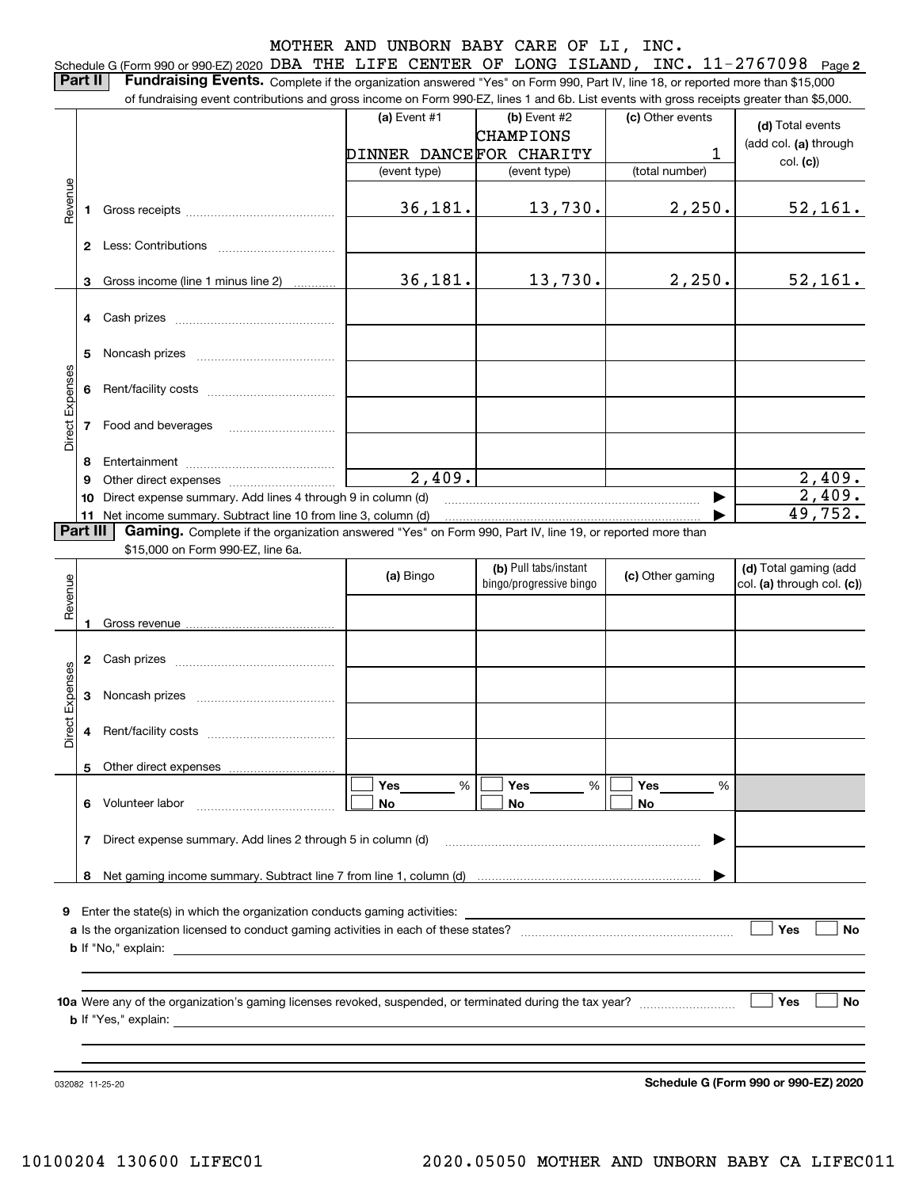Schedule G (Form 990 or 990-EZ) 2020 DBA THE LIFE CENTER OF LONG ISLAND, INC. 11-2767098 <sub>Page</sub> 2 **Part II** | Fundraising Events. Complete if the organization answered "Yes" on Form 990, Part IV, line 18, or reported more than \$15,000

|                 |          | of fundraising event contributions and gross income on Form 990-EZ, lines 1 and 6b. List events with gross receipts greater than \$5,000. |                         |                         |                  |                            |
|-----------------|----------|-------------------------------------------------------------------------------------------------------------------------------------------|-------------------------|-------------------------|------------------|----------------------------|
|                 |          |                                                                                                                                           | (a) Event #1            | (b) Event #2            | (c) Other events | (d) Total events           |
|                 |          |                                                                                                                                           |                         | <b>CHAMPIONS</b>        |                  | (add col. (a) through      |
|                 |          |                                                                                                                                           | DINNER DANCEFOR CHARITY |                         | 1                | col. (c)                   |
|                 |          |                                                                                                                                           | (event type)            | (event type)            | (total number)   |                            |
| evenue          |          |                                                                                                                                           |                         |                         |                  |                            |
| Œ               | 1.       |                                                                                                                                           | 36,181.                 | 13,730.                 | 2,250.           | 52,161.                    |
|                 |          |                                                                                                                                           |                         |                         |                  |                            |
|                 |          |                                                                                                                                           |                         |                         |                  |                            |
|                 |          |                                                                                                                                           |                         |                         |                  |                            |
|                 | 3        | Gross income (line 1 minus line 2)                                                                                                        | 36, 181.                | 13,730.                 | 2,250.           | 52,161.                    |
|                 |          |                                                                                                                                           |                         |                         |                  |                            |
|                 |          |                                                                                                                                           |                         |                         |                  |                            |
|                 |          |                                                                                                                                           |                         |                         |                  |                            |
|                 | 5        |                                                                                                                                           |                         |                         |                  |                            |
|                 |          |                                                                                                                                           |                         |                         |                  |                            |
|                 |          |                                                                                                                                           |                         |                         |                  |                            |
| Direct Expenses |          | 7 Food and beverages                                                                                                                      |                         |                         |                  |                            |
|                 |          |                                                                                                                                           |                         |                         |                  |                            |
|                 | 8        |                                                                                                                                           |                         |                         |                  |                            |
|                 | 9        |                                                                                                                                           | $\overline{2,409}$ .    |                         |                  | 2,409.                     |
|                 | 10       | Direct expense summary. Add lines 4 through 9 in column (d)                                                                               |                         |                         |                  | 2,409.                     |
|                 |          | 11 Net income summary. Subtract line 10 from line 3, column (d)                                                                           |                         |                         |                  | 49,752.                    |
|                 | Part III | Gaming. Complete if the organization answered "Yes" on Form 990, Part IV, line 19, or reported more than                                  |                         |                         |                  |                            |
|                 |          | \$15,000 on Form 990-EZ, line 6a.                                                                                                         |                         |                         |                  |                            |
|                 |          |                                                                                                                                           | (a) Bingo               | (b) Pull tabs/instant   | (c) Other gaming | (d) Total gaming (add      |
| Revenue         |          |                                                                                                                                           |                         | bingo/progressive bingo |                  | col. (a) through col. (c)) |
|                 |          |                                                                                                                                           |                         |                         |                  |                            |
|                 |          |                                                                                                                                           |                         |                         |                  |                            |
|                 |          |                                                                                                                                           |                         |                         |                  |                            |
|                 |          |                                                                                                                                           |                         |                         |                  |                            |
|                 |          |                                                                                                                                           |                         |                         |                  |                            |
| Expenses        | 3        |                                                                                                                                           |                         |                         |                  |                            |
|                 |          |                                                                                                                                           |                         |                         |                  |                            |
| <b>Direct</b>   |          |                                                                                                                                           |                         |                         |                  |                            |
|                 |          |                                                                                                                                           |                         |                         |                  |                            |
|                 |          | 5 Other direct expenses                                                                                                                   |                         |                         |                  |                            |
|                 |          | 6 Volunteer labor                                                                                                                         | %<br>Yes                | %<br>Yes                | Yes<br>%         |                            |
|                 |          |                                                                                                                                           | No                      | No                      | No               |                            |
|                 | 7        | Direct expense summary. Add lines 2 through 5 in column (d)                                                                               |                         |                         |                  |                            |
|                 |          |                                                                                                                                           |                         |                         |                  |                            |
|                 |          |                                                                                                                                           |                         |                         |                  |                            |
|                 |          |                                                                                                                                           |                         |                         |                  |                            |
|                 |          | <b>9</b> Enter the state(s) in which the organization conducts gaming activities:                                                         |                         |                         |                  |                            |
|                 |          |                                                                                                                                           |                         |                         |                  | Yes<br>No                  |
|                 |          |                                                                                                                                           |                         |                         |                  |                            |
|                 |          |                                                                                                                                           |                         |                         |                  |                            |
|                 |          |                                                                                                                                           |                         |                         |                  |                            |
|                 |          |                                                                                                                                           |                         |                         |                  | Yes<br>No                  |
|                 |          |                                                                                                                                           |                         |                         |                  |                            |
|                 |          |                                                                                                                                           |                         |                         |                  |                            |
|                 |          |                                                                                                                                           |                         |                         |                  |                            |
|                 |          |                                                                                                                                           |                         |                         |                  |                            |

032082 11-25-20

**Schedule G (Form 990 or 990-EZ) 2020**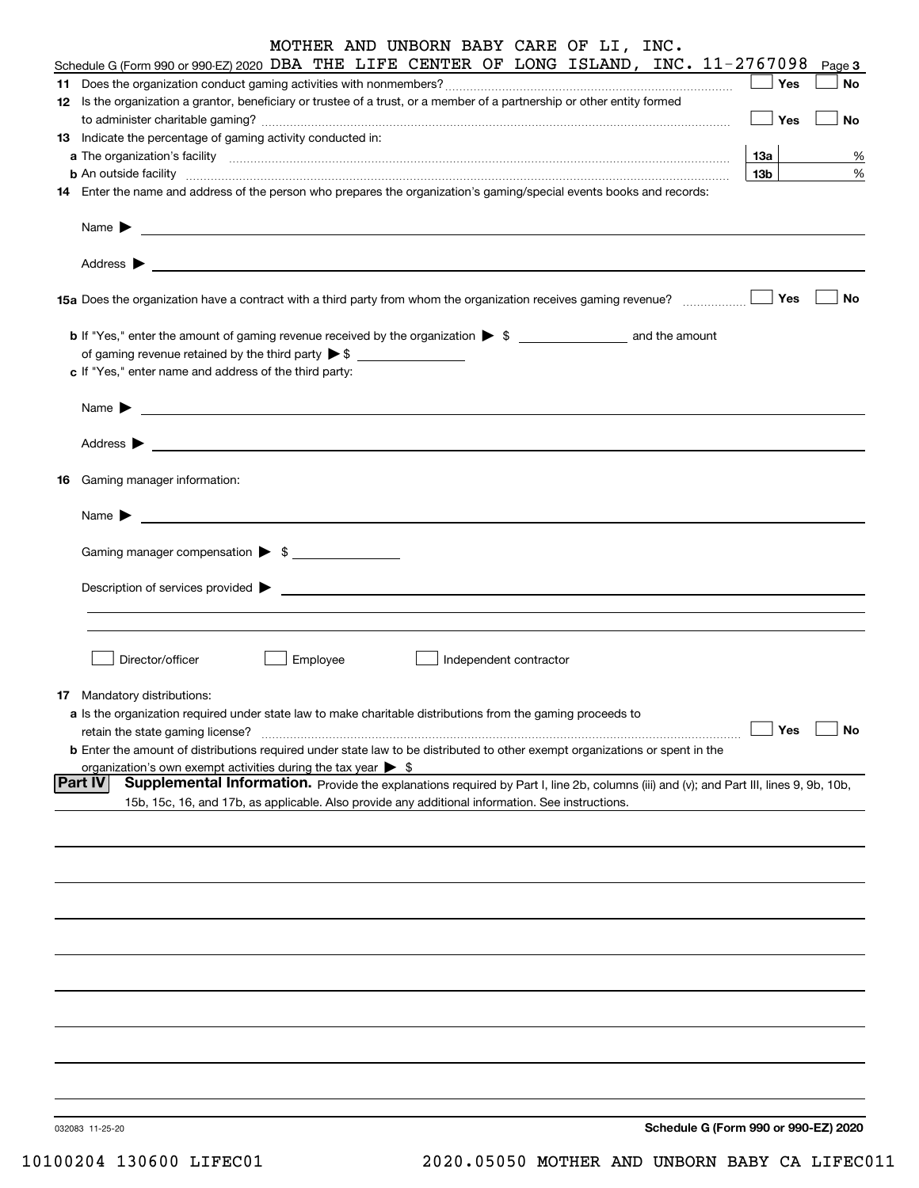|    | MOTHER AND UNBORN BABY CARE OF LI, INC.                                                                                                                                                                                                   |                 |     |           |
|----|-------------------------------------------------------------------------------------------------------------------------------------------------------------------------------------------------------------------------------------------|-----------------|-----|-----------|
|    | Schedule G (Form 990 or 990-EZ) 2020 DBA THE LIFE CENTER OF LONG ISLAND, INC. 11-2767098                                                                                                                                                  |                 |     | Page 3    |
|    |                                                                                                                                                                                                                                           |                 | Yes | No        |
|    | 12 Is the organization a grantor, beneficiary or trustee of a trust, or a member of a partnership or other entity formed                                                                                                                  |                 | Yes | No        |
|    | 13 Indicate the percentage of gaming activity conducted in:                                                                                                                                                                               |                 |     |           |
|    | a The organization's facility <i>[[[[[[[[[[[[[[[[]]]]</i> ] The organization's facility                                                                                                                                                   | 13а             |     | %         |
|    | <b>b</b> An outside facility <i>www.communicality contract and an executive contract and an executive contract and an executive contract and an executive contract and an executive contract and an executive contract and an executi</i> | 13 <sub>b</sub> |     | %         |
|    | 14 Enter the name and address of the person who prepares the organization's gaming/special events books and records:                                                                                                                      |                 |     |           |
|    | Name $\blacktriangleright$<br>Address $\blacktriangleright$                                                                                                                                                                               |                 |     |           |
|    | 15a Does the organization have a contract with a third party from whom the organization receives gaming revenue?                                                                                                                          |                 | Yes | <b>No</b> |
|    | <b>b</b> If "Yes," enter the amount of gaming revenue received by the organization $\triangleright$ \$ ___________________ and the amount                                                                                                 |                 |     |           |
|    |                                                                                                                                                                                                                                           |                 |     |           |
|    | c If "Yes," enter name and address of the third party:                                                                                                                                                                                    |                 |     |           |
|    |                                                                                                                                                                                                                                           |                 |     |           |
|    | Name $\blacktriangleright$                                                                                                                                                                                                                |                 |     |           |
|    | Address $\blacktriangleright$                                                                                                                                                                                                             |                 |     |           |
| 16 | Gaming manager information:                                                                                                                                                                                                               |                 |     |           |
|    | Name $\blacktriangleright$                                                                                                                                                                                                                |                 |     |           |
|    | Gaming manager compensation > \$                                                                                                                                                                                                          |                 |     |           |
|    | Description of services provided >                                                                                                                                                                                                        |                 |     |           |
|    |                                                                                                                                                                                                                                           |                 |     |           |
|    | Director/officer<br>Employee<br>Independent contractor                                                                                                                                                                                    |                 |     |           |
|    | <b>17</b> Mandatory distributions:                                                                                                                                                                                                        |                 |     |           |
|    | a Is the organization required under state law to make charitable distributions from the gaming proceeds to                                                                                                                               |                 |     |           |
|    | retain the state gaming license?                                                                                                                                                                                                          |                 | Yes | <b>No</b> |
|    | <b>b</b> Enter the amount of distributions required under state law to be distributed to other exempt organizations or spent in the                                                                                                       |                 |     |           |
|    | organization's own exempt activities during the tax year $\triangleright$ \$                                                                                                                                                              |                 |     |           |
|    | <b>Part IV</b><br>Supplemental Information. Provide the explanations required by Part I, line 2b, columns (iii) and (v); and Part III, lines 9, 9b, 10b,                                                                                  |                 |     |           |
|    | 15b, 15c, 16, and 17b, as applicable. Also provide any additional information. See instructions.                                                                                                                                          |                 |     |           |
|    |                                                                                                                                                                                                                                           |                 |     |           |
|    |                                                                                                                                                                                                                                           |                 |     |           |
|    |                                                                                                                                                                                                                                           |                 |     |           |
|    |                                                                                                                                                                                                                                           |                 |     |           |
|    |                                                                                                                                                                                                                                           |                 |     |           |
|    |                                                                                                                                                                                                                                           |                 |     |           |
|    |                                                                                                                                                                                                                                           |                 |     |           |
|    |                                                                                                                                                                                                                                           |                 |     |           |
|    |                                                                                                                                                                                                                                           |                 |     |           |
|    | Schedule G (Form 990 or 990-EZ) 2020<br>032083 11-25-20                                                                                                                                                                                   |                 |     |           |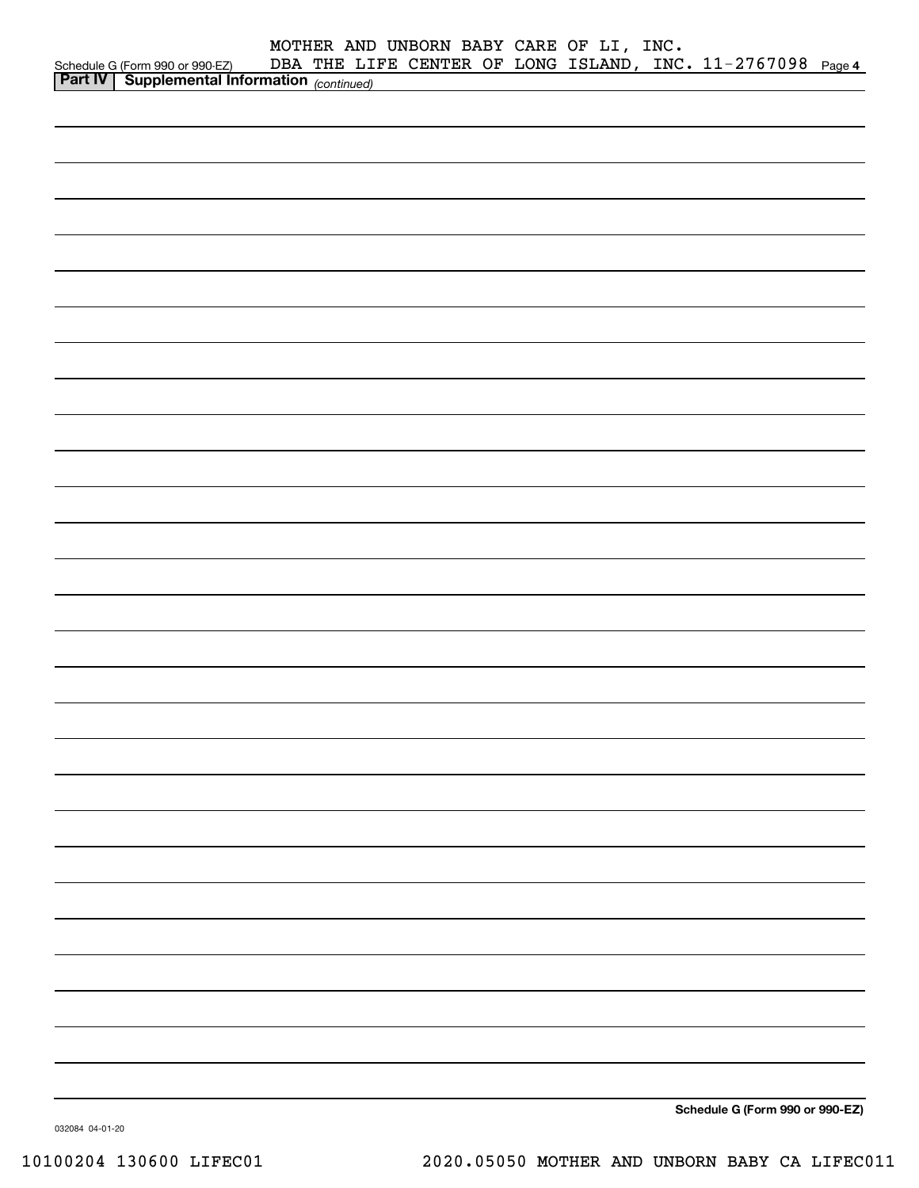|                                                                                                      |  | MOTHER AND UNBORN BABY CARE OF LI, INC. |  |                                                            |  |
|------------------------------------------------------------------------------------------------------|--|-----------------------------------------|--|------------------------------------------------------------|--|
| Schedule G (Form 990 or 990-EZ) DBA THE LII<br><b>Part IV   Supplemental Information</b> (continued) |  |                                         |  | DBA THE LIFE CENTER OF LONG ISLAND, INC. 11-2767098 Page 4 |  |
|                                                                                                      |  |                                         |  |                                                            |  |
|                                                                                                      |  |                                         |  |                                                            |  |
|                                                                                                      |  |                                         |  |                                                            |  |
|                                                                                                      |  |                                         |  |                                                            |  |
|                                                                                                      |  |                                         |  |                                                            |  |
|                                                                                                      |  |                                         |  |                                                            |  |
|                                                                                                      |  |                                         |  |                                                            |  |
|                                                                                                      |  |                                         |  |                                                            |  |
|                                                                                                      |  |                                         |  |                                                            |  |
|                                                                                                      |  |                                         |  |                                                            |  |
|                                                                                                      |  |                                         |  |                                                            |  |
|                                                                                                      |  |                                         |  |                                                            |  |
|                                                                                                      |  |                                         |  |                                                            |  |
|                                                                                                      |  |                                         |  |                                                            |  |
|                                                                                                      |  |                                         |  |                                                            |  |
|                                                                                                      |  |                                         |  |                                                            |  |
|                                                                                                      |  |                                         |  |                                                            |  |
|                                                                                                      |  |                                         |  |                                                            |  |
|                                                                                                      |  |                                         |  |                                                            |  |
|                                                                                                      |  |                                         |  |                                                            |  |
|                                                                                                      |  |                                         |  |                                                            |  |
|                                                                                                      |  |                                         |  |                                                            |  |
|                                                                                                      |  |                                         |  |                                                            |  |
|                                                                                                      |  |                                         |  |                                                            |  |
|                                                                                                      |  |                                         |  |                                                            |  |
|                                                                                                      |  |                                         |  |                                                            |  |
|                                                                                                      |  |                                         |  |                                                            |  |
|                                                                                                      |  |                                         |  |                                                            |  |
|                                                                                                      |  |                                         |  |                                                            |  |
|                                                                                                      |  |                                         |  |                                                            |  |
|                                                                                                      |  |                                         |  |                                                            |  |
|                                                                                                      |  |                                         |  |                                                            |  |
|                                                                                                      |  |                                         |  | $\sim$ $\sim$                                              |  |

**Schedule G (Form 990 or 990-EZ)**

032084 04-01-20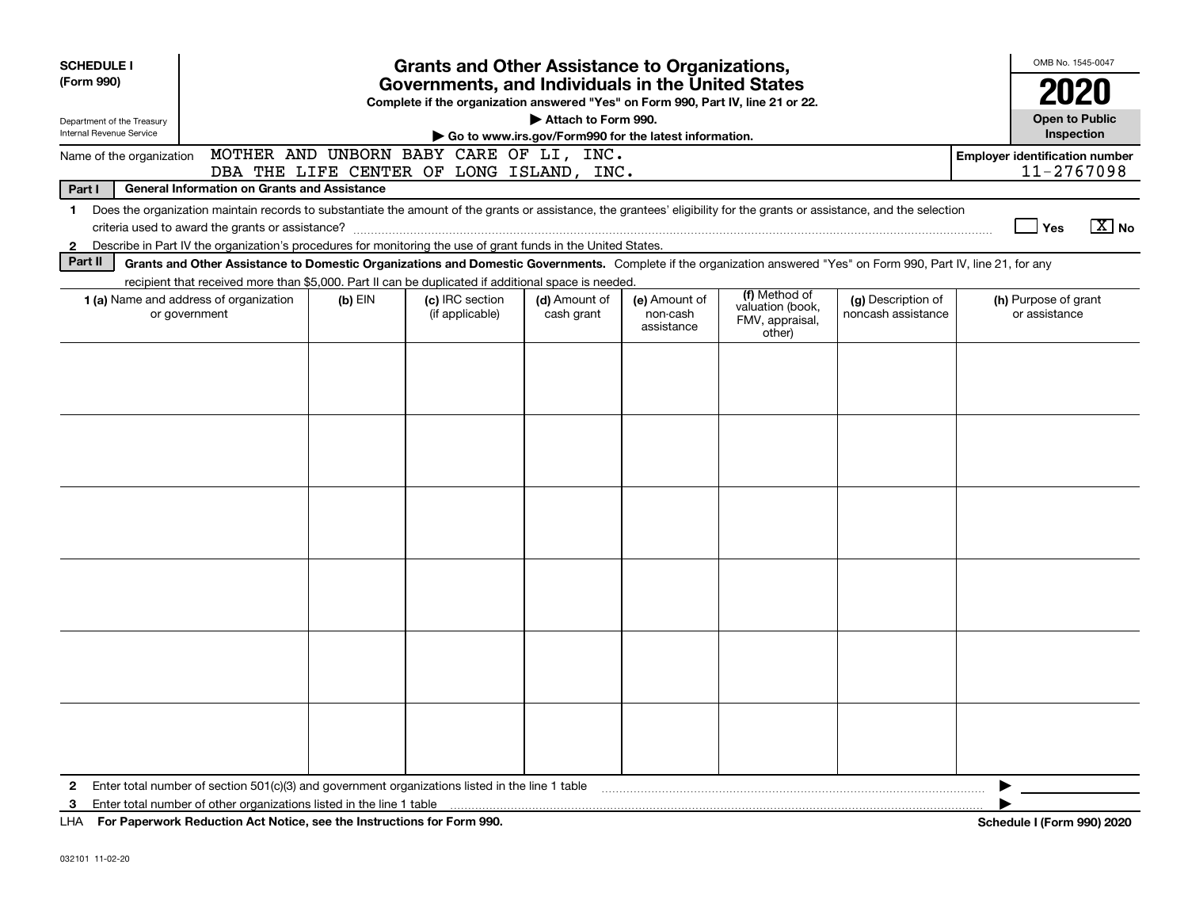| <b>SCHEDULE I</b><br>(Form 990)<br>Department of the Treasury<br>Internal Revenue Service                                                                                                                                                                                                                                | <b>Grants and Other Assistance to Organizations,</b><br>Governments, and Individuals in the United States<br>Complete if the organization answered "Yes" on Form 990, Part IV, line 21 or 22.<br>Attach to Form 990.<br>Go to www.irs.gov/Form990 for the latest information.                                                                                                                             |  |                                          |  |  |  |  |   |                                                             |  |  |  |  |
|--------------------------------------------------------------------------------------------------------------------------------------------------------------------------------------------------------------------------------------------------------------------------------------------------------------------------|-----------------------------------------------------------------------------------------------------------------------------------------------------------------------------------------------------------------------------------------------------------------------------------------------------------------------------------------------------------------------------------------------------------|--|------------------------------------------|--|--|--|--|---|-------------------------------------------------------------|--|--|--|--|
| Name of the organization                                                                                                                                                                                                                                                                                                 |                                                                                                                                                                                                                                                                                                                                                                                                           |  | MOTHER AND UNBORN BABY CARE OF LI, INC.  |  |  |  |  |   | <b>Employer identification number</b>                       |  |  |  |  |
| Part I                                                                                                                                                                                                                                                                                                                   | <b>General Information on Grants and Assistance</b>                                                                                                                                                                                                                                                                                                                                                       |  | DBA THE LIFE CENTER OF LONG ISLAND, INC. |  |  |  |  |   | 11-2767098                                                  |  |  |  |  |
| Does the organization maintain records to substantiate the amount of the grants or assistance, the grantees' eligibility for the grants or assistance, and the selection<br>$\mathbf 1$<br>Describe in Part IV the organization's procedures for monitoring the use of grant funds in the United States.<br>$\mathbf{2}$ |                                                                                                                                                                                                                                                                                                                                                                                                           |  |                                          |  |  |  |  |   |                                                             |  |  |  |  |
| Part II<br>Grants and Other Assistance to Domestic Organizations and Domestic Governments. Complete if the organization answered "Yes" on Form 990, Part IV, line 21, for any                                                                                                                                            |                                                                                                                                                                                                                                                                                                                                                                                                           |  |                                          |  |  |  |  |   |                                                             |  |  |  |  |
|                                                                                                                                                                                                                                                                                                                          | recipient that received more than \$5,000. Part II can be duplicated if additional space is needed.<br>(f) Method of<br>1 (a) Name and address of organization<br>(c) IRC section<br>(d) Amount of<br>(e) Amount of<br>(g) Description of<br>$(b)$ EIN<br>valuation (book,<br>or government<br>(if applicable)<br>cash grant<br>noncash assistance<br>non-cash<br>FMV, appraisal,<br>assistance<br>other) |  |                                          |  |  |  |  |   | (h) Purpose of grant<br>or assistance                       |  |  |  |  |
|                                                                                                                                                                                                                                                                                                                          |                                                                                                                                                                                                                                                                                                                                                                                                           |  |                                          |  |  |  |  |   |                                                             |  |  |  |  |
|                                                                                                                                                                                                                                                                                                                          |                                                                                                                                                                                                                                                                                                                                                                                                           |  |                                          |  |  |  |  |   |                                                             |  |  |  |  |
|                                                                                                                                                                                                                                                                                                                          |                                                                                                                                                                                                                                                                                                                                                                                                           |  |                                          |  |  |  |  |   |                                                             |  |  |  |  |
|                                                                                                                                                                                                                                                                                                                          |                                                                                                                                                                                                                                                                                                                                                                                                           |  |                                          |  |  |  |  |   |                                                             |  |  |  |  |
|                                                                                                                                                                                                                                                                                                                          |                                                                                                                                                                                                                                                                                                                                                                                                           |  |                                          |  |  |  |  |   |                                                             |  |  |  |  |
| 2<br>3                                                                                                                                                                                                                                                                                                                   | Enter total number of section 501(c)(3) and government organizations listed in the line 1 table contained accommodance of section 501(c)(3) and government organizations listed in the line 1 table<br>LITA FOR BOULD COULD BUILD AT A LATER COLLECTION IN THE COPY OF THE COOL COOL.                                                                                                                     |  |                                          |  |  |  |  | ▶ | $\mathbf{F}$ $\mathbf{F}$ and $\mathbf{F}$ and $\mathbf{F}$ |  |  |  |  |

**For Paperwork Reduction Act Notice, see the Instructions for Form 990. Schedule I (Form 990) 2020** LHA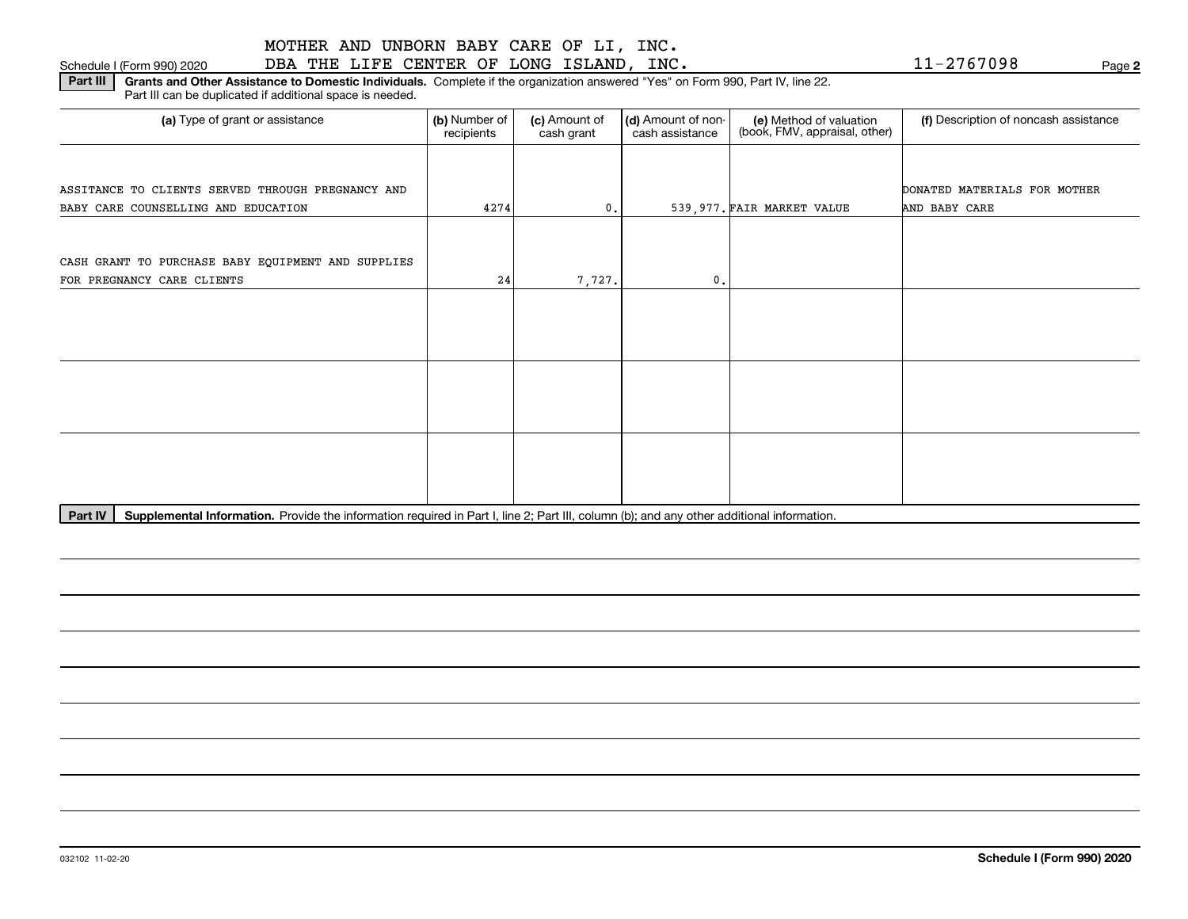#### 032102 11-02-20

Schedule I (Form 990) 2020 DBA THE LIFE CENTER OF LONG ISLAND, INC. Page MOTHER AND UNBORN BABY CARE OF LI, INC.

**Part III** | Grants and Other Assistance to Domestic Individuals. Complete if the organization answered "Yes" on Form 990, Part IV, line 22. Part III can be duplicated if additional space is needed.

| (a) Type of grant or assistance                    | (b) Number of<br>recipients | (c) Amount of<br>cash grant | (d) Amount of non-<br>cash assistance | (e) Method of valuation<br>(book, FMV, appraisal, other) | (f) Description of noncash assistance |
|----------------------------------------------------|-----------------------------|-----------------------------|---------------------------------------|----------------------------------------------------------|---------------------------------------|
|                                                    |                             |                             |                                       |                                                          |                                       |
| ASSITANCE TO CLIENTS SERVED THROUGH PREGNANCY AND  |                             |                             |                                       |                                                          | DONATED MATERIALS FOR MOTHER          |
| BABY CARE COUNSELLING AND EDUCATION                | 4274                        | 0.                          |                                       | 539,977. FAIR MARKET VALUE                               | AND BABY CARE                         |
|                                                    |                             |                             |                                       |                                                          |                                       |
| CASH GRANT TO PURCHASE BABY EQUIPMENT AND SUPPLIES |                             |                             |                                       |                                                          |                                       |
| FOR PREGNANCY CARE CLIENTS                         | 24                          | 7,727.                      | 0.                                    |                                                          |                                       |
|                                                    |                             |                             |                                       |                                                          |                                       |
|                                                    |                             |                             |                                       |                                                          |                                       |
|                                                    |                             |                             |                                       |                                                          |                                       |
|                                                    |                             |                             |                                       |                                                          |                                       |
|                                                    |                             |                             |                                       |                                                          |                                       |
|                                                    |                             |                             |                                       |                                                          |                                       |
|                                                    |                             |                             |                                       |                                                          |                                       |
|                                                    |                             |                             |                                       |                                                          |                                       |
|                                                    |                             |                             |                                       |                                                          |                                       |
|                                                    |                             |                             |                                       |                                                          |                                       |
|                                                    |                             |                             |                                       |                                                          |                                       |

Part IV | Supplemental Information. Provide the information required in Part I, line 2; Part III, column (b); and any other additional information.

**Schedule I (Form 990) 2020**

**2**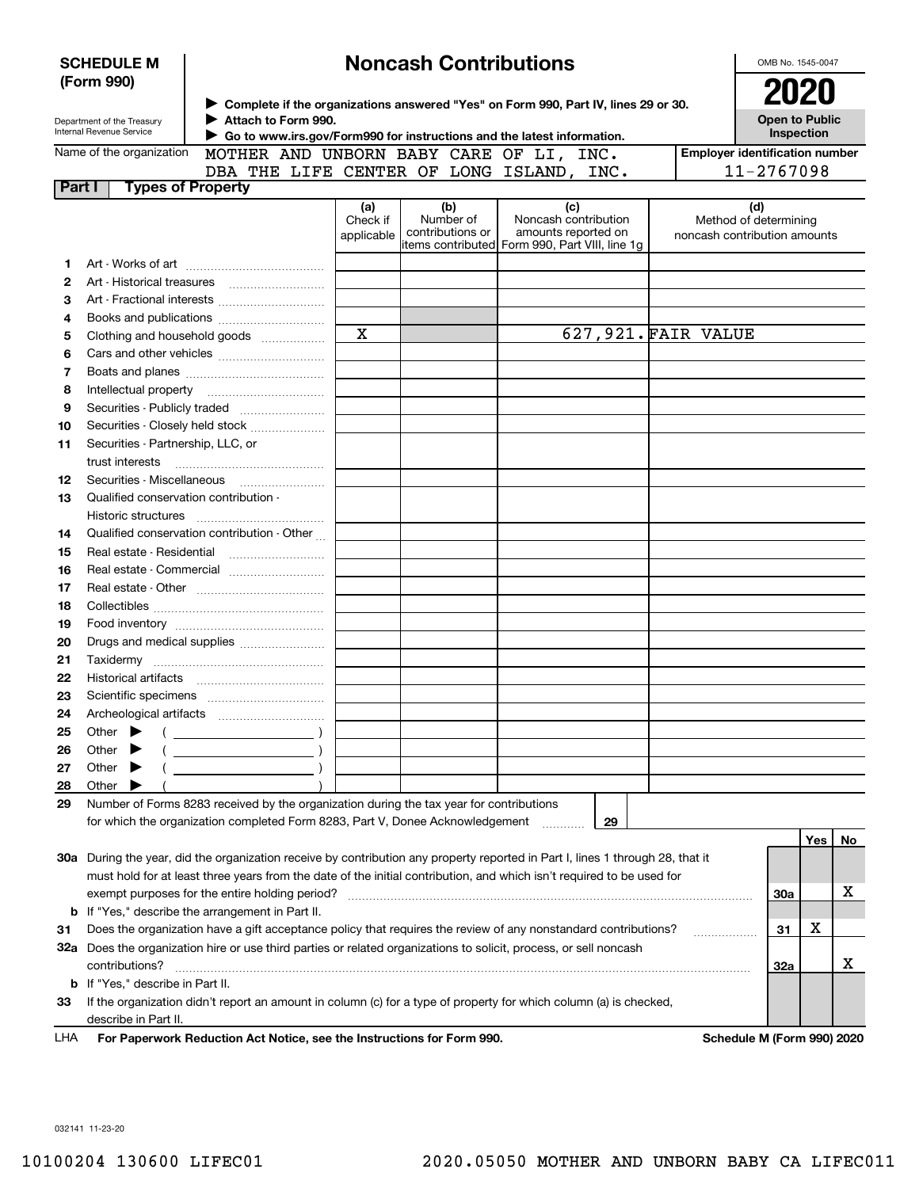| <b>Noncash Contributions</b><br><b>SCHEDULE M</b><br>(Form 990) |                                                                                                                                                                                                                                                |                                                                                                                                                                                       |                               |                                                                                        |                                                    |                     |  |                                                              |     | OMB No. 1545-0047 |
|-----------------------------------------------------------------|------------------------------------------------------------------------------------------------------------------------------------------------------------------------------------------------------------------------------------------------|---------------------------------------------------------------------------------------------------------------------------------------------------------------------------------------|-------------------------------|----------------------------------------------------------------------------------------|----------------------------------------------------|---------------------|--|--------------------------------------------------------------|-----|-------------------|
|                                                                 | Department of the Treasury<br>Internal Revenue Service                                                                                                                                                                                         | ▶ Complete if the organizations answered "Yes" on Form 990, Part IV, lines 29 or 30.<br>Attach to Form 990.<br>Go to www.irs.gov/Form990 for instructions and the latest information. |                               |                                                                                        |                                                    |                     |  | 2020<br><b>Open to Public</b><br>Inspection                  |     |                   |
|                                                                 | Name of the organization                                                                                                                                                                                                                       | MOTHER AND UNBORN BABY CARE OF LI, INC.                                                                                                                                               |                               |                                                                                        |                                                    |                     |  | <b>Employer identification number</b>                        |     |                   |
|                                                                 |                                                                                                                                                                                                                                                | DBA THE LIFE CENTER OF LONG ISLAND, INC.                                                                                                                                              |                               |                                                                                        |                                                    |                     |  | 11-2767098                                                   |     |                   |
| Part I                                                          | <b>Types of Property</b>                                                                                                                                                                                                                       |                                                                                                                                                                                       |                               |                                                                                        |                                                    |                     |  |                                                              |     |                   |
|                                                                 |                                                                                                                                                                                                                                                |                                                                                                                                                                                       | (a)<br>Check if<br>applicable | (b)<br>Number of<br>contributions or<br>items contributed Form 990, Part VIII, line 1q | (c)<br>Noncash contribution<br>amounts reported on |                     |  | (d)<br>Method of determining<br>noncash contribution amounts |     |                   |
| 1                                                               |                                                                                                                                                                                                                                                |                                                                                                                                                                                       |                               |                                                                                        |                                                    |                     |  |                                                              |     |                   |
| 2                                                               |                                                                                                                                                                                                                                                |                                                                                                                                                                                       |                               |                                                                                        |                                                    |                     |  |                                                              |     |                   |
| з                                                               |                                                                                                                                                                                                                                                |                                                                                                                                                                                       |                               |                                                                                        |                                                    |                     |  |                                                              |     |                   |
| 4                                                               |                                                                                                                                                                                                                                                |                                                                                                                                                                                       |                               |                                                                                        |                                                    |                     |  |                                                              |     |                   |
| 5                                                               |                                                                                                                                                                                                                                                | Clothing and household goods                                                                                                                                                          | $\mathbf X$                   |                                                                                        |                                                    | 627,921. FAIR VALUE |  |                                                              |     |                   |
| 6                                                               |                                                                                                                                                                                                                                                |                                                                                                                                                                                       |                               |                                                                                        |                                                    |                     |  |                                                              |     |                   |
| 7                                                               |                                                                                                                                                                                                                                                |                                                                                                                                                                                       |                               |                                                                                        |                                                    |                     |  |                                                              |     |                   |
| 8                                                               |                                                                                                                                                                                                                                                |                                                                                                                                                                                       |                               |                                                                                        |                                                    |                     |  |                                                              |     |                   |
| 9                                                               |                                                                                                                                                                                                                                                |                                                                                                                                                                                       |                               |                                                                                        |                                                    |                     |  |                                                              |     |                   |
| 10                                                              |                                                                                                                                                                                                                                                | Securities - Closely held stock                                                                                                                                                       |                               |                                                                                        |                                                    |                     |  |                                                              |     |                   |
| 11                                                              | Securities - Partnership, LLC, or<br>trust interests                                                                                                                                                                                           |                                                                                                                                                                                       |                               |                                                                                        |                                                    |                     |  |                                                              |     |                   |
| 12                                                              |                                                                                                                                                                                                                                                |                                                                                                                                                                                       |                               |                                                                                        |                                                    |                     |  |                                                              |     |                   |
| 13                                                              | Qualified conservation contribution -                                                                                                                                                                                                          |                                                                                                                                                                                       |                               |                                                                                        |                                                    |                     |  |                                                              |     |                   |
|                                                                 | Historic structures                                                                                                                                                                                                                            |                                                                                                                                                                                       |                               |                                                                                        |                                                    |                     |  |                                                              |     |                   |
| 14                                                              |                                                                                                                                                                                                                                                | Qualified conservation contribution - Other                                                                                                                                           |                               |                                                                                        |                                                    |                     |  |                                                              |     |                   |
| 15                                                              | Real estate - Residential                                                                                                                                                                                                                      |                                                                                                                                                                                       |                               |                                                                                        |                                                    |                     |  |                                                              |     |                   |
| 16                                                              |                                                                                                                                                                                                                                                | Real estate - Commercial                                                                                                                                                              |                               |                                                                                        |                                                    |                     |  |                                                              |     |                   |
| 17                                                              |                                                                                                                                                                                                                                                |                                                                                                                                                                                       |                               |                                                                                        |                                                    |                     |  |                                                              |     |                   |
| 18                                                              |                                                                                                                                                                                                                                                |                                                                                                                                                                                       |                               |                                                                                        |                                                    |                     |  |                                                              |     |                   |
| 19                                                              |                                                                                                                                                                                                                                                |                                                                                                                                                                                       |                               |                                                                                        |                                                    |                     |  |                                                              |     |                   |
| 20                                                              |                                                                                                                                                                                                                                                | Drugs and medical supplies                                                                                                                                                            |                               |                                                                                        |                                                    |                     |  |                                                              |     |                   |
| 21                                                              |                                                                                                                                                                                                                                                |                                                                                                                                                                                       |                               |                                                                                        |                                                    |                     |  |                                                              |     |                   |
| 22                                                              |                                                                                                                                                                                                                                                |                                                                                                                                                                                       |                               |                                                                                        |                                                    |                     |  |                                                              |     |                   |
| 23                                                              |                                                                                                                                                                                                                                                |                                                                                                                                                                                       |                               |                                                                                        |                                                    |                     |  |                                                              |     |                   |
| 24                                                              | Archeological artifacts                                                                                                                                                                                                                        |                                                                                                                                                                                       |                               |                                                                                        |                                                    |                     |  |                                                              |     |                   |
| 25                                                              | Other                                                                                                                                                                                                                                          |                                                                                                                                                                                       |                               |                                                                                        |                                                    |                     |  |                                                              |     |                   |
| 26                                                              | Other                                                                                                                                                                                                                                          |                                                                                                                                                                                       |                               |                                                                                        |                                                    |                     |  |                                                              |     |                   |
| 27                                                              | Other                                                                                                                                                                                                                                          |                                                                                                                                                                                       |                               |                                                                                        |                                                    |                     |  |                                                              |     |                   |
| 28                                                              | Other                                                                                                                                                                                                                                          |                                                                                                                                                                                       |                               |                                                                                        |                                                    |                     |  |                                                              |     |                   |
| 29                                                              |                                                                                                                                                                                                                                                | Number of Forms 8283 received by the organization during the tax year for contributions                                                                                               |                               |                                                                                        |                                                    |                     |  |                                                              |     |                   |
|                                                                 |                                                                                                                                                                                                                                                | for which the organization completed Form 8283, Part V, Donee Acknowledgement                                                                                                         |                               |                                                                                        |                                                    | 29                  |  |                                                              |     |                   |
|                                                                 |                                                                                                                                                                                                                                                |                                                                                                                                                                                       |                               |                                                                                        |                                                    |                     |  |                                                              | Yes | No                |
|                                                                 |                                                                                                                                                                                                                                                | 30a During the year, did the organization receive by contribution any property reported in Part I, lines 1 through 28, that it                                                        |                               |                                                                                        |                                                    |                     |  |                                                              |     |                   |
|                                                                 |                                                                                                                                                                                                                                                | must hold for at least three years from the date of the initial contribution, and which isn't required to be used for                                                                 |                               |                                                                                        |                                                    |                     |  |                                                              |     |                   |
|                                                                 |                                                                                                                                                                                                                                                | exempt purposes for the entire holding period?                                                                                                                                        |                               |                                                                                        |                                                    |                     |  | 30a                                                          |     | х                 |
|                                                                 | <b>b</b> If "Yes," describe the arrangement in Part II.                                                                                                                                                                                        |                                                                                                                                                                                       |                               |                                                                                        |                                                    |                     |  |                                                              |     |                   |
| 31                                                              | X<br>Does the organization have a gift acceptance policy that requires the review of any nonstandard contributions?<br>31<br>32a Does the organization hire or use third parties or related organizations to solicit, process, or sell noncash |                                                                                                                                                                                       |                               |                                                                                        |                                                    |                     |  |                                                              |     |                   |
|                                                                 | contributions?                                                                                                                                                                                                                                 |                                                                                                                                                                                       |                               |                                                                                        |                                                    |                     |  | 32a                                                          |     | х                 |
|                                                                 | <b>b</b> If "Yes," describe in Part II.                                                                                                                                                                                                        |                                                                                                                                                                                       |                               |                                                                                        |                                                    |                     |  |                                                              |     |                   |
| 33                                                              |                                                                                                                                                                                                                                                | If the organization didn't report an amount in column (c) for a type of property for which column (a) is checked,                                                                     |                               |                                                                                        |                                                    |                     |  |                                                              |     |                   |
|                                                                 | describe in Part II.                                                                                                                                                                                                                           |                                                                                                                                                                                       |                               |                                                                                        |                                                    |                     |  |                                                              |     |                   |
| LHA                                                             |                                                                                                                                                                                                                                                | For Paperwork Reduction Act Notice, see the Instructions for Form 990.                                                                                                                |                               |                                                                                        |                                                    |                     |  | Schedule M (Form 990) 2020                                   |     |                   |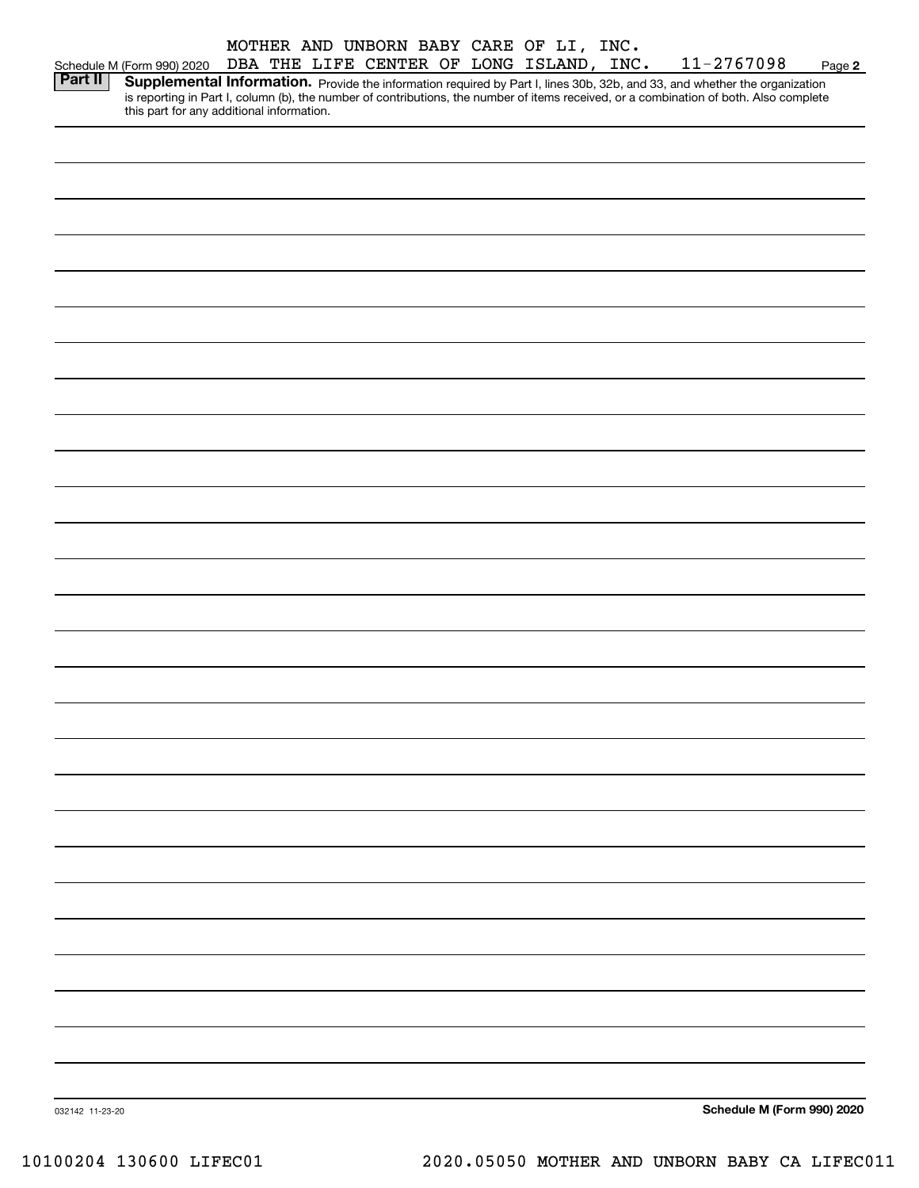|                 |                                           |  | MOTHER AND UNBORN BABY CARE OF LI, INC.  |  |  |                                                                                                                                                                                                                                                                      |        |
|-----------------|-------------------------------------------|--|------------------------------------------|--|--|----------------------------------------------------------------------------------------------------------------------------------------------------------------------------------------------------------------------------------------------------------------------|--------|
|                 | Schedule M (Form 990) 2020                |  | DBA THE LIFE CENTER OF LONG ISLAND, INC. |  |  | 11-2767098                                                                                                                                                                                                                                                           | Page 2 |
| <b>Part II</b>  | this part for any additional information. |  |                                          |  |  | Supplemental Information. Provide the information required by Part I, lines 30b, 32b, and 33, and whether the organization<br>is reporting in Part I, column (b), the number of contributions, the number of items received, or a combination of both. Also complete |        |
|                 |                                           |  |                                          |  |  |                                                                                                                                                                                                                                                                      |        |
|                 |                                           |  |                                          |  |  |                                                                                                                                                                                                                                                                      |        |
|                 |                                           |  |                                          |  |  |                                                                                                                                                                                                                                                                      |        |
|                 |                                           |  |                                          |  |  |                                                                                                                                                                                                                                                                      |        |
|                 |                                           |  |                                          |  |  |                                                                                                                                                                                                                                                                      |        |
|                 |                                           |  |                                          |  |  |                                                                                                                                                                                                                                                                      |        |
|                 |                                           |  |                                          |  |  |                                                                                                                                                                                                                                                                      |        |
|                 |                                           |  |                                          |  |  |                                                                                                                                                                                                                                                                      |        |
|                 |                                           |  |                                          |  |  |                                                                                                                                                                                                                                                                      |        |
|                 |                                           |  |                                          |  |  |                                                                                                                                                                                                                                                                      |        |
|                 |                                           |  |                                          |  |  |                                                                                                                                                                                                                                                                      |        |
|                 |                                           |  |                                          |  |  |                                                                                                                                                                                                                                                                      |        |
|                 |                                           |  |                                          |  |  |                                                                                                                                                                                                                                                                      |        |
|                 |                                           |  |                                          |  |  |                                                                                                                                                                                                                                                                      |        |
|                 |                                           |  |                                          |  |  |                                                                                                                                                                                                                                                                      |        |
|                 |                                           |  |                                          |  |  |                                                                                                                                                                                                                                                                      |        |
|                 |                                           |  |                                          |  |  |                                                                                                                                                                                                                                                                      |        |
|                 |                                           |  |                                          |  |  |                                                                                                                                                                                                                                                                      |        |
|                 |                                           |  |                                          |  |  |                                                                                                                                                                                                                                                                      |        |
|                 |                                           |  |                                          |  |  |                                                                                                                                                                                                                                                                      |        |
|                 |                                           |  |                                          |  |  |                                                                                                                                                                                                                                                                      |        |
|                 |                                           |  |                                          |  |  |                                                                                                                                                                                                                                                                      |        |
|                 |                                           |  |                                          |  |  |                                                                                                                                                                                                                                                                      |        |
|                 |                                           |  |                                          |  |  |                                                                                                                                                                                                                                                                      |        |
|                 |                                           |  |                                          |  |  |                                                                                                                                                                                                                                                                      |        |
|                 |                                           |  |                                          |  |  |                                                                                                                                                                                                                                                                      |        |
|                 |                                           |  |                                          |  |  |                                                                                                                                                                                                                                                                      |        |
|                 |                                           |  |                                          |  |  |                                                                                                                                                                                                                                                                      |        |
|                 |                                           |  |                                          |  |  |                                                                                                                                                                                                                                                                      |        |
|                 |                                           |  |                                          |  |  |                                                                                                                                                                                                                                                                      |        |
|                 |                                           |  |                                          |  |  |                                                                                                                                                                                                                                                                      |        |
|                 |                                           |  |                                          |  |  |                                                                                                                                                                                                                                                                      |        |
|                 |                                           |  |                                          |  |  |                                                                                                                                                                                                                                                                      |        |
|                 |                                           |  |                                          |  |  |                                                                                                                                                                                                                                                                      |        |
|                 |                                           |  |                                          |  |  |                                                                                                                                                                                                                                                                      |        |
|                 |                                           |  |                                          |  |  |                                                                                                                                                                                                                                                                      |        |
|                 |                                           |  |                                          |  |  |                                                                                                                                                                                                                                                                      |        |
| 032142 11-23-20 |                                           |  |                                          |  |  | Schedule M (Form 990) 2020                                                                                                                                                                                                                                           |        |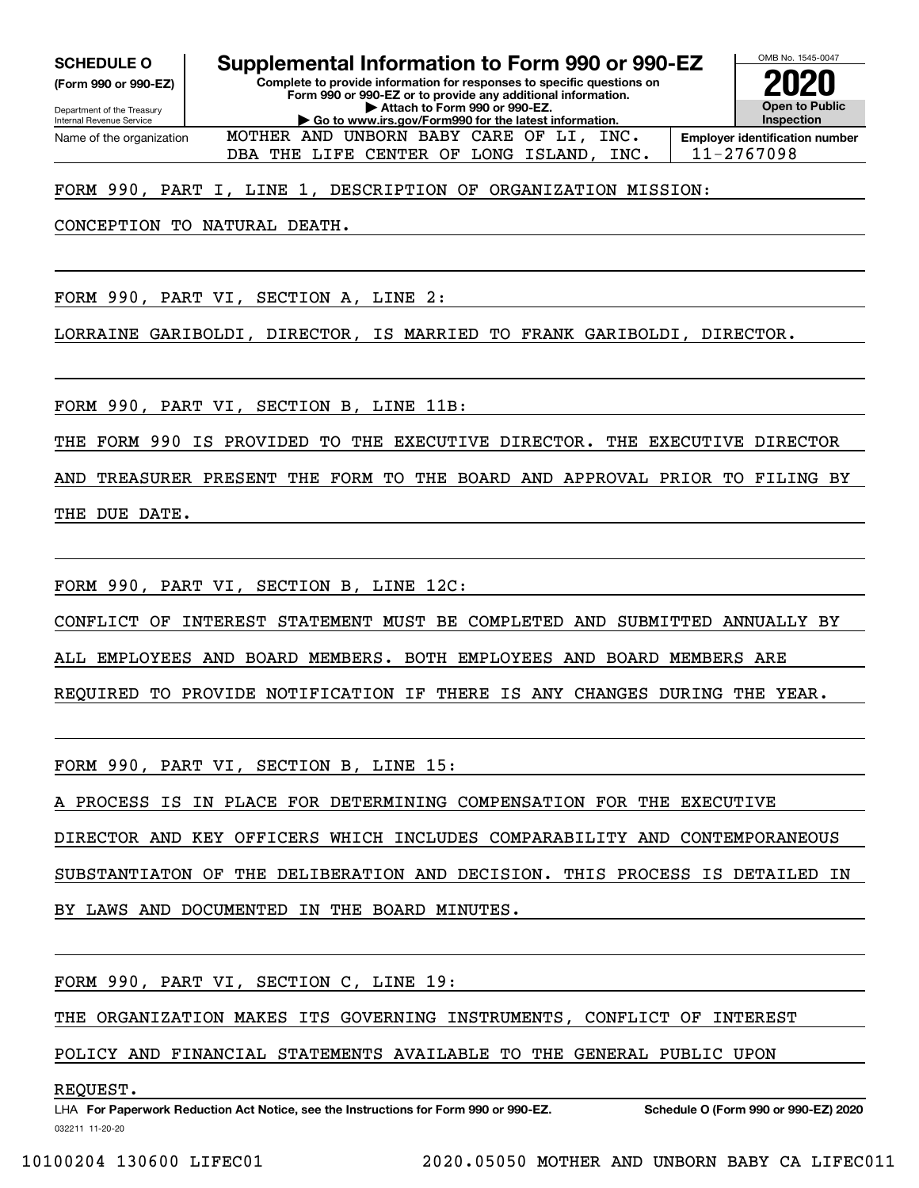**(Form 990 or 990-EZ)**

Department of the Treasury Internal Revenue Service Name of the organization

**SCHEDULE O Supplemental Information to Form 990 or 990-EZ**

MOTHER AND UNBORN BABY CARE OF LI, INC.

**Complete to provide information for responses to specific questions on Form 990 or 990-EZ or to provide any additional information. | Attach to Form 990 or 990-EZ. | Go to www.irs.gov/Form990 for the latest information.**



OMB No. 1545-0047

DBA THE LIFE CENTER OF LONG ISLAND, INC. | 11-2767098

#### FORM 990, PART I, LINE 1, DESCRIPTION OF ORGANIZATION MISSION:

CONCEPTION TO NATURAL DEATH.

FORM 990, PART VI, SECTION A, LINE 2:

LORRAINE GARIBOLDI, DIRECTOR, IS MARRIED TO FRANK GARIBOLDI, DIRECTOR.

FORM 990, PART VI, SECTION B, LINE 11B:

THE FORM 990 IS PROVIDED TO THE EXECUTIVE DIRECTOR. THE EXECUTIVE DIRECTOR

AND TREASURER PRESENT THE FORM TO THE BOARD AND APPROVAL PRIOR TO FILING BY THE DUE DATE.

FORM 990, PART VI, SECTION B, LINE 12C:

CONFLICT OF INTEREST STATEMENT MUST BE COMPLETED AND SUBMITTED ANNUALLY BY

ALL EMPLOYEES AND BOARD MEMBERS. BOTH EMPLOYEES AND BOARD MEMBERS ARE

REQUIRED TO PROVIDE NOTIFICATION IF THERE IS ANY CHANGES DURING THE YEAR.

FORM 990, PART VI, SECTION B, LINE 15:

PROCESS IS IN PLACE FOR DETERMINING COMPENSATION FOR THE EXECUTIVE

DIRECTOR AND KEY OFFICERS WHICH INCLUDES COMPARABILITY AND CONTEMPORANEOUS

SUBSTANTIATON OF THE DELIBERATION AND DECISION. THIS PROCESS IS DETAILED IN

BY LAWS AND DOCUMENTED IN THE BOARD MINUTES.

FORM 990, PART VI, SECTION C, LINE 19:

THE ORGANIZATION MAKES ITS GOVERNING INSTRUMENTS, CONFLICT OF INTEREST

POLICY AND FINANCIAL STATEMENTS AVAILABLE TO THE GENERAL PUBLIC UPON

#### REQUEST.

032211 11-20-20 LHA For Paperwork Reduction Act Notice, see the Instructions for Form 990 or 990-EZ. Schedule O (Form 990 or 990-EZ) 2020